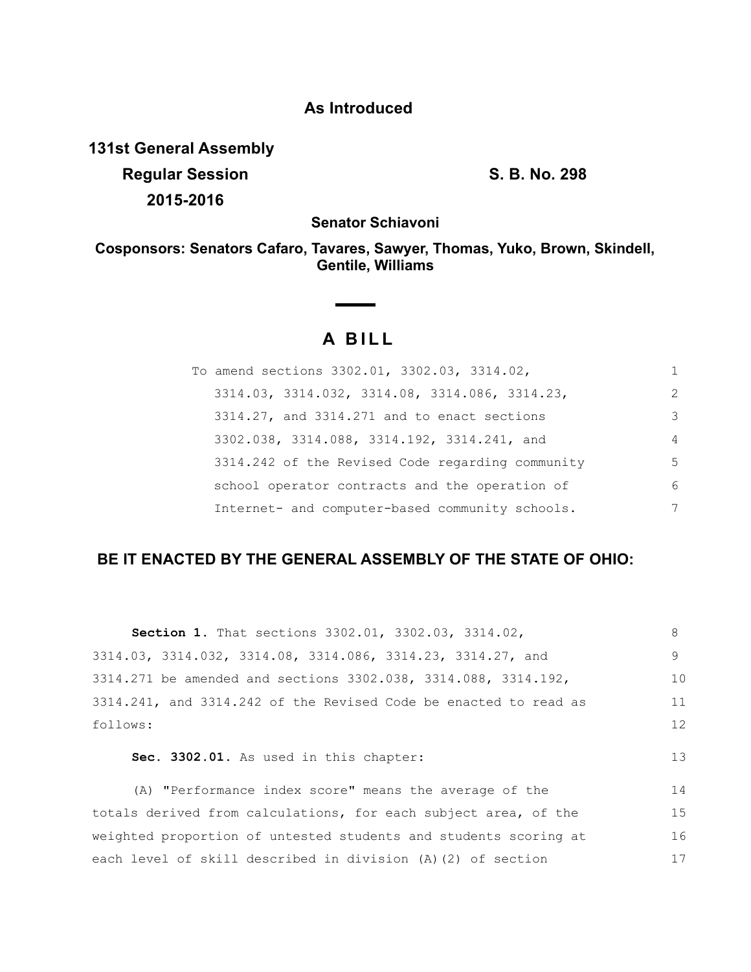# **As Introduced**

**131st General Assembly Regular Session S. B. No. 298 2015-2016**

**Senator Schiavoni**

**Cosponsors: Senators Cafaro, Tavares, Sawyer, Thomas, Yuko, Brown, Skindell, Gentile, Williams**

## **A BILL**

 $\begin{array}{c} \begin{array}{c} \begin{array}{c} \begin{array}{c} \end{array} \\ \end{array} \end{array} \end{array} \end{array}$ 

| To amend sections 3302.01, 3302.03, 3314.02,     |                |
|--------------------------------------------------|----------------|
| 3314.03, 3314.032, 3314.08, 3314.086, 3314.23,   | $\mathcal{L}$  |
| 3314.27, and 3314.271 and to enact sections      | 3              |
| 3302.038, 3314.088, 3314.192, 3314.241, and      | $\overline{4}$ |
| 3314.242 of the Revised Code regarding community | 5              |
| school operator contracts and the operation of   | 6              |
| Internet- and computer-based community schools.  | 7              |

### **BE IT ENACTED BY THE GENERAL ASSEMBLY OF THE STATE OF OHIO:**

| Section 1. That sections 3302.01, 3302.03, 3314.02,              | 8  |
|------------------------------------------------------------------|----|
| 3314.03, 3314.032, 3314.08, 3314.086, 3314.23, 3314.27, and      | 9  |
| 3314.271 be amended and sections 3302.038, 3314.088, 3314.192,   | 10 |
| 3314.241, and 3314.242 of the Revised Code be enacted to read as | 11 |
| follows:                                                         | 12 |
| Sec. 3302.01. As used in this chapter:                           | 13 |
| (A) "Performance index score" means the average of the           | 14 |
| totals derived from calculations, for each subject area, of the  | 15 |
|                                                                  | 16 |
| weighted proportion of untested students and students scoring at |    |
| each level of skill described in division (A)(2) of section      | 17 |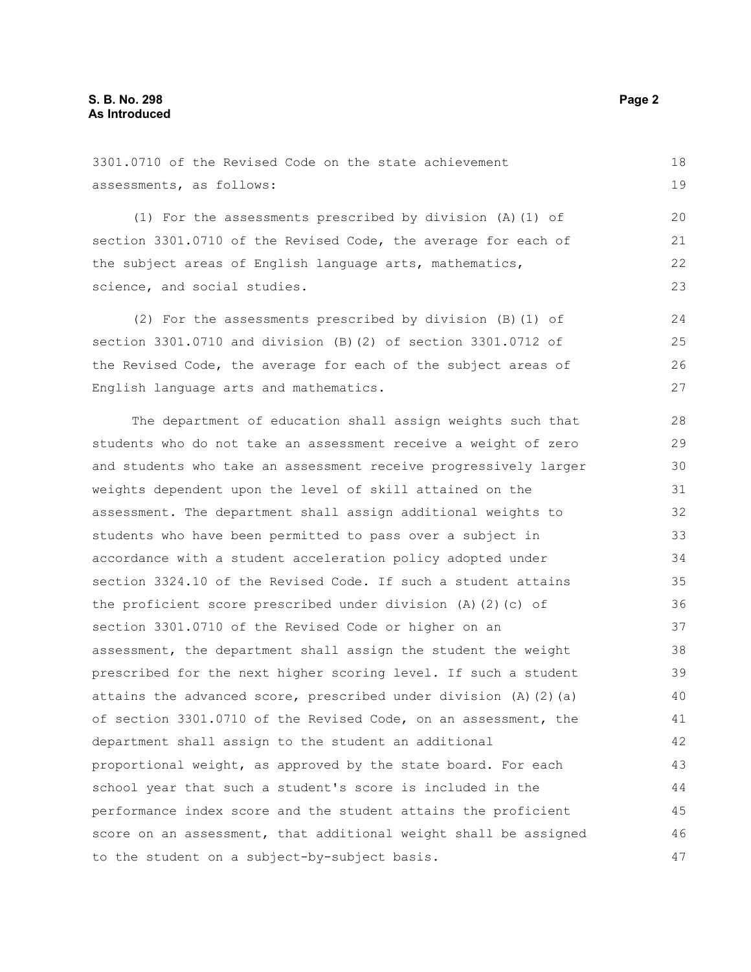(1) For the assessments prescribed by division (A)(1) of section 3301.0710 of the Revised Code, the average for each of the subject areas of English language arts, mathematics, science, and social studies.

(2) For the assessments prescribed by division (B)(1) of section 3301.0710 and division (B)(2) of section 3301.0712 of the Revised Code, the average for each of the subject areas of English language arts and mathematics. 24 25 26 27

The department of education shall assign weights such that students who do not take an assessment receive a weight of zero and students who take an assessment receive progressively larger weights dependent upon the level of skill attained on the assessment. The department shall assign additional weights to students who have been permitted to pass over a subject in accordance with a student acceleration policy adopted under section 3324.10 of the Revised Code. If such a student attains the proficient score prescribed under division (A)(2)(c) of section 3301.0710 of the Revised Code or higher on an assessment, the department shall assign the student the weight prescribed for the next higher scoring level. If such a student attains the advanced score, prescribed under division  $(A)$   $(2)$   $(a)$ of section 3301.0710 of the Revised Code, on an assessment, the department shall assign to the student an additional proportional weight, as approved by the state board. For each school year that such a student's score is included in the performance index score and the student attains the proficient score on an assessment, that additional weight shall be assigned to the student on a subject-by-subject basis. 28 29 30 31 32 33 34 35 36 37 38 39 40 41 42 43 44 45 46 47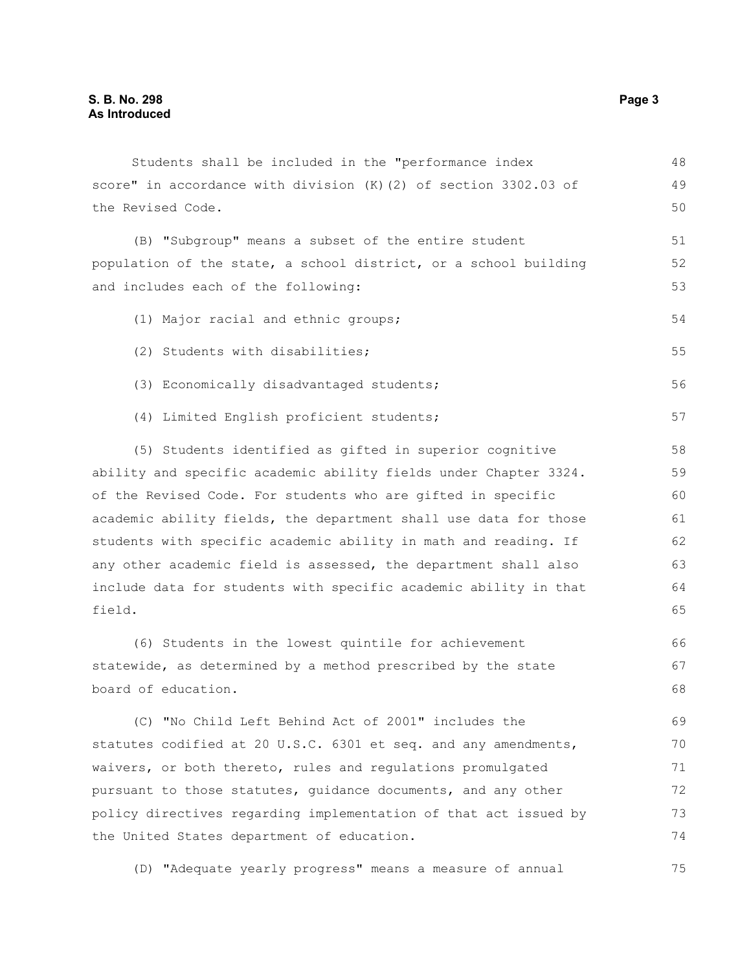Students shall be included in the "performance index score" in accordance with division (K)(2) of section 3302.03 of the Revised Code. (B) "Subgroup" means a subset of the entire student population of the state, a school district, or a school building and includes each of the following: (1) Major racial and ethnic groups; (2) Students with disabilities; (3) Economically disadvantaged students; (4) Limited English proficient students; (5) Students identified as gifted in superior cognitive ability and specific academic ability fields under Chapter 3324. of the Revised Code. For students who are gifted in specific academic ability fields, the department shall use data for those students with specific academic ability in math and reading. If any other academic field is assessed, the department shall also include data for students with specific academic ability in that field. (6) Students in the lowest quintile for achievement statewide, as determined by a method prescribed by the state board of education. (C) "No Child Left Behind Act of 2001" includes the statutes codified at 20 U.S.C. 6301 et seq. and any amendments, waivers, or both thereto, rules and regulations promulgated pursuant to those statutes, guidance documents, and any other policy directives regarding implementation of that act issued by the United States department of education. 48 49 50 51 52 53 54 55 56 57 58 59 60 61 62 63 64 65 66 67 68 69 70 71 72 73 74

(D) "Adequate yearly progress" means a measure of annual 75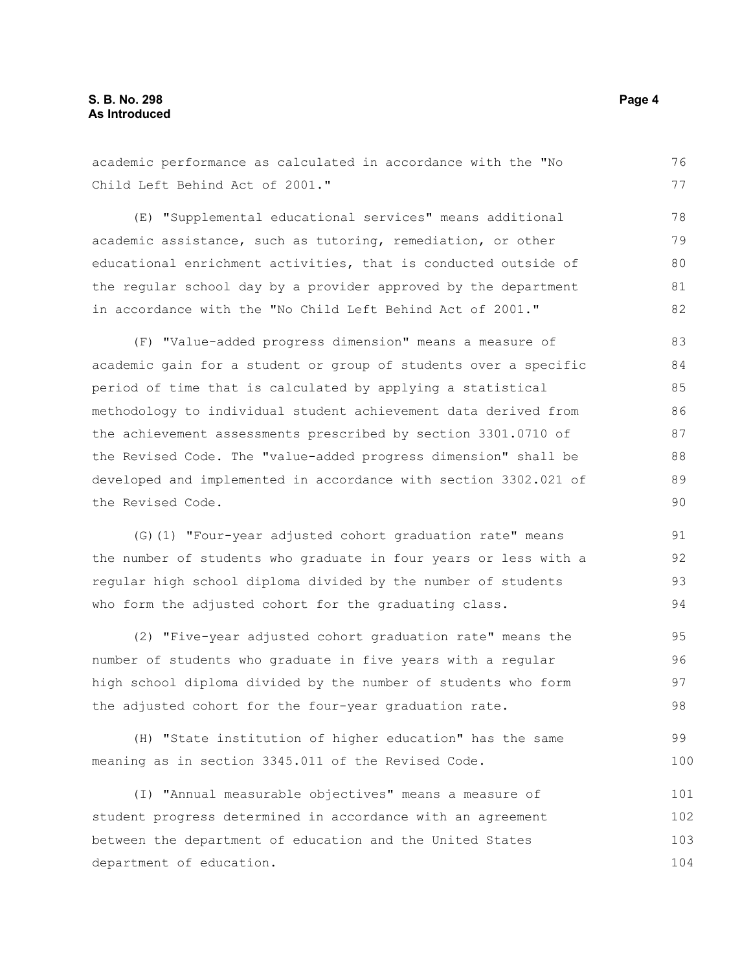Child Left Behind Act of 2001." (E) "Supplemental educational services" means additional academic assistance, such as tutoring, remediation, or other educational enrichment activities, that is conducted outside of the regular school day by a provider approved by the department in accordance with the "No Child Left Behind Act of 2001." (F) "Value-added progress dimension" means a measure of academic gain for a student or group of students over a specific period of time that is calculated by applying a statistical methodology to individual student achievement data derived from the achievement assessments prescribed by section 3301.0710 of the Revised Code. The "value-added progress dimension" shall be developed and implemented in accordance with section 3302.021 of the Revised Code. (G)(1) "Four-year adjusted cohort graduation rate" means the number of students who graduate in four years or less with a regular high school diploma divided by the number of students who form the adjusted cohort for the graduating class. (2) "Five-year adjusted cohort graduation rate" means the number of students who graduate in five years with a regular high school diploma divided by the number of students who form the adjusted cohort for the four-year graduation rate. (H) "State institution of higher education" has the same meaning as in section 3345.011 of the Revised Code. (I) "Annual measurable objectives" means a measure of student progress determined in accordance with an agreement between the department of education and the United States 77 78 79 80 81 82 83 84 85 86 87 88 89 90 91 92 93 94 95 96 97 98 99 100 101 102 103

academic performance as calculated in accordance with the "No

department of education.

76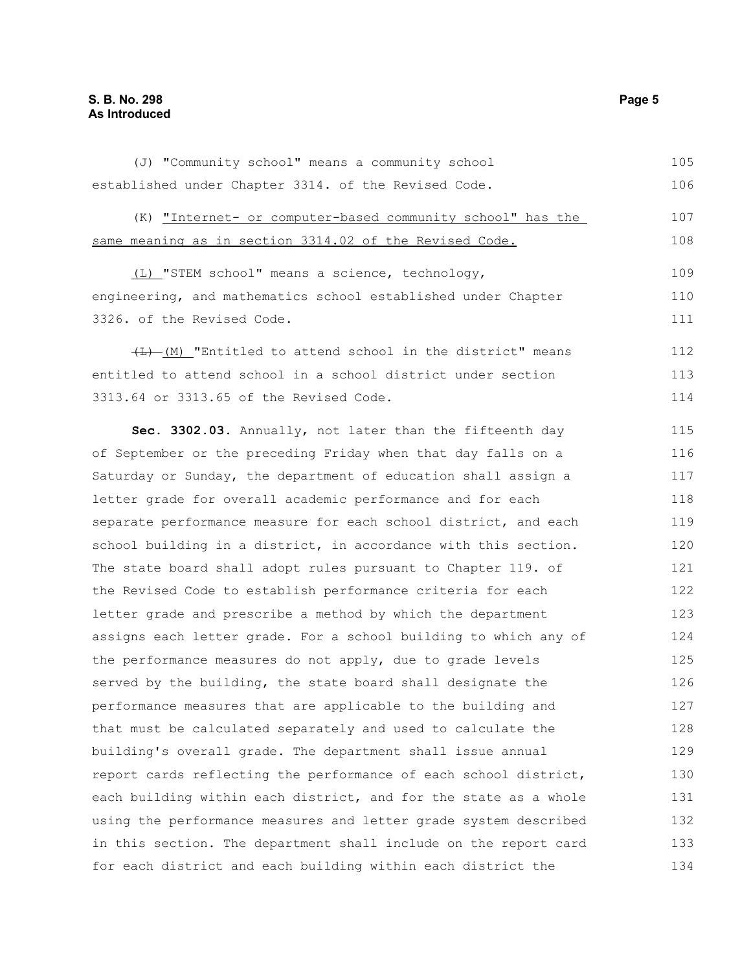#### **S. B. No. 298 Page 5 As Introduced**

(J) "Community school" means a community school established under Chapter 3314. of the Revised Code. 105 106

(K) "Internet- or computer-based community school" has the same meaning as in section 3314.02 of the Revised Code. 107 108

(L) "STEM school" means a science, technology, engineering, and mathematics school established under Chapter 3326. of the Revised Code.

 $(H)$  "Entitled to attend school in the district" means entitled to attend school in a school district under section 3313.64 or 3313.65 of the Revised Code.

**Sec. 3302.03.** Annually, not later than the fifteenth day of September or the preceding Friday when that day falls on a Saturday or Sunday, the department of education shall assign a letter grade for overall academic performance and for each separate performance measure for each school district, and each school building in a district, in accordance with this section. The state board shall adopt rules pursuant to Chapter 119. of the Revised Code to establish performance criteria for each letter grade and prescribe a method by which the department assigns each letter grade. For a school building to which any of the performance measures do not apply, due to grade levels served by the building, the state board shall designate the performance measures that are applicable to the building and that must be calculated separately and used to calculate the building's overall grade. The department shall issue annual report cards reflecting the performance of each school district, each building within each district, and for the state as a whole using the performance measures and letter grade system described in this section. The department shall include on the report card for each district and each building within each district the 115 116 117 118 119 120 121 122 123 124 125 126 127 128 129 130 131 132 133 134

109 110 111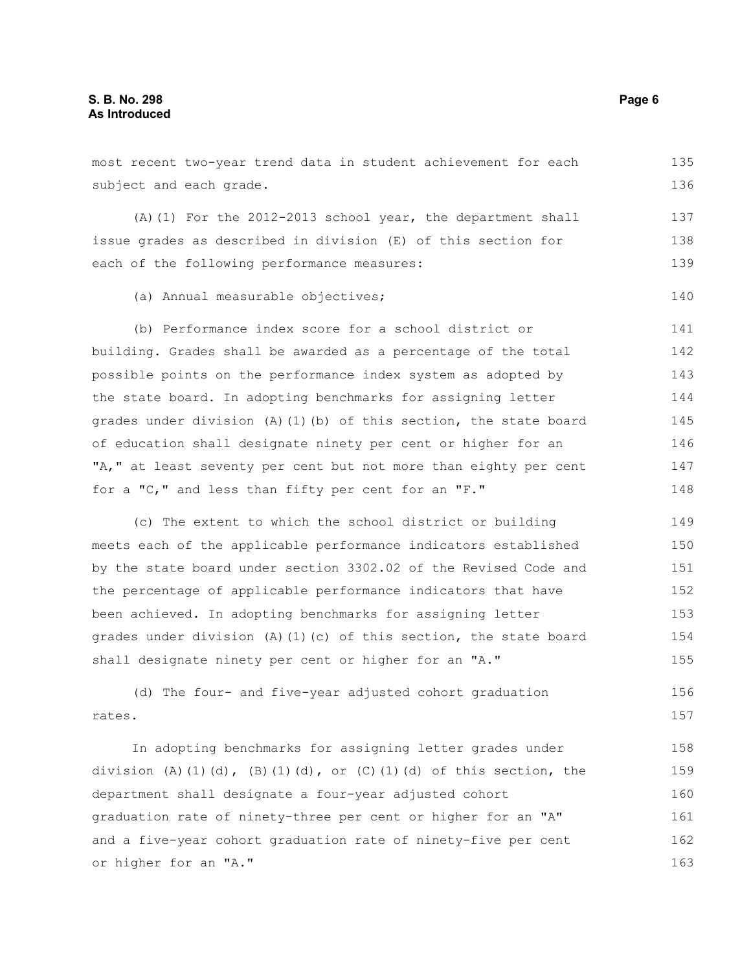| subject and each grade.                                            | 136 |
|--------------------------------------------------------------------|-----|
| (A) (1) For the $2012-2013$ school year, the department shall      | 137 |
| issue grades as described in division (E) of this section for      | 138 |
| each of the following performance measures:                        | 139 |
| (a) Annual measurable objectives;                                  | 140 |
| (b) Performance index score for a school district or               | 141 |
| building. Grades shall be awarded as a percentage of the total     | 142 |
| possible points on the performance index system as adopted by      | 143 |
| the state board. In adopting benchmarks for assigning letter       | 144 |
| grades under division (A) (1) (b) of this section, the state board | 145 |
| of education shall designate ninety per cent or higher for an      | 146 |
| "A," at least seventy per cent but not more than eighty per cent   | 147 |
| for a "C," and less than fifty per cent for an "F."                | 148 |
| (c) The extent to which the school district or building            | 149 |
| meets each of the applicable performance indicators established    | 150 |
| by the state board under section 3302.02 of the Revised Code and   | 151 |
| the percentage of applicable performance indicators that have      | 152 |
| been achieved. In adopting benchmarks for assigning letter         | 153 |
| grades under division (A)(1)(c) of this section, the state board   | 154 |
| shall designate ninety per cent or higher for an "A."              | 155 |
| (d) The four- and five-year adjusted cohort graduation             | 156 |
| rates.                                                             | 157 |
| In adopting benchmarks for assigning letter grades under           | 158 |
| division (A)(1)(d), (B)(1)(d), or (C)(1)(d) of this section, the   | 159 |
| department shall designate a four-year adjusted cohort             | 160 |
| graduation rate of ninety-three per cent or higher for an "A"      | 161 |
| and a five-year cohort graduation rate of ninety-five per cent     | 162 |
| or higher for an "A."                                              | 163 |

most recent two-year trend data in student achievement for each 135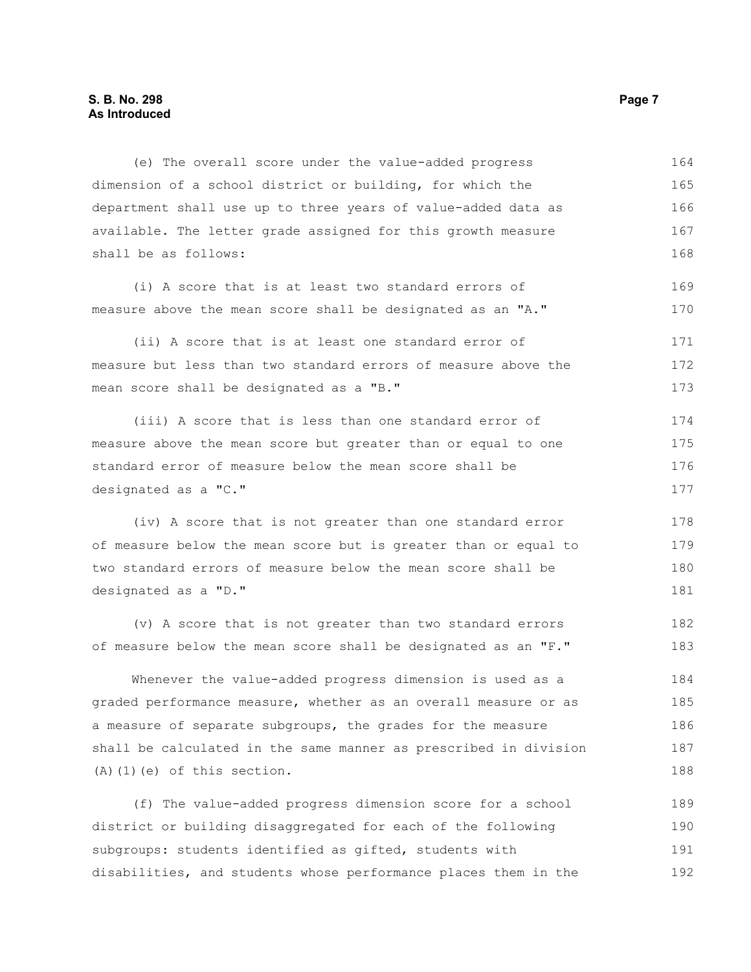#### **S. B. No. 298 Page 7 As Introduced**

(e) The overall score under the value-added progress dimension of a school district or building, for which the department shall use up to three years of value-added data as available. The letter grade assigned for this growth measure shall be as follows: 164 165 166 167 168

(i) A score that is at least two standard errors of measure above the mean score shall be designated as an "A." 169 170

(ii) A score that is at least one standard error of measure but less than two standard errors of measure above the mean score shall be designated as a "B." 171 172 173

(iii) A score that is less than one standard error of measure above the mean score but greater than or equal to one standard error of measure below the mean score shall be designated as a "C." 174 175 176 177

(iv) A score that is not greater than one standard error of measure below the mean score but is greater than or equal to two standard errors of measure below the mean score shall be designated as a "D."

(v) A score that is not greater than two standard errors of measure below the mean score shall be designated as an "F."

Whenever the value-added progress dimension is used as a graded performance measure, whether as an overall measure or as a measure of separate subgroups, the grades for the measure shall be calculated in the same manner as prescribed in division  $(A)$   $(1)$   $(e)$  of this section. 184 185 186 187 188

(f) The value-added progress dimension score for a school district or building disaggregated for each of the following subgroups: students identified as gifted, students with disabilities, and students whose performance places them in the 189 190 191 192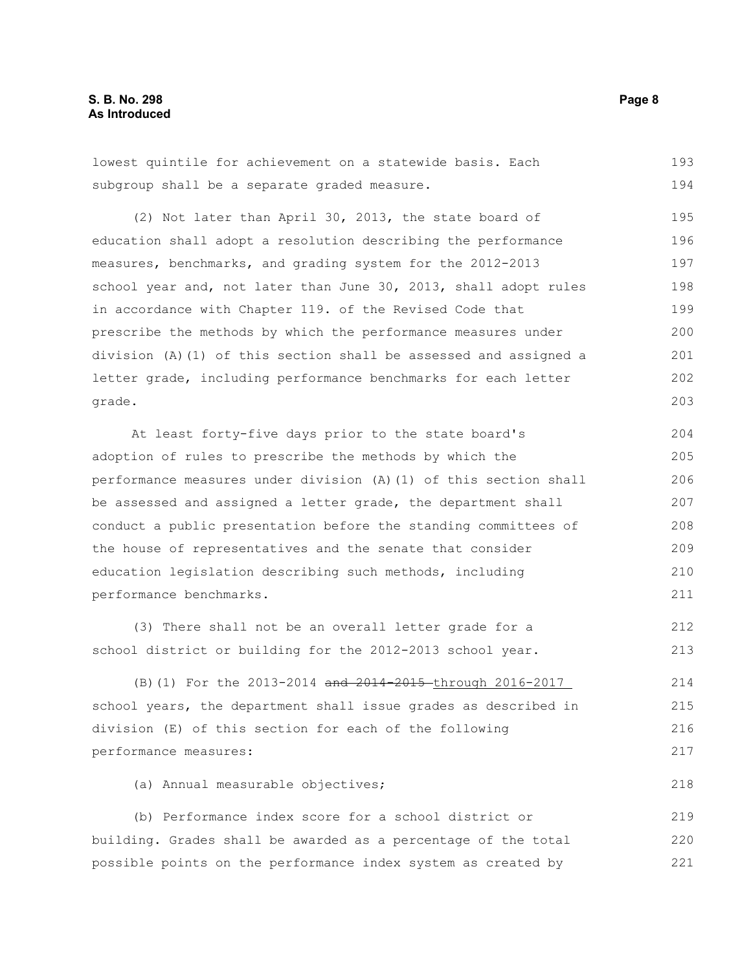#### **S. B. No. 298 Page 8 As Introduced**

lowest quintile for achievement on a statewide basis. Each subgroup shall be a separate graded measure. 193 194

(2) Not later than April 30, 2013, the state board of education shall adopt a resolution describing the performance measures, benchmarks, and grading system for the 2012-2013 school year and, not later than June 30, 2013, shall adopt rules in accordance with Chapter 119. of the Revised Code that prescribe the methods by which the performance measures under division (A)(1) of this section shall be assessed and assigned a letter grade, including performance benchmarks for each letter grade. 195 196 197 198 199 200 201 202 203

At least forty-five days prior to the state board's adoption of rules to prescribe the methods by which the performance measures under division (A)(1) of this section shall be assessed and assigned a letter grade, the department shall conduct a public presentation before the standing committees of the house of representatives and the senate that consider education legislation describing such methods, including performance benchmarks. 204 205 206 207 208 209 210 211

(3) There shall not be an overall letter grade for a school district or building for the 2012-2013 school year. 212 213

(B)(1) For the 2013-2014 and 2014-2015-through 2016-2017 school years, the department shall issue grades as described in division (E) of this section for each of the following performance measures:

(a) Annual measurable objectives;

(b) Performance index score for a school district or building. Grades shall be awarded as a percentage of the total possible points on the performance index system as created by 219 220 221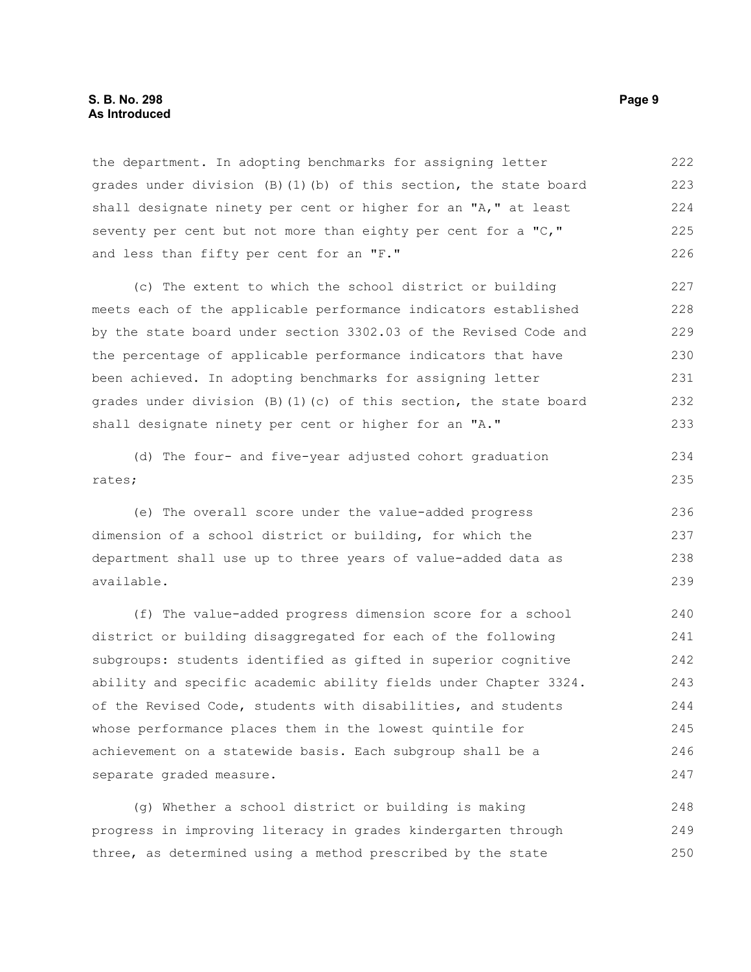#### **S. B. No. 298 Page 9 As Introduced**

the department. In adopting benchmarks for assigning letter grades under division (B)(1)(b) of this section, the state board shall designate ninety per cent or higher for an "A," at least seventy per cent but not more than eighty per cent for a "C," and less than fifty per cent for an "F." 222 223 224 225 226

(c) The extent to which the school district or building meets each of the applicable performance indicators established by the state board under section 3302.03 of the Revised Code and the percentage of applicable performance indicators that have been achieved. In adopting benchmarks for assigning letter grades under division  $(B)$  (1)(c) of this section, the state board shall designate ninety per cent or higher for an "A." 227 228 229 230 231 232 233

(d) The four- and five-year adjusted cohort graduation rates;

(e) The overall score under the value-added progress dimension of a school district or building, for which the department shall use up to three years of value-added data as available. 236 237 238 239

(f) The value-added progress dimension score for a school district or building disaggregated for each of the following subgroups: students identified as gifted in superior cognitive ability and specific academic ability fields under Chapter 3324. of the Revised Code, students with disabilities, and students whose performance places them in the lowest quintile for achievement on a statewide basis. Each subgroup shall be a separate graded measure. 240 241 242 243 244 245 246 247

(g) Whether a school district or building is making progress in improving literacy in grades kindergarten through three, as determined using a method prescribed by the state 248 249 250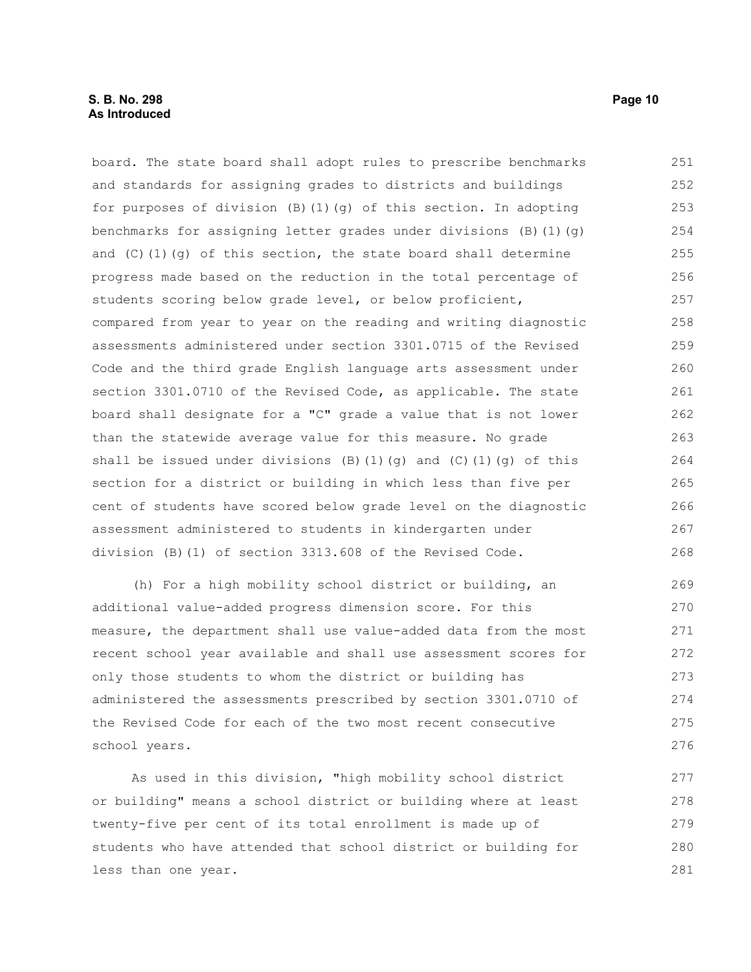#### **S. B. No. 298 Page 10 As Introduced**

board. The state board shall adopt rules to prescribe benchmarks and standards for assigning grades to districts and buildings for purposes of division  $(B)$  (1)(g) of this section. In adopting benchmarks for assigning letter grades under divisions (B)(1)(g) and  $(C)$  (1)(g) of this section, the state board shall determine progress made based on the reduction in the total percentage of students scoring below grade level, or below proficient, compared from year to year on the reading and writing diagnostic assessments administered under section 3301.0715 of the Revised Code and the third grade English language arts assessment under section 3301.0710 of the Revised Code, as applicable. The state board shall designate for a "C" grade a value that is not lower than the statewide average value for this measure. No grade shall be issued under divisions  $(B)(1)(q)$  and  $(C)(1)(q)$  of this section for a district or building in which less than five per cent of students have scored below grade level on the diagnostic assessment administered to students in kindergarten under division (B)(1) of section 3313.608 of the Revised Code. 251 252 253 254 255 256 257 258 259 260 261 262 263 264 265 266 267 268

(h) For a high mobility school district or building, an additional value-added progress dimension score. For this measure, the department shall use value-added data from the most recent school year available and shall use assessment scores for only those students to whom the district or building has administered the assessments prescribed by section 3301.0710 of the Revised Code for each of the two most recent consecutive school years.

As used in this division, "high mobility school district or building" means a school district or building where at least twenty-five per cent of its total enrollment is made up of students who have attended that school district or building for less than one year. 277 278 279 280 281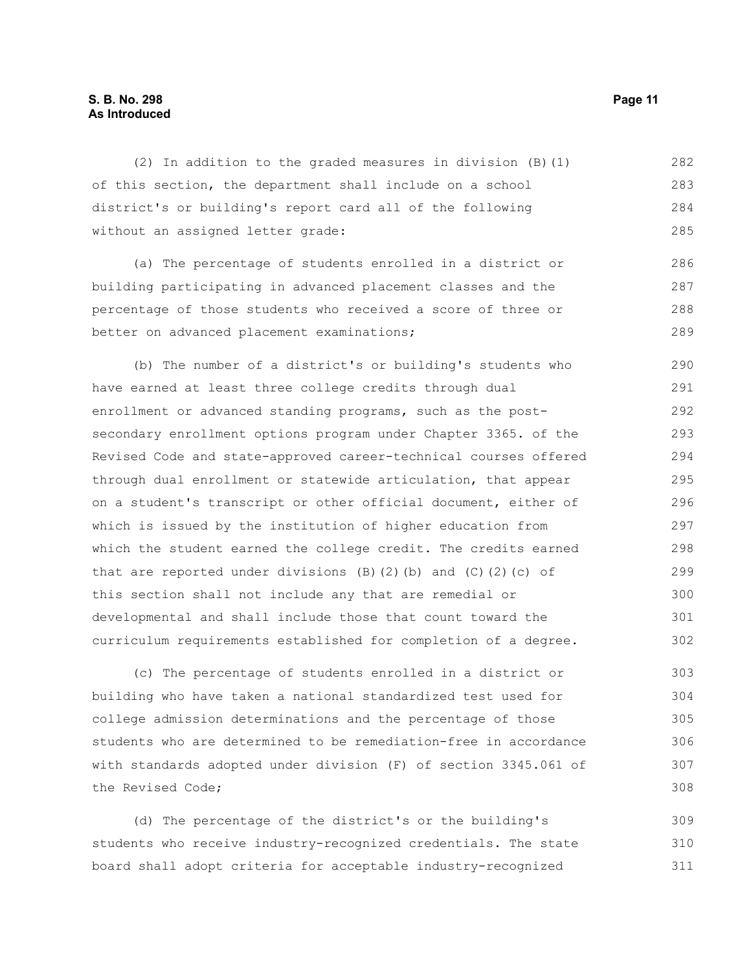#### **S. B. No. 298 Page 11 As Introduced**

(2) In addition to the graded measures in division (B)(1) of this section, the department shall include on a school district's or building's report card all of the following without an assigned letter grade: (a) The percentage of students enrolled in a district or building participating in advanced placement classes and the percentage of those students who received a score of three or better on advanced placement examinations; (b) The number of a district's or building's students who have earned at least three college credits through dual enrollment or advanced standing programs, such as the postsecondary enrollment options program under Chapter 3365. of the Revised Code and state-approved career-technical courses offered through dual enrollment or statewide articulation, that appear on a student's transcript or other official document, either of which is issued by the institution of higher education from which the student earned the college credit. The credits earned that are reported under divisions  $(B)$   $(2)$   $(b)$  and  $(C)$   $(2)$   $(c)$  of this section shall not include any that are remedial or developmental and shall include those that count toward the curriculum requirements established for completion of a degree. (c) The percentage of students enrolled in a district or building who have taken a national standardized test used for 282 283 284 285 286 287 288 289 290 291 292 293 294 295 296 297 298 299 300 301 302 303 304

college admission determinations and the percentage of those students who are determined to be remediation-free in accordance with standards adopted under division (F) of section 3345.061 of the Revised Code; 305 306 307 308

(d) The percentage of the district's or the building's students who receive industry-recognized credentials. The state board shall adopt criteria for acceptable industry-recognized 309 310 311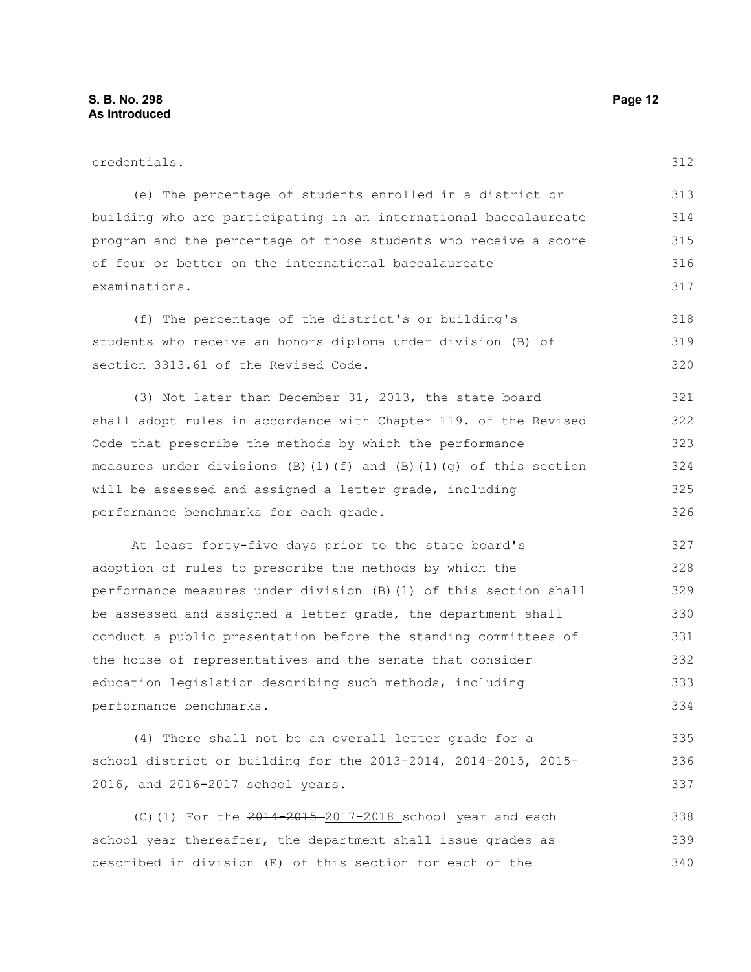| credentials.                                                             | 312 |
|--------------------------------------------------------------------------|-----|
| (e) The percentage of students enrolled in a district or                 | 313 |
| building who are participating in an international baccalaureate         | 314 |
| program and the percentage of those students who receive a score         | 315 |
| of four or better on the international baccalaureate                     | 316 |
| examinations.                                                            | 317 |
| (f) The percentage of the district's or building's                       | 318 |
| students who receive an honors diploma under division (B) of             | 319 |
| section 3313.61 of the Revised Code.                                     | 320 |
| (3) Not later than December 31, 2013, the state board                    | 321 |
| shall adopt rules in accordance with Chapter 119. of the Revised         | 322 |
| Code that prescribe the methods by which the performance                 | 323 |
| measures under divisions $(B) (1) (f)$ and $(B) (1) (q)$ of this section | 324 |
| will be assessed and assigned a letter grade, including                  | 325 |
| performance benchmarks for each grade.                                   | 326 |
| At least forty-five days prior to the state board's                      | 327 |
| adoption of rules to prescribe the methods by which the                  | 328 |
| performance measures under division (B) (1) of this section shall        | 329 |
| be assessed and assigned a letter grade, the department shall            | 330 |
| conduct a public presentation before the standing committees of          | 331 |
| the house of representatives and the senate that consider                | 332 |
| education legislation describing such methods, including                 | 333 |
| performance benchmarks.                                                  | 334 |
| (4) There shall not be an overall letter grade for a                     | 335 |
| school district or building for the 2013-2014, 2014-2015, 2015-          | 336 |
| 2016, and 2016-2017 school years.                                        | 337 |

(C)(1) For the 2014-2015 2017-2018 school year and each school year thereafter, the department shall issue grades as described in division (E) of this section for each of the 338 339 340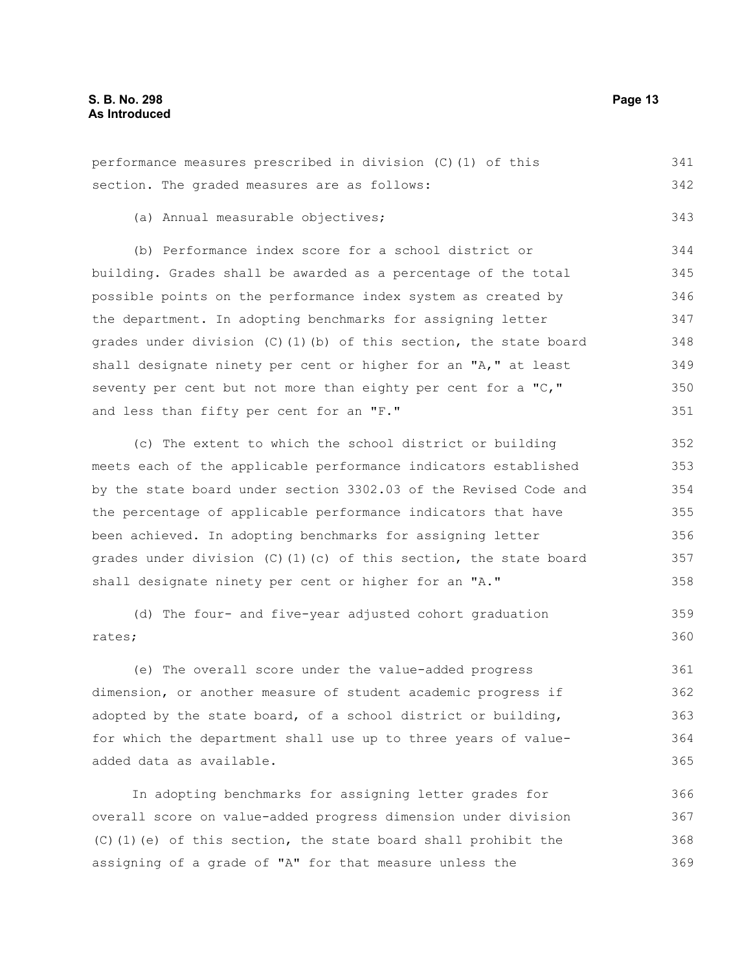| performance measures prescribed in division (C) (1) of this            |     |
|------------------------------------------------------------------------|-----|
| section. The graded measures are as follows:                           | 342 |
| (a) Annual measurable objectives;                                      | 343 |
| (b) Performance index score for a school district or                   | 344 |
| building. Grades shall be awarded as a percentage of the total         | 345 |
| possible points on the performance index system as created by          | 346 |
| the department. In adopting benchmarks for assigning letter            | 347 |
| grades under division (C)(1)(b) of this section, the state board       | 348 |
| shall designate ninety per cent or higher for an "A," at least         | 349 |
| seventy per cent but not more than eighty per cent for a "C,"          | 350 |
| and less than fifty per cent for an "F."                               | 351 |
| (c) The extent to which the school district or building                | 352 |
| meets each of the applicable performance indicators established        | 353 |
| by the state board under section 3302.03 of the Revised Code and       |     |
| the percentage of applicable performance indicators that have          |     |
| been achieved. In adopting benchmarks for assigning letter             | 356 |
| grades under division $(C)$ (1) $(c)$ of this section, the state board | 357 |
| shall designate ninety per cent or higher for an "A."                  | 358 |
| (d) The four- and five-year adjusted cohort graduation                 | 359 |
| rates;                                                                 | 360 |
| (e) The overall score under the value-added progress                   | 361 |
| dimension, or another measure of student academic progress if          | 362 |
| adopted by the state board, of a school district or building,          | 363 |
| for which the department shall use up to three years of value-         | 364 |
| added data as available.                                               | 365 |
|                                                                        |     |

In adopting benchmarks for assigning letter grades for overall score on value-added progress dimension under division (C)(1)(e) of this section, the state board shall prohibit the assigning of a grade of "A" for that measure unless the 366 367 368 369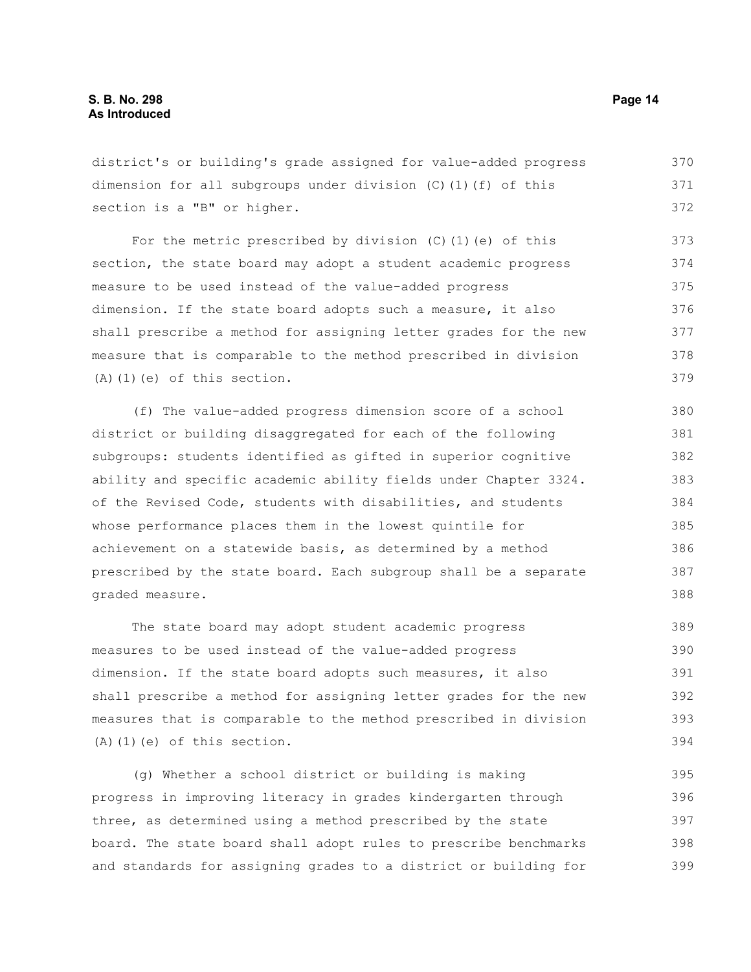district's or building's grade assigned for value-added progress dimension for all subgroups under division (C)(1)(f) of this section is a "B" or higher. 370 371 372

For the metric prescribed by division (C)(1)(e) of this section, the state board may adopt a student academic progress measure to be used instead of the value-added progress dimension. If the state board adopts such a measure, it also shall prescribe a method for assigning letter grades for the new measure that is comparable to the method prescribed in division  $(A)$   $(1)$   $(e)$  of this section. 373 374 375 376 377 378 379

(f) The value-added progress dimension score of a school district or building disaggregated for each of the following subgroups: students identified as gifted in superior cognitive ability and specific academic ability fields under Chapter 3324. of the Revised Code, students with disabilities, and students whose performance places them in the lowest quintile for achievement on a statewide basis, as determined by a method prescribed by the state board. Each subgroup shall be a separate graded measure. 380 381 382 383 384 385 386 387 388

The state board may adopt student academic progress measures to be used instead of the value-added progress dimension. If the state board adopts such measures, it also shall prescribe a method for assigning letter grades for the new measures that is comparable to the method prescribed in division (A)(1)(e) of this section. 389 390 391 392 393 394

(g) Whether a school district or building is making progress in improving literacy in grades kindergarten through three, as determined using a method prescribed by the state board. The state board shall adopt rules to prescribe benchmarks and standards for assigning grades to a district or building for 395 396 397 398 399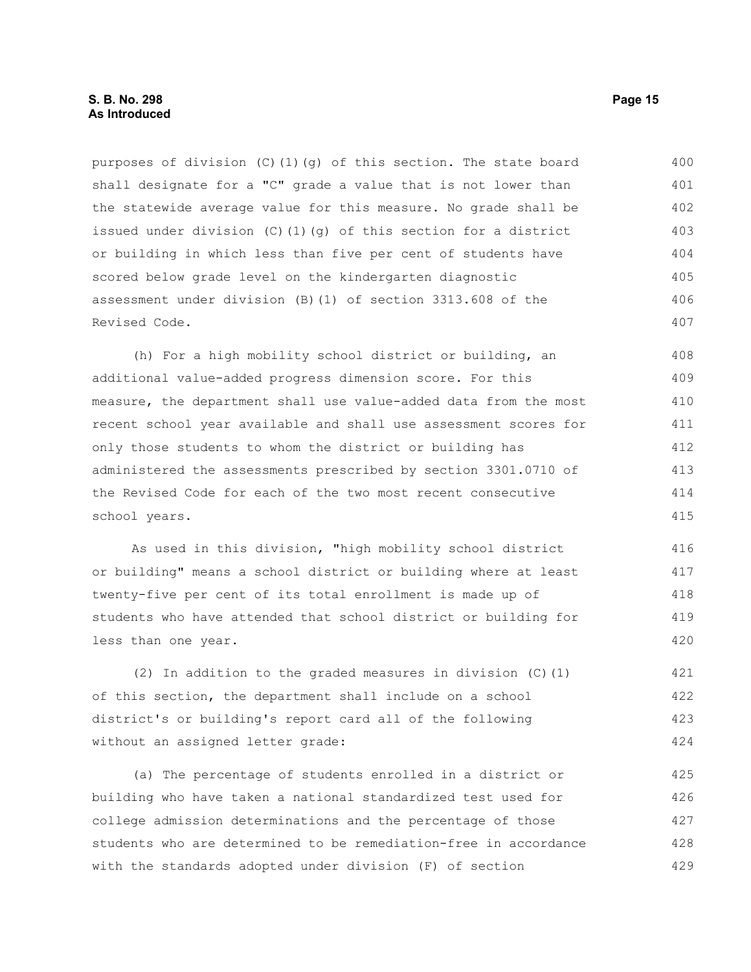purposes of division (C)(1)(q) of this section. The state board shall designate for a "C" grade a value that is not lower than the statewide average value for this measure. No grade shall be issued under division (C)(1)(q) of this section for a district or building in which less than five per cent of students have scored below grade level on the kindergarten diagnostic assessment under division (B)(1) of section 3313.608 of the Revised Code. 400 401 402 403 404 405 406 407

(h) For a high mobility school district or building, an additional value-added progress dimension score. For this measure, the department shall use value-added data from the most recent school year available and shall use assessment scores for only those students to whom the district or building has administered the assessments prescribed by section 3301.0710 of the Revised Code for each of the two most recent consecutive school years. 408 409 410 411 412 413 414 415

As used in this division, "high mobility school district or building" means a school district or building where at least twenty-five per cent of its total enrollment is made up of students who have attended that school district or building for less than one year. 416 417 418 419 420

(2) In addition to the graded measures in division (C)(1) of this section, the department shall include on a school district's or building's report card all of the following without an assigned letter grade: 421 422 423 424

(a) The percentage of students enrolled in a district or building who have taken a national standardized test used for college admission determinations and the percentage of those students who are determined to be remediation-free in accordance with the standards adopted under division (F) of section 425 426 427 428 429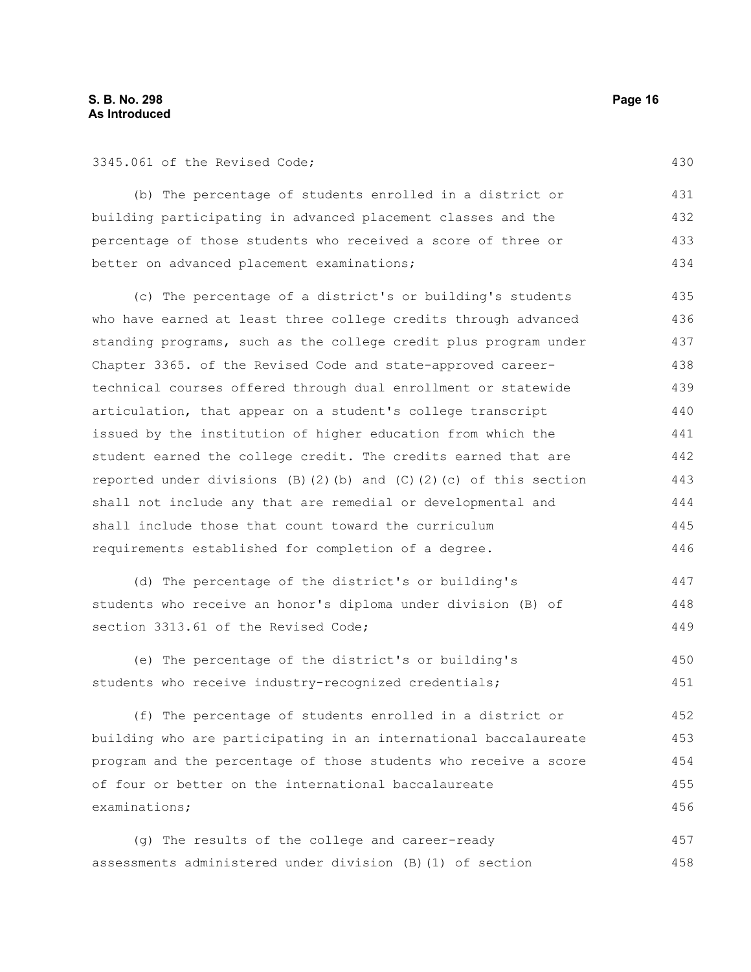3345.061 of the Revised Code;

(b) The percentage of students enrolled in a district or building participating in advanced placement classes and the percentage of those students who received a score of three or better on advanced placement examinations; 431 432 433 434

(c) The percentage of a district's or building's students who have earned at least three college credits through advanced standing programs, such as the college credit plus program under Chapter 3365. of the Revised Code and state-approved careertechnical courses offered through dual enrollment or statewide articulation, that appear on a student's college transcript issued by the institution of higher education from which the student earned the college credit. The credits earned that are reported under divisions (B)(2)(b) and (C)(2)(c) of this section shall not include any that are remedial or developmental and shall include those that count toward the curriculum requirements established for completion of a degree. 435 436 437 438 439 440 441 442 443 444 445 446

(d) The percentage of the district's or building's students who receive an honor's diploma under division (B) of section 3313.61 of the Revised Code; 447 448 449

(e) The percentage of the district's or building's students who receive industry-recognized credentials; 450 451

(f) The percentage of students enrolled in a district or building who are participating in an international baccalaureate program and the percentage of those students who receive a score of four or better on the international baccalaureate examinations; 452 453 454 455 456

(g) The results of the college and career-ready assessments administered under division (B)(1) of section 457 458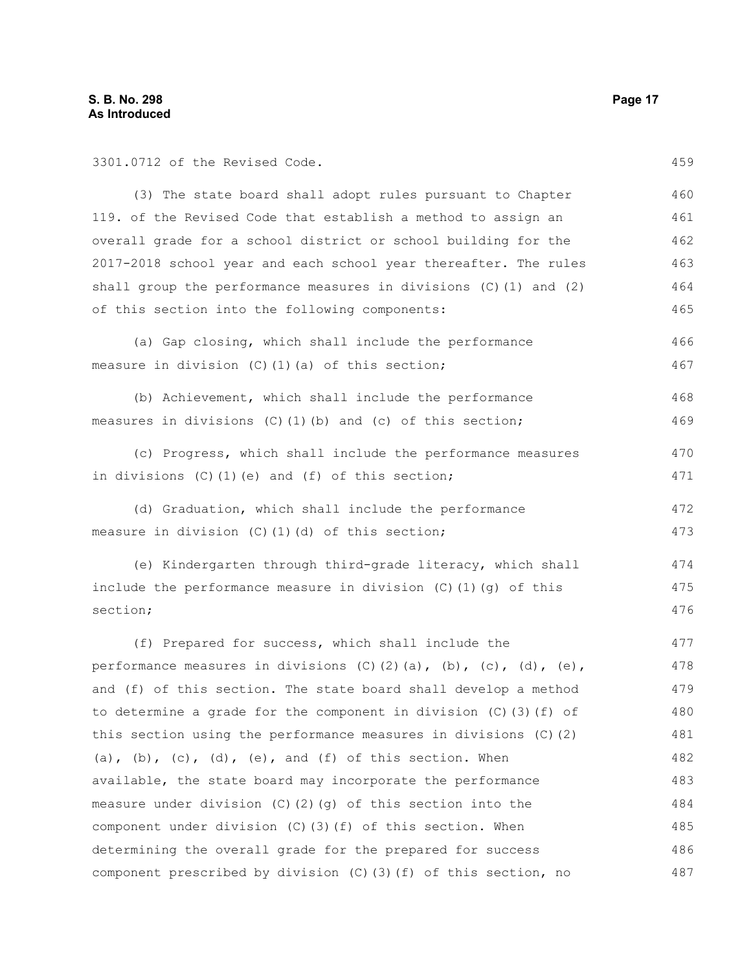3301.0712 of the Revised Code.

(3) The state board shall adopt rules pursuant to Chapter 119. of the Revised Code that establish a method to assign an overall grade for a school district or school building for the 2017-2018 school year and each school year thereafter. The rules shall group the performance measures in divisions (C)(1) and (2) of this section into the following components: 460 461 462 463 464 465

- (a) Gap closing, which shall include the performance measure in division (C)(1)(a) of this section; 466 467
- (b) Achievement, which shall include the performance measures in divisions  $(C)$  (1)(b) and  $(c)$  of this section; 468 469
- (c) Progress, which shall include the performance measures in divisions (C)(1)(e) and (f) of this section; 470 471
- (d) Graduation, which shall include the performance measure in division (C)(1)(d) of this section; 472 473

(e) Kindergarten through third-grade literacy, which shall include the performance measure in division (C)(1)(g) of this section; 474 475 476

(f) Prepared for success, which shall include the performance measures in divisions  $(C)$   $(2)$   $(a)$ ,  $(b)$ ,  $(c)$ ,  $(d)$ ,  $(e)$ , and (f) of this section. The state board shall develop a method to determine a grade for the component in division (C)(3)(f) of this section using the performance measures in divisions (C)(2) (a), (b),  $(c)$ , (d), (e), and (f) of this section. When available, the state board may incorporate the performance measure under division (C)(2)(g) of this section into the component under division (C)(3)(f) of this section. When determining the overall grade for the prepared for success component prescribed by division (C)(3)(f) of this section, no 477 478 479 480 481 482 483 484 485 486 487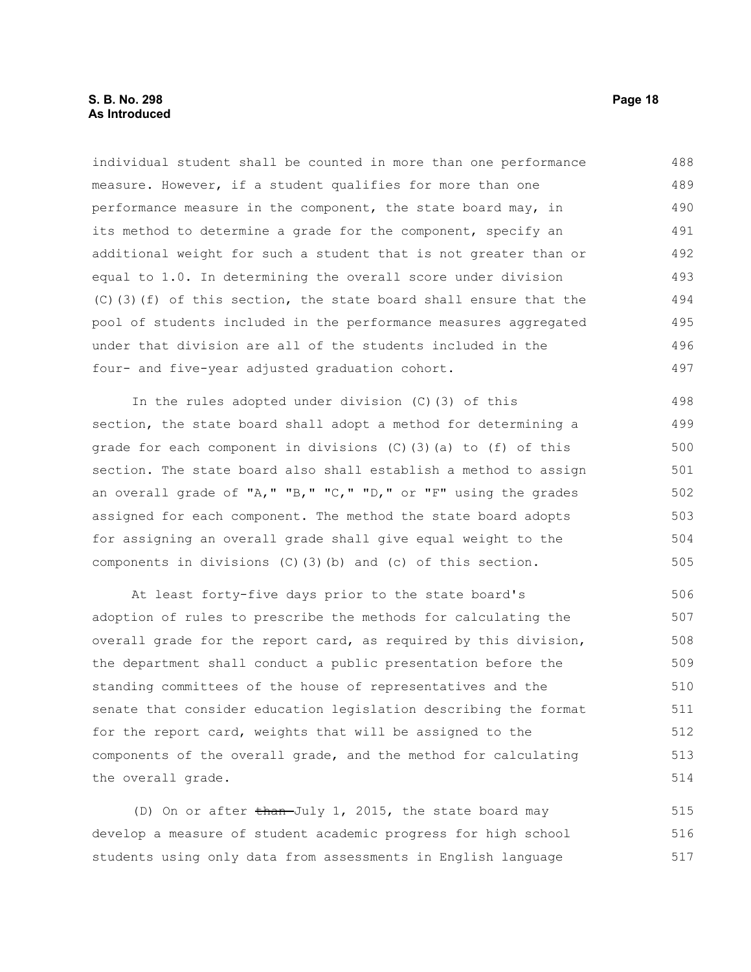individual student shall be counted in more than one performance measure. However, if a student qualifies for more than one performance measure in the component, the state board may, in its method to determine a grade for the component, specify an additional weight for such a student that is not greater than or equal to 1.0. In determining the overall score under division (C)(3)(f) of this section, the state board shall ensure that the pool of students included in the performance measures aggregated under that division are all of the students included in the four- and five-year adjusted graduation cohort. 488 489 490 491 492 493 494 495 496 497

In the rules adopted under division (C)(3) of this section, the state board shall adopt a method for determining a grade for each component in divisions (C)(3)(a) to (f) of this section. The state board also shall establish a method to assign an overall grade of "A," "B," "C," "D," or "F" using the grades assigned for each component. The method the state board adopts for assigning an overall grade shall give equal weight to the components in divisions (C)(3)(b) and (c) of this section. 498 499 500 501 502 503 504 505

At least forty-five days prior to the state board's adoption of rules to prescribe the methods for calculating the overall grade for the report card, as required by this division, the department shall conduct a public presentation before the standing committees of the house of representatives and the senate that consider education legislation describing the format for the report card, weights that will be assigned to the components of the overall grade, and the method for calculating the overall grade. 506 507 508 509 510 511 512 513 514

(D) On or after than-July 1, 2015, the state board may develop a measure of student academic progress for high school students using only data from assessments in English language 515 516 517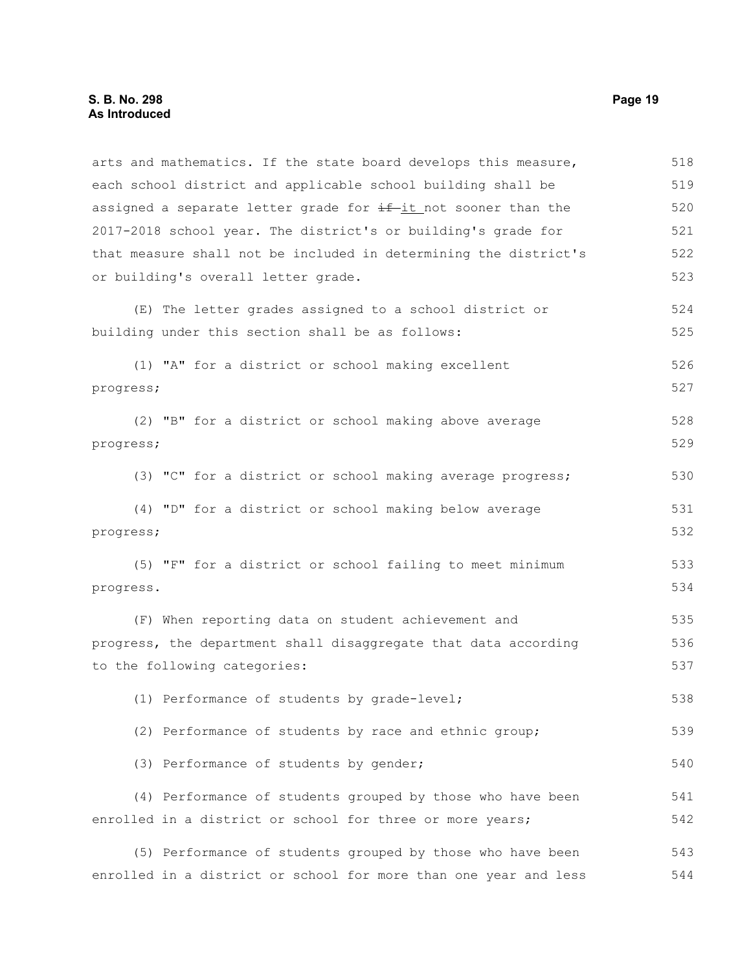arts and mathematics. If the state board develops this measure, each school district and applicable school building shall be assigned a separate letter grade for  $\pm f$ -it not sooner than the 2017-2018 school year. The district's or building's grade for that measure shall not be included in determining the district's or building's overall letter grade. (E) The letter grades assigned to a school district or building under this section shall be as follows: (1) "A" for a district or school making excellent progress; (2) "B" for a district or school making above average progress; (3) "C" for a district or school making average progress; (4) "D" for a district or school making below average progress; (5) "F" for a district or school failing to meet minimum progress. (F) When reporting data on student achievement and progress, the department shall disaggregate that data according to the following categories: (1) Performance of students by grade-level; (2) Performance of students by race and ethnic group; (3) Performance of students by gender; (4) Performance of students grouped by those who have been enrolled in a district or school for three or more years; (5) Performance of students grouped by those who have been enrolled in a district or school for more than one year and less 518 519 520 521 522 523 524 525 526 527 528 529 530 531 532 533 534 535 536 537 538 539 540 541 542 543 544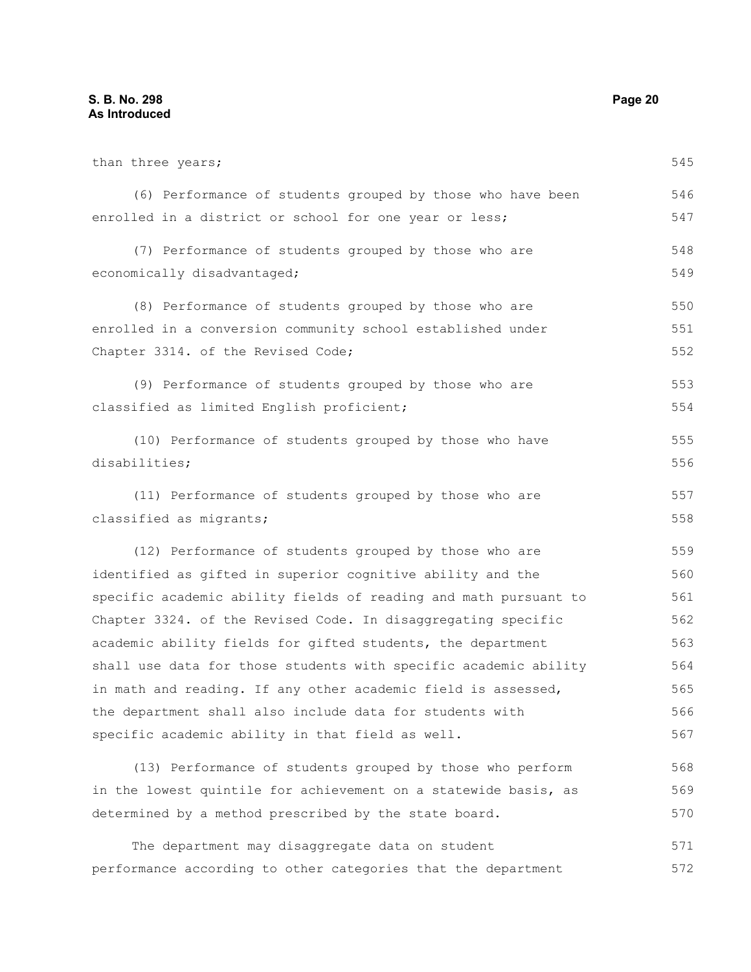than three years; (6) Performance of students grouped by those who have been enrolled in a district or school for one year or less; (7) Performance of students grouped by those who are economically disadvantaged; (8) Performance of students grouped by those who are enrolled in a conversion community school established under Chapter 3314. of the Revised Code; (9) Performance of students grouped by those who are classified as limited English proficient; (10) Performance of students grouped by those who have disabilities; (11) Performance of students grouped by those who are classified as migrants; (12) Performance of students grouped by those who are identified as gifted in superior cognitive ability and the specific academic ability fields of reading and math pursuant to Chapter 3324. of the Revised Code. In disaggregating specific academic ability fields for gifted students, the department shall use data for those students with specific academic ability in math and reading. If any other academic field is assessed, the department shall also include data for students with specific academic ability in that field as well. (13) Performance of students grouped by those who perform in the lowest quintile for achievement on a statewide basis, as determined by a method prescribed by the state board. 545 546 547 548 549 550 551 552 553 554 555 556 557 558 559 560 561 562 563 564 565 566 567 568 569 570

The department may disaggregate data on student performance according to other categories that the department 571 572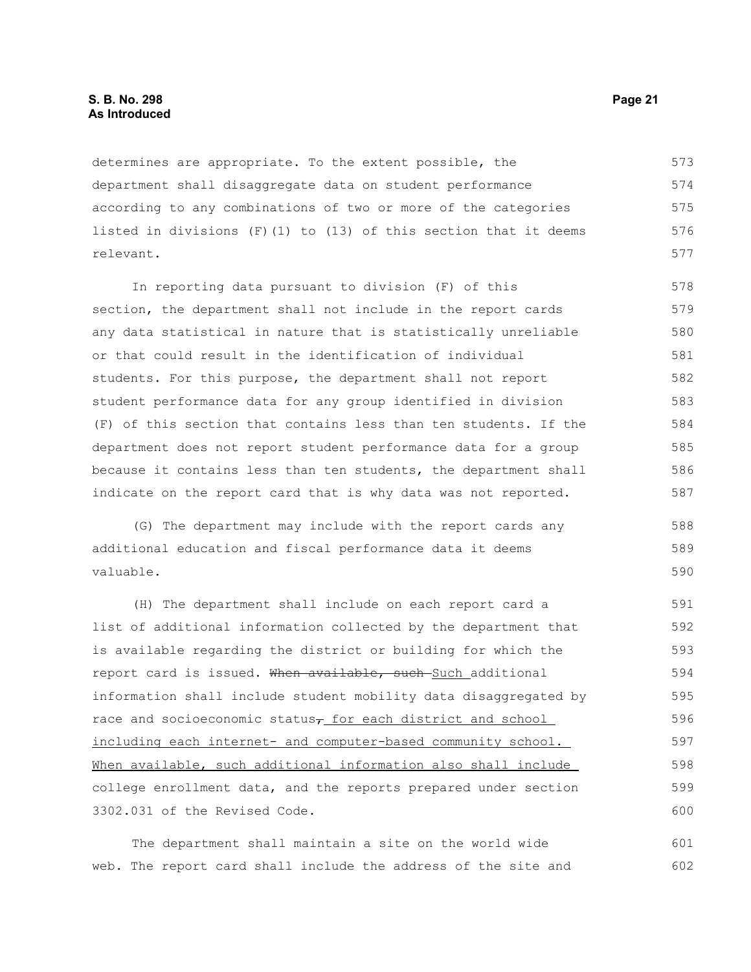determines are appropriate. To the extent possible, the department shall disaggregate data on student performance according to any combinations of two or more of the categories listed in divisions  $(F)(1)$  to  $(13)$  of this section that it deems relevant. 573 574 575 576 577

In reporting data pursuant to division (F) of this section, the department shall not include in the report cards any data statistical in nature that is statistically unreliable or that could result in the identification of individual students. For this purpose, the department shall not report student performance data for any group identified in division (F) of this section that contains less than ten students. If the department does not report student performance data for a group because it contains less than ten students, the department shall indicate on the report card that is why data was not reported. 578 579 580 581 582 583 584 585 586 587

(G) The department may include with the report cards any additional education and fiscal performance data it deems valuable.

(H) The department shall include on each report card a list of additional information collected by the department that is available regarding the district or building for which the report card is issued. When available, such Such additional information shall include student mobility data disaggregated by race and socioeconomic status<sub> $\tau$ </sub> for each district and school including each internet- and computer-based community school. When available, such additional information also shall include college enrollment data, and the reports prepared under section 3302.031 of the Revised Code. 591 592 593 594 595 596 597 598 599 600

The department shall maintain a site on the world wide web. The report card shall include the address of the site and 601 602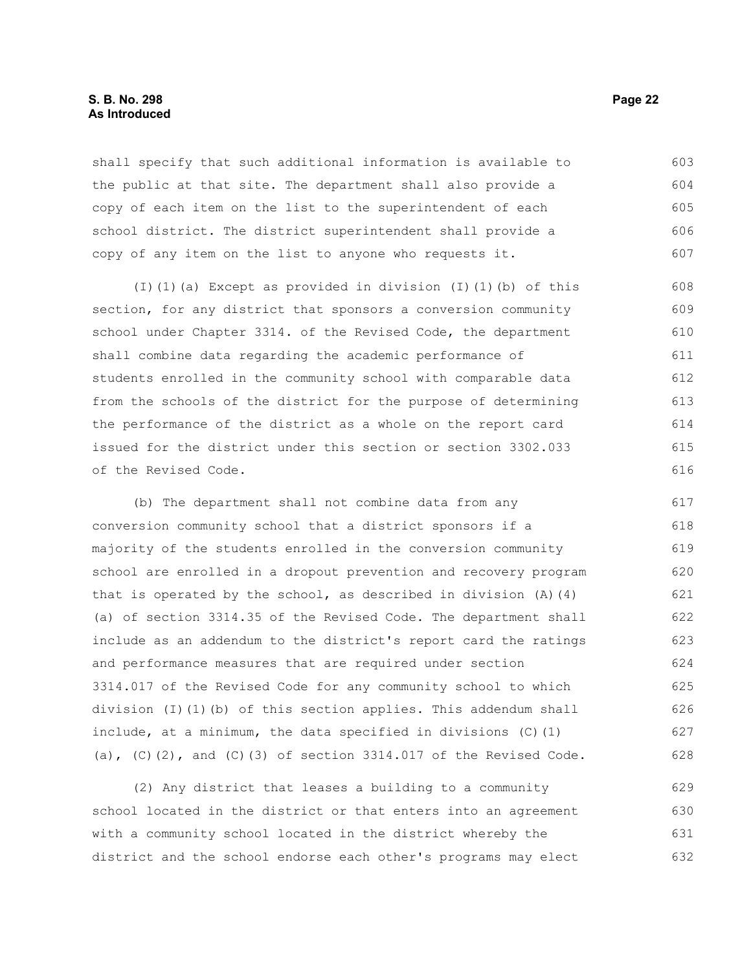#### **S. B. No. 298 Page 22 As Introduced**

shall specify that such additional information is available to the public at that site. The department shall also provide a copy of each item on the list to the superintendent of each school district. The district superintendent shall provide a copy of any item on the list to anyone who requests it. 603 604 605 606 607

(I)(1)(a) Except as provided in division (I)(1)(b) of this section, for any district that sponsors a conversion community school under Chapter 3314. of the Revised Code, the department shall combine data regarding the academic performance of students enrolled in the community school with comparable data from the schools of the district for the purpose of determining the performance of the district as a whole on the report card issued for the district under this section or section 3302.033 of the Revised Code. 608 609 610 611 612 613 614 615 616

(b) The department shall not combine data from any conversion community school that a district sponsors if a majority of the students enrolled in the conversion community school are enrolled in a dropout prevention and recovery program that is operated by the school, as described in division  $(A)$   $(4)$ (a) of section 3314.35 of the Revised Code. The department shall include as an addendum to the district's report card the ratings and performance measures that are required under section 3314.017 of the Revised Code for any community school to which division (I)(1)(b) of this section applies. This addendum shall include, at a minimum, the data specified in divisions (C)(1) (a),  $(C)$ (2), and  $(C)$ (3) of section 3314.017 of the Revised Code. 617 618 619 620 621 622 623 624 625 626 627 628

(2) Any district that leases a building to a community school located in the district or that enters into an agreement with a community school located in the district whereby the district and the school endorse each other's programs may elect 629 630 631 632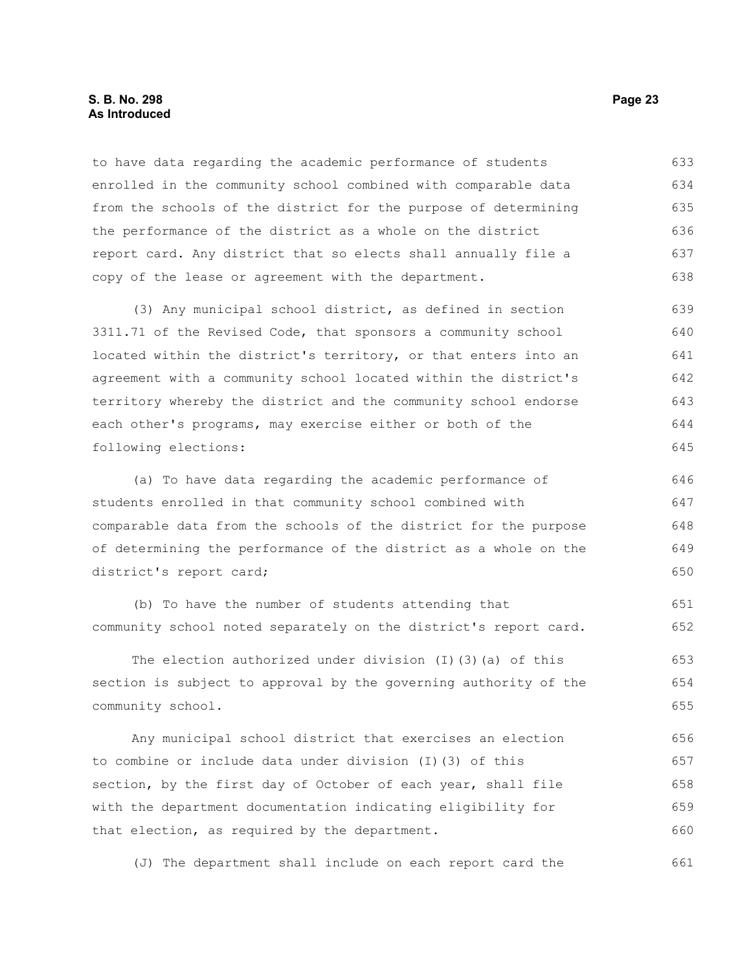#### **S. B. No. 298 Page 23 As Introduced**

to have data regarding the academic performance of students enrolled in the community school combined with comparable data from the schools of the district for the purpose of determining the performance of the district as a whole on the district report card. Any district that so elects shall annually file a copy of the lease or agreement with the department. 633 634 635 636 637 638

(3) Any municipal school district, as defined in section 3311.71 of the Revised Code, that sponsors a community school located within the district's territory, or that enters into an agreement with a community school located within the district's territory whereby the district and the community school endorse each other's programs, may exercise either or both of the following elections: 639 640 641 642 643 644 645

(a) To have data regarding the academic performance of students enrolled in that community school combined with comparable data from the schools of the district for the purpose of determining the performance of the district as a whole on the district's report card; 646 647 648 649 650

(b) To have the number of students attending that community school noted separately on the district's report card.

The election authorized under division  $(I)(3)(a)$  of this section is subject to approval by the governing authority of the community school. 653 654 655

Any municipal school district that exercises an election to combine or include data under division (I)(3) of this section, by the first day of October of each year, shall file with the department documentation indicating eligibility for that election, as required by the department. 656 657 658 659 660

(J) The department shall include on each report card the 661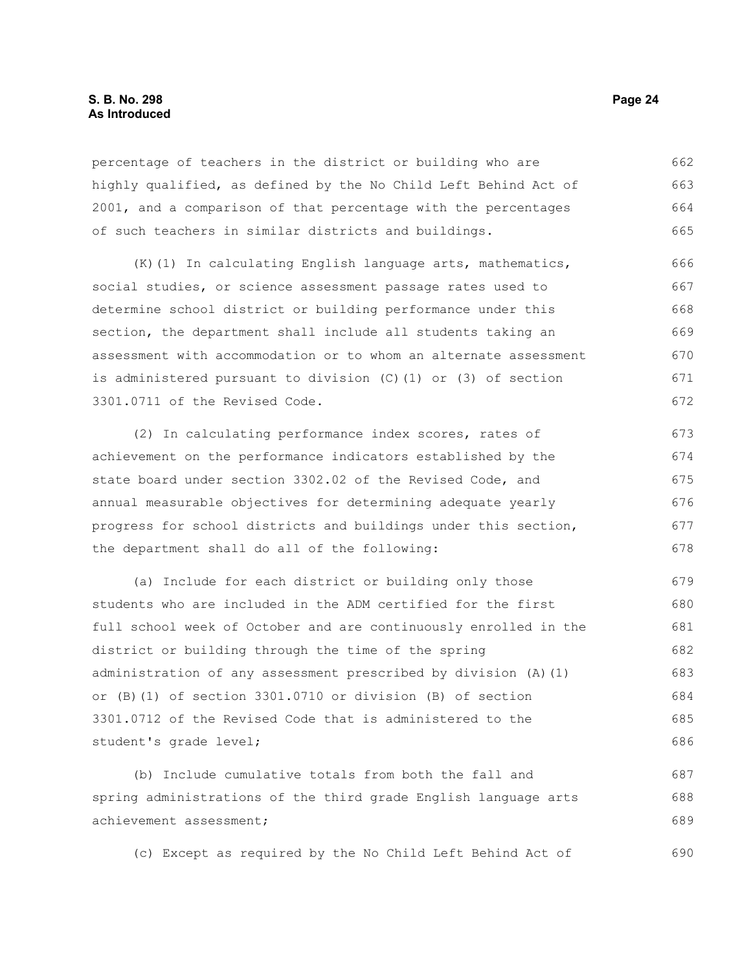#### **S. B. No. 298 Page 24 As Introduced**

percentage of teachers in the district or building who are highly qualified, as defined by the No Child Left Behind Act of 2001, and a comparison of that percentage with the percentages of such teachers in similar districts and buildings. 662 663 664 665

(K)(1) In calculating English language arts, mathematics, social studies, or science assessment passage rates used to determine school district or building performance under this section, the department shall include all students taking an assessment with accommodation or to whom an alternate assessment is administered pursuant to division (C)(1) or (3) of section 3301.0711 of the Revised Code. 666 667 668 669 670 671 672

(2) In calculating performance index scores, rates of achievement on the performance indicators established by the state board under section 3302.02 of the Revised Code, and annual measurable objectives for determining adequate yearly progress for school districts and buildings under this section, the department shall do all of the following: 673 674 675 676 677 678

(a) Include for each district or building only those students who are included in the ADM certified for the first full school week of October and are continuously enrolled in the district or building through the time of the spring administration of any assessment prescribed by division (A)(1) or (B)(1) of section 3301.0710 or division (B) of section 3301.0712 of the Revised Code that is administered to the student's grade level; 679 680 681 682 683 684 685 686

(b) Include cumulative totals from both the fall and spring administrations of the third grade English language arts achievement assessment; 687 688 689

(c) Except as required by the No Child Left Behind Act of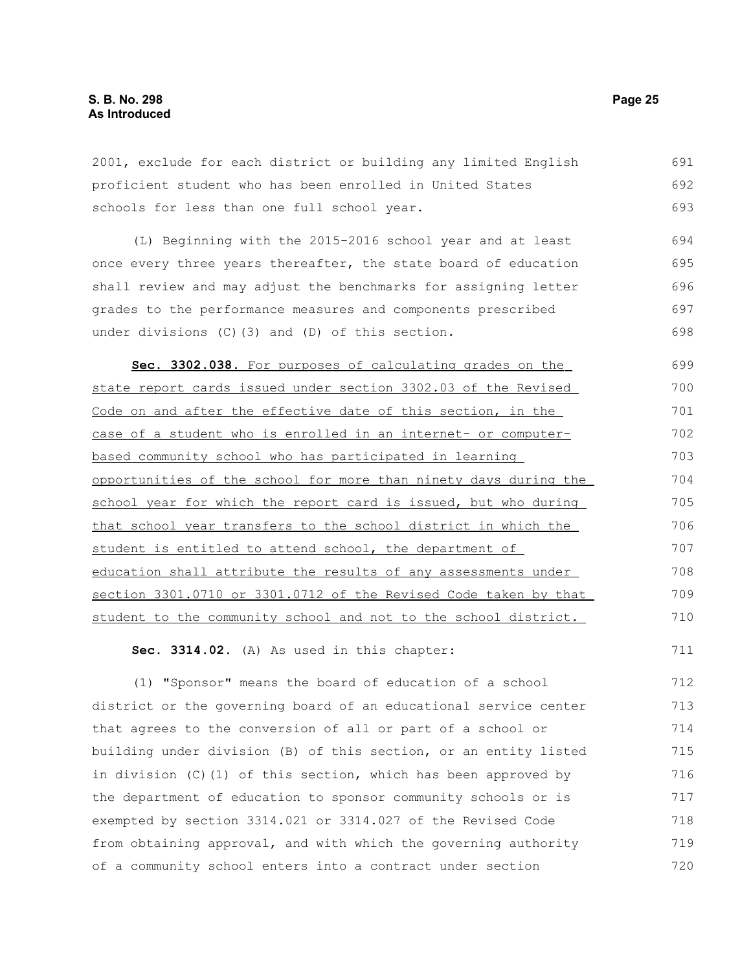2001, exclude for each district or building any limited English proficient student who has been enrolled in United States schools for less than one full school year. 691 692 693

(L) Beginning with the 2015-2016 school year and at least once every three years thereafter, the state board of education shall review and may adjust the benchmarks for assigning letter grades to the performance measures and components prescribed under divisions (C)(3) and (D) of this section. 694 695 696 697 698

 **Sec. 3302.038.** For purposes of calculating grades on the state report cards issued under section 3302.03 of the Revised Code on and after the effective date of this section, in the case of a student who is enrolled in an internet- or computerbased community school who has participated in learning opportunities of the school for more than ninety days during the school year for which the report card is issued, but who during that school year transfers to the school district in which the student is entitled to attend school, the department of education shall attribute the results of any assessments under section 3301.0710 or 3301.0712 of the Revised Code taken by that student to the community school and not to the school district. 699 700 701 702 703 704 705 706 707 708 709 710

**Sec. 3314.02.** (A) As used in this chapter:

(1) "Sponsor" means the board of education of a school district or the governing board of an educational service center that agrees to the conversion of all or part of a school or building under division (B) of this section, or an entity listed in division (C)(1) of this section, which has been approved by the department of education to sponsor community schools or is exempted by section 3314.021 or 3314.027 of the Revised Code from obtaining approval, and with which the governing authority of a community school enters into a contract under section 712 713 714 715 716 717 718 719 720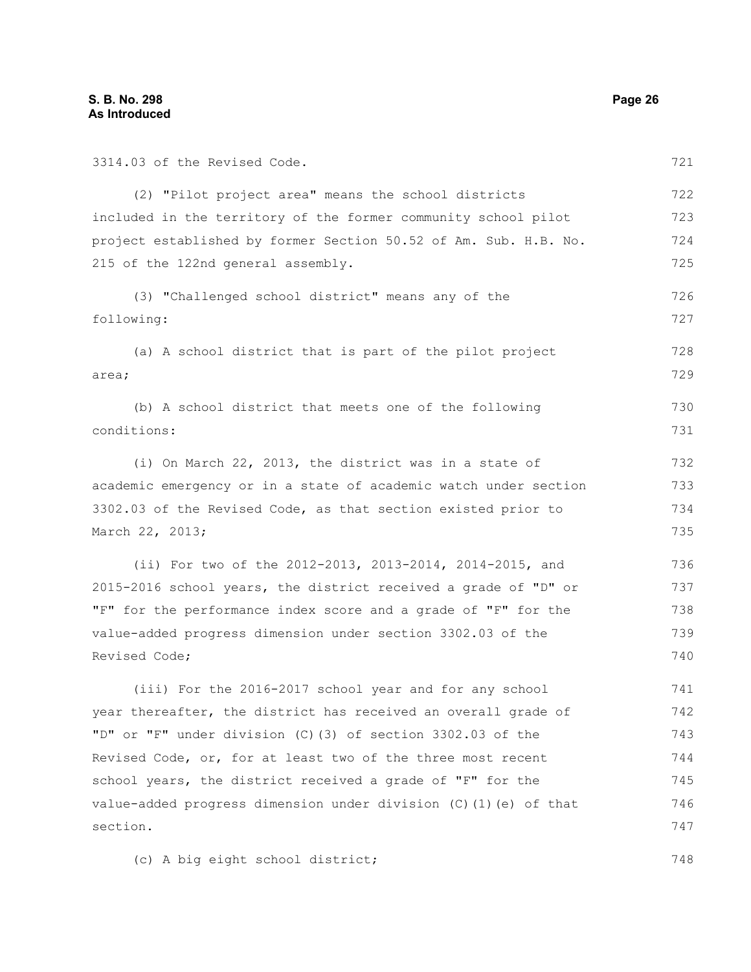| 3314.03 of the Revised Code.                                      | 721 |
|-------------------------------------------------------------------|-----|
| (2) "Pilot project area" means the school districts               | 722 |
| included in the territory of the former community school pilot    | 723 |
| project established by former Section 50.52 of Am. Sub. H.B. No.  | 724 |
| 215 of the 122nd general assembly.                                | 725 |
| (3) "Challenged school district" means any of the                 | 726 |
| following:                                                        | 727 |
| (a) A school district that is part of the pilot project           | 728 |
| area;                                                             | 729 |
| (b) A school district that meets one of the following             | 730 |
| conditions:                                                       | 731 |
| (i) On March 22, 2013, the district was in a state of             | 732 |
| academic emergency or in a state of academic watch under section  | 733 |
| 3302.03 of the Revised Code, as that section existed prior to     |     |
| March 22, 2013;                                                   |     |
| (ii) For two of the 2012-2013, 2013-2014, 2014-2015, and          | 736 |
| 2015-2016 school years, the district received a grade of "D" or   | 737 |
| "F" for the performance index score and a grade of "F" for the    | 738 |
| value-added progress dimension under section 3302.03 of the       | 739 |
| Revised Code;                                                     | 740 |
| (iii) For the 2016-2017 school year and for any school            | 741 |
| year thereafter, the district has received an overall grade of    | 742 |
| "D" or "F" under division (C) (3) of section 3302.03 of the       | 743 |
| Revised Code, or, for at least two of the three most recent       | 744 |
| school years, the district received a grade of "F" for the        | 745 |
| value-added progress dimension under division (C) (1) (e) of that | 746 |
| section.                                                          | 747 |

(c) A big eight school district;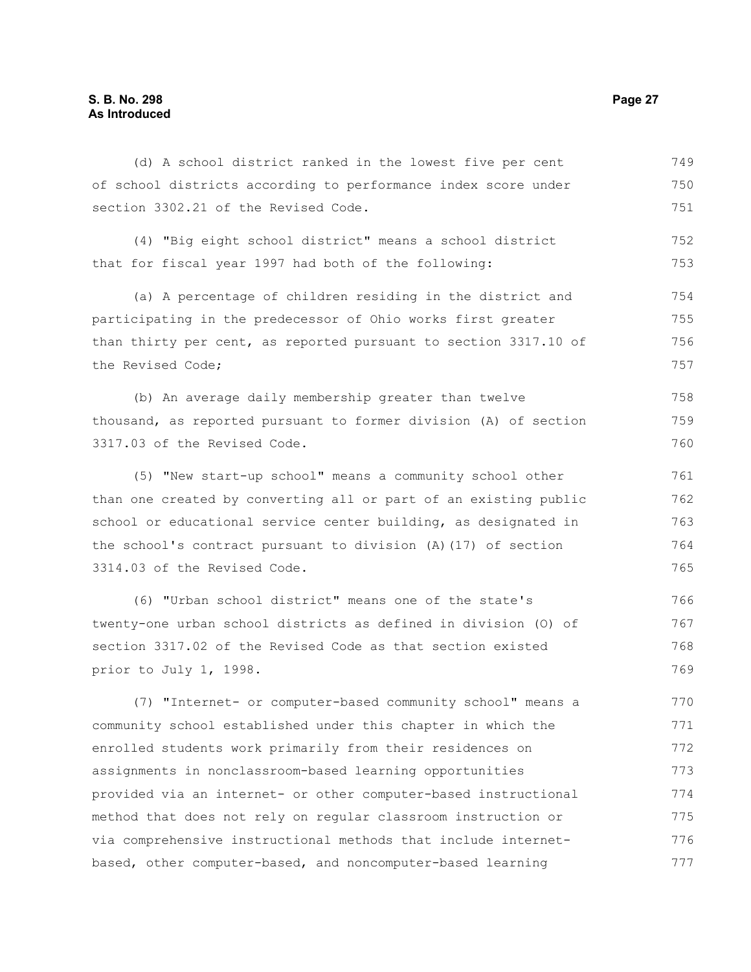#### **S. B. No. 298 Page 27 As Introduced**

of school districts according to performance index score under section 3302.21 of the Revised Code. (4) "Big eight school district" means a school district that for fiscal year 1997 had both of the following: (a) A percentage of children residing in the district and participating in the predecessor of Ohio works first greater than thirty per cent, as reported pursuant to section 3317.10 of the Revised Code; (b) An average daily membership greater than twelve thousand, as reported pursuant to former division (A) of section 3317.03 of the Revised Code. (5) "New start-up school" means a community school other than one created by converting all or part of an existing public school or educational service center building, as designated in the school's contract pursuant to division (A)(17) of section 750 751 752 753 754 755 756 757 758 759 760 761 762 763 764

(d) A school district ranked in the lowest five per cent

3314.03 of the Revised Code.

(6) "Urban school district" means one of the state's twenty-one urban school districts as defined in division (O) of section 3317.02 of the Revised Code as that section existed prior to July 1, 1998. 766 767 768 769

(7) "Internet- or computer-based community school" means a community school established under this chapter in which the enrolled students work primarily from their residences on assignments in nonclassroom-based learning opportunities provided via an internet- or other computer-based instructional method that does not rely on regular classroom instruction or via comprehensive instructional methods that include internetbased, other computer-based, and noncomputer-based learning 770 771 772 773 774 775 776 777

749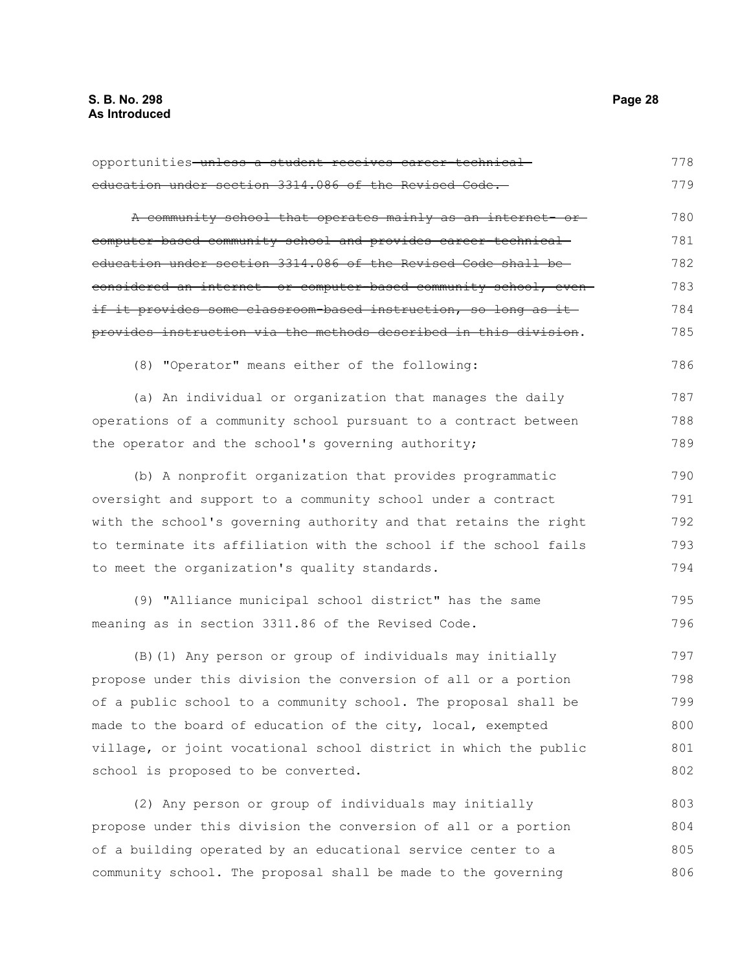opportunities unless a student receives career-technicaleducation under section 3314.086 of the Revised Code. A community school that operates mainly as an internet- orcomputer-based community school and provides career-technical education under section 3314.086 of the Revised Code shall be considered an internet- or computer-based community school, even if it provides some classroom-based instruction, so long as it provides instruction via the methods described in this division. (8) "Operator" means either of the following: (a) An individual or organization that manages the daily operations of a community school pursuant to a contract between the operator and the school's governing authority; (b) A nonprofit organization that provides programmatic oversight and support to a community school under a contract with the school's governing authority and that retains the right to terminate its affiliation with the school if the school fails to meet the organization's quality standards. (9) "Alliance municipal school district" has the same meaning as in section 3311.86 of the Revised Code. (B)(1) Any person or group of individuals may initially propose under this division the conversion of all or a portion of a public school to a community school. The proposal shall be made to the board of education of the city, local, exempted village, or joint vocational school district in which the public school is proposed to be converted. (2) Any person or group of individuals may initially propose under this division the conversion of all or a portion of a building operated by an educational service center to a community school. The proposal shall be made to the governing 778 779 780 781 782 783 784 785 786 787 788 789 790 791 792 793 794 795 796 797 798 799 800 801 802 803 804 805 806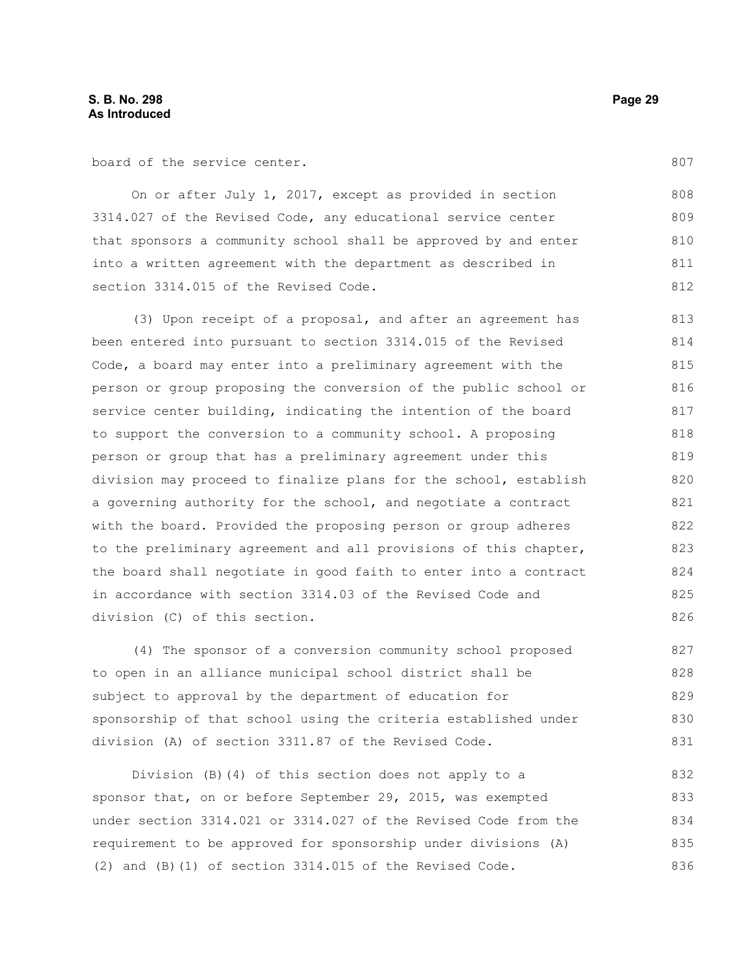board of the service center.

On or after July 1, 2017, except as provided in section 3314.027 of the Revised Code, any educational service center that sponsors a community school shall be approved by and enter into a written agreement with the department as described in section 3314.015 of the Revised Code. 808 809 810 811 812

(3) Upon receipt of a proposal, and after an agreement has been entered into pursuant to section 3314.015 of the Revised Code, a board may enter into a preliminary agreement with the person or group proposing the conversion of the public school or service center building, indicating the intention of the board to support the conversion to a community school. A proposing person or group that has a preliminary agreement under this division may proceed to finalize plans for the school, establish a governing authority for the school, and negotiate a contract with the board. Provided the proposing person or group adheres to the preliminary agreement and all provisions of this chapter, the board shall negotiate in good faith to enter into a contract in accordance with section 3314.03 of the Revised Code and division (C) of this section. 813 814 815 816 817 818 819 820 821 822 823 824 825 826

(4) The sponsor of a conversion community school proposed to open in an alliance municipal school district shall be subject to approval by the department of education for sponsorship of that school using the criteria established under division (A) of section 3311.87 of the Revised Code. 827 828 829 830 831

Division (B)(4) of this section does not apply to a sponsor that, on or before September 29, 2015, was exempted under section 3314.021 or 3314.027 of the Revised Code from the requirement to be approved for sponsorship under divisions (A) (2) and (B)(1) of section 3314.015 of the Revised Code. 832 833 834 835 836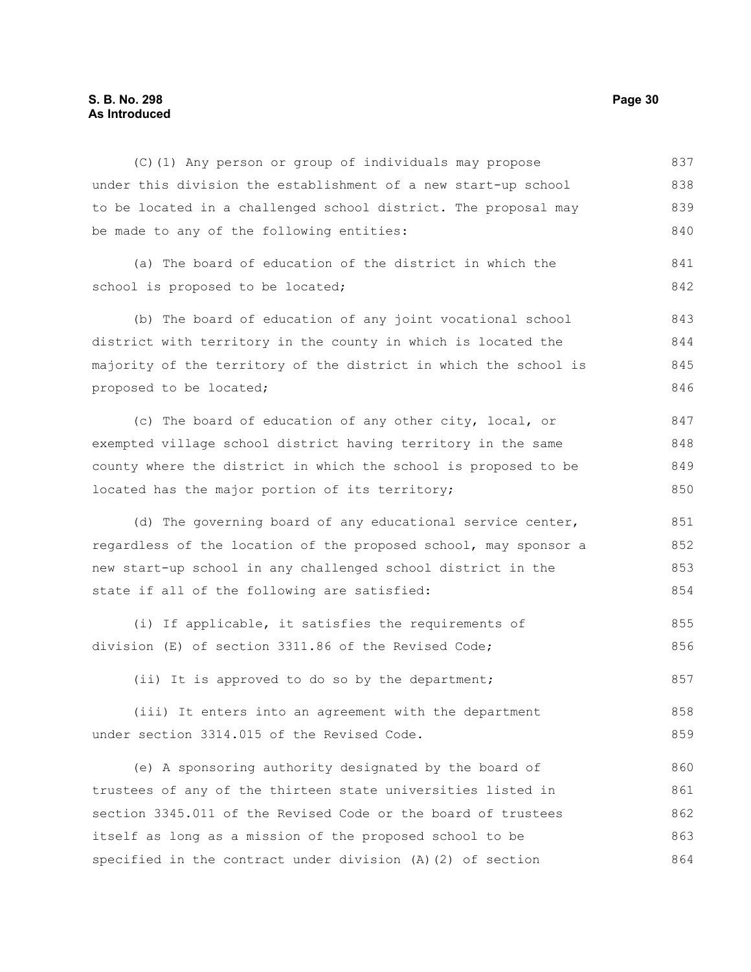### **S. B. No. 298 Page 30 As Introduced**

| (C)(1) Any person or group of individuals may propose            | 837 |
|------------------------------------------------------------------|-----|
| under this division the establishment of a new start-up school   | 838 |
| to be located in a challenged school district. The proposal may  | 839 |
| be made to any of the following entities:                        | 840 |
| (a) The board of education of the district in which the          | 841 |
| school is proposed to be located;                                | 842 |
| (b) The board of education of any joint vocational school        | 843 |
| district with territory in the county in which is located the    | 844 |
| majority of the territory of the district in which the school is | 845 |
| proposed to be located;                                          | 846 |
| (c) The board of education of any other city, local, or          | 847 |
| exempted village school district having territory in the same    | 848 |
| county where the district in which the school is proposed to be  | 849 |
| located has the major portion of its territory;                  | 850 |
| (d) The governing board of any educational service center,       | 851 |
| regardless of the location of the proposed school, may sponsor a | 852 |
| new start-up school in any challenged school district in the     | 853 |
| state if all of the following are satisfied:                     | 854 |
| (i) If applicable, it satisfies the requirements of              | 855 |
| division (E) of section 3311.86 of the Revised Code;             | 856 |
| (ii) It is approved to do so by the department;                  | 857 |
| (iii) It enters into an agreement with the department            | 858 |
| under section 3314.015 of the Revised Code.                      | 859 |
| (e) A sponsoring authority designated by the board of            | 860 |
| trustees of any of the thirteen state universities listed in     | 861 |
| section 3345.011 of the Revised Code or the board of trustees    | 862 |
| itself as long as a mission of the proposed school to be         | 863 |
| specified in the contract under division (A) (2) of section      | 864 |
|                                                                  |     |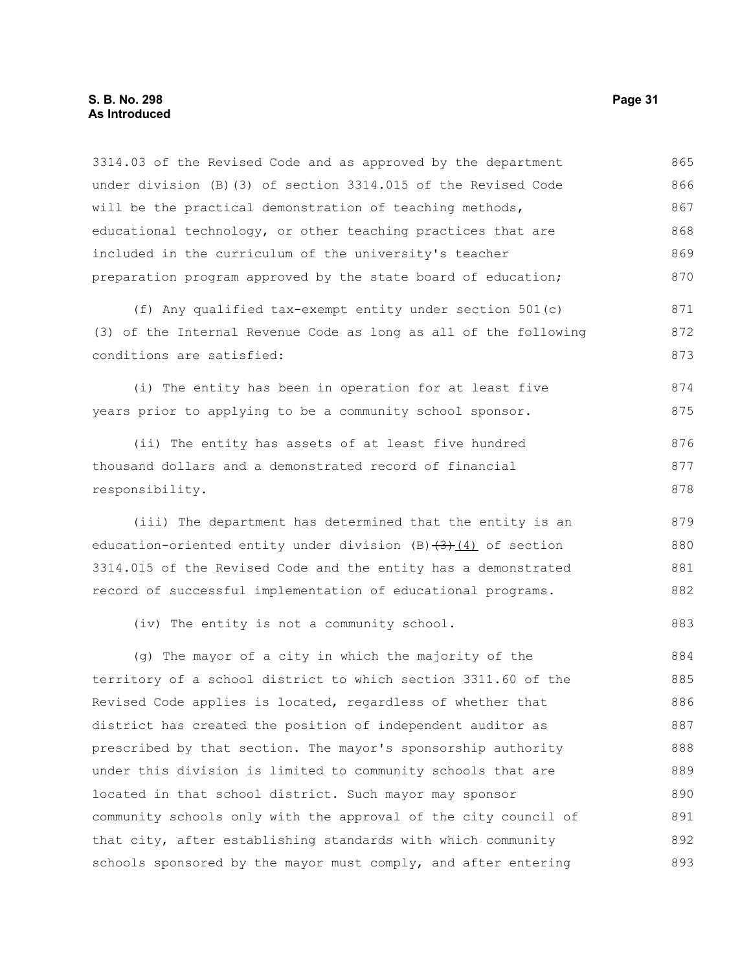3314.03 of the Revised Code and as approved by the department under division (B)(3) of section 3314.015 of the Revised Code will be the practical demonstration of teaching methods, educational technology, or other teaching practices that are included in the curriculum of the university's teacher preparation program approved by the state board of education; (f) Any qualified tax-exempt entity under section 501(c) 865 866 867 868 869 870 871

(3) of the Internal Revenue Code as long as all of the following conditions are satisfied: 872 873

(i) The entity has been in operation for at least five years prior to applying to be a community school sponsor. 874 875

(ii) The entity has assets of at least five hundred thousand dollars and a demonstrated record of financial responsibility. 876 877 878

(iii) The department has determined that the entity is an education-oriented entity under division  $(B)$  (3)(3) of section 3314.015 of the Revised Code and the entity has a demonstrated record of successful implementation of educational programs. 879 880 881 882

(iv) The entity is not a community school.

(g) The mayor of a city in which the majority of the territory of a school district to which section 3311.60 of the Revised Code applies is located, regardless of whether that district has created the position of independent auditor as prescribed by that section. The mayor's sponsorship authority under this division is limited to community schools that are located in that school district. Such mayor may sponsor community schools only with the approval of the city council of that city, after establishing standards with which community schools sponsored by the mayor must comply, and after entering 884 885 886 887 888 889 890 891 892 893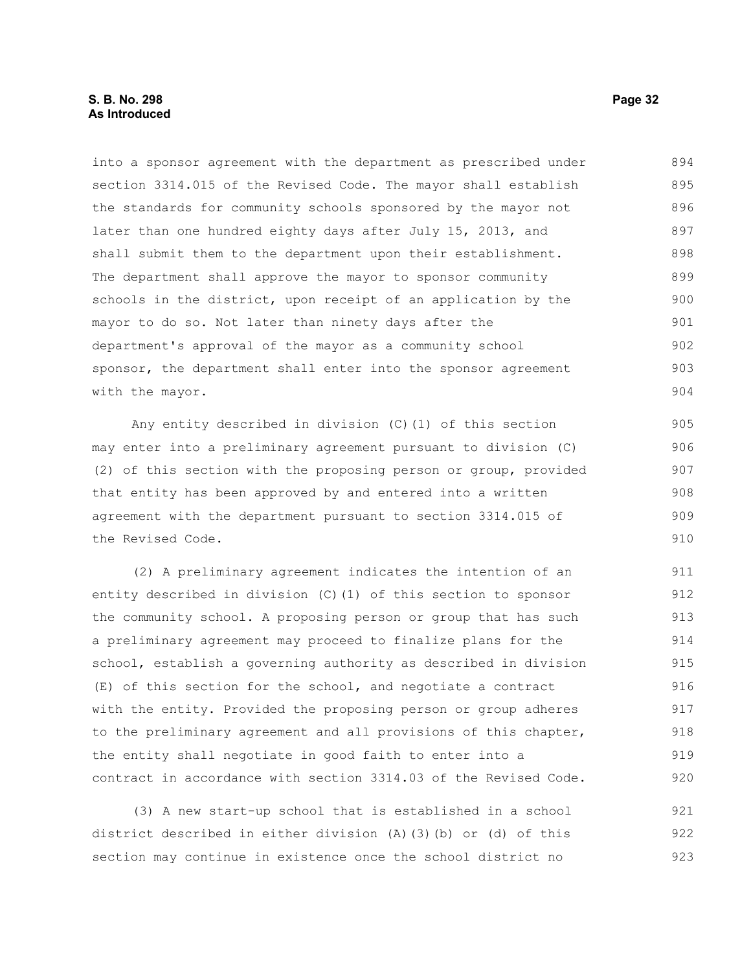#### **S. B. No. 298 Page 32 As Introduced**

into a sponsor agreement with the department as prescribed under section 3314.015 of the Revised Code. The mayor shall establish the standards for community schools sponsored by the mayor not later than one hundred eighty days after July 15, 2013, and shall submit them to the department upon their establishment. The department shall approve the mayor to sponsor community schools in the district, upon receipt of an application by the mayor to do so. Not later than ninety days after the department's approval of the mayor as a community school sponsor, the department shall enter into the sponsor agreement with the mayor. 894 895 896 897 898 899 900 901 902 903 904

Any entity described in division (C)(1) of this section may enter into a preliminary agreement pursuant to division (C) (2) of this section with the proposing person or group, provided that entity has been approved by and entered into a written agreement with the department pursuant to section 3314.015 of the Revised Code.

(2) A preliminary agreement indicates the intention of an entity described in division (C)(1) of this section to sponsor the community school. A proposing person or group that has such a preliminary agreement may proceed to finalize plans for the school, establish a governing authority as described in division (E) of this section for the school, and negotiate a contract with the entity. Provided the proposing person or group adheres to the preliminary agreement and all provisions of this chapter, the entity shall negotiate in good faith to enter into a contract in accordance with section 3314.03 of the Revised Code. 911 912 913 914 915 916 917 918 919 920

(3) A new start-up school that is established in a school district described in either division (A)(3)(b) or (d) of this section may continue in existence once the school district no 921 922 923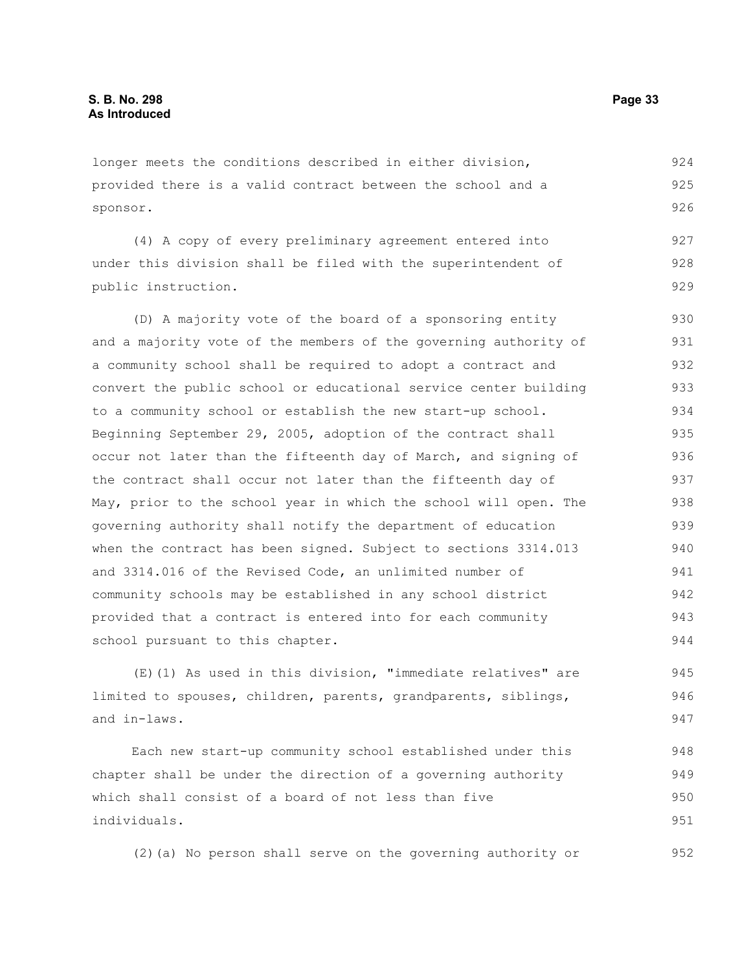longer meets the conditions described in either division, provided there is a valid contract between the school and a sponsor.

(4) A copy of every preliminary agreement entered into under this division shall be filed with the superintendent of public instruction. 927 928 929

(D) A majority vote of the board of a sponsoring entity and a majority vote of the members of the governing authority of a community school shall be required to adopt a contract and convert the public school or educational service center building to a community school or establish the new start-up school. Beginning September 29, 2005, adoption of the contract shall occur not later than the fifteenth day of March, and signing of the contract shall occur not later than the fifteenth day of May, prior to the school year in which the school will open. The governing authority shall notify the department of education when the contract has been signed. Subject to sections 3314.013 and 3314.016 of the Revised Code, an unlimited number of community schools may be established in any school district provided that a contract is entered into for each community school pursuant to this chapter. 930 931 932 933 934 935 936 937 938 939 940 941 942 943 944

(E)(1) As used in this division, "immediate relatives" are limited to spouses, children, parents, grandparents, siblings, and in-laws. 945 946 947

Each new start-up community school established under this chapter shall be under the direction of a governing authority which shall consist of a board of not less than five individuals. 948 949 950 951

(2)(a) No person shall serve on the governing authority or

924 925 926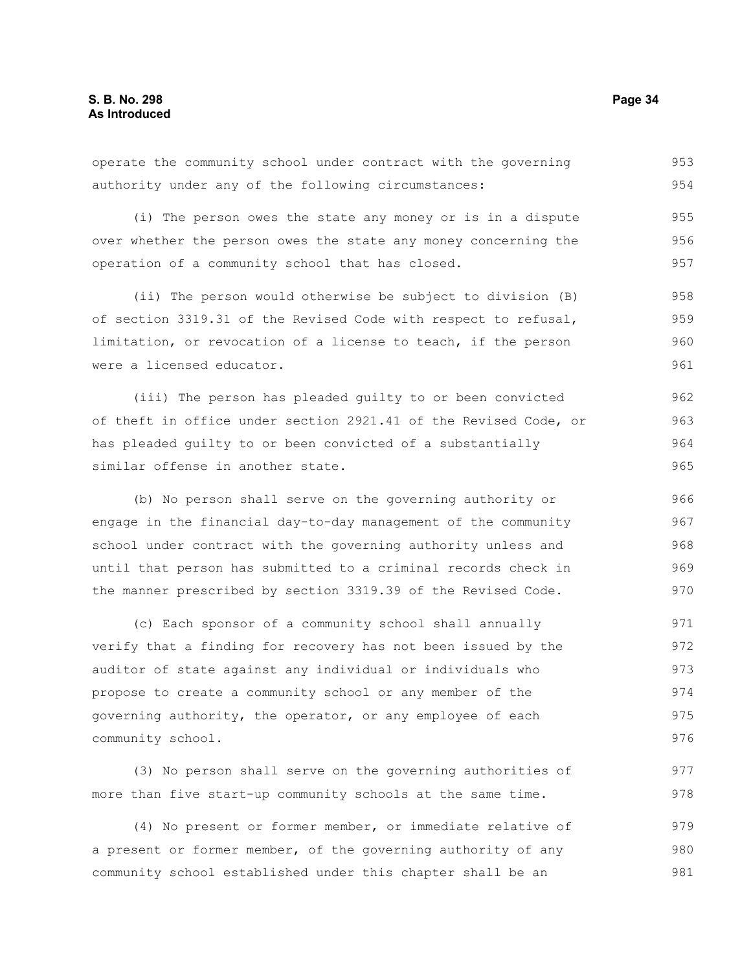operate the community school under contract with the governing authority under any of the following circumstances: 953 954

(i) The person owes the state any money or is in a dispute over whether the person owes the state any money concerning the operation of a community school that has closed. 955 956 957

(ii) The person would otherwise be subject to division (B) of section 3319.31 of the Revised Code with respect to refusal, limitation, or revocation of a license to teach, if the person were a licensed educator. 958 959 960 961

(iii) The person has pleaded guilty to or been convicted of theft in office under section 2921.41 of the Revised Code, or has pleaded guilty to or been convicted of a substantially similar offense in another state.

(b) No person shall serve on the governing authority or engage in the financial day-to-day management of the community school under contract with the governing authority unless and until that person has submitted to a criminal records check in the manner prescribed by section 3319.39 of the Revised Code. 966 967 968 969 970

(c) Each sponsor of a community school shall annually verify that a finding for recovery has not been issued by the auditor of state against any individual or individuals who propose to create a community school or any member of the governing authority, the operator, or any employee of each community school. 971 972 973 974 975 976

(3) No person shall serve on the governing authorities of more than five start-up community schools at the same time.

(4) No present or former member, or immediate relative of a present or former member, of the governing authority of any community school established under this chapter shall be an 979 980 981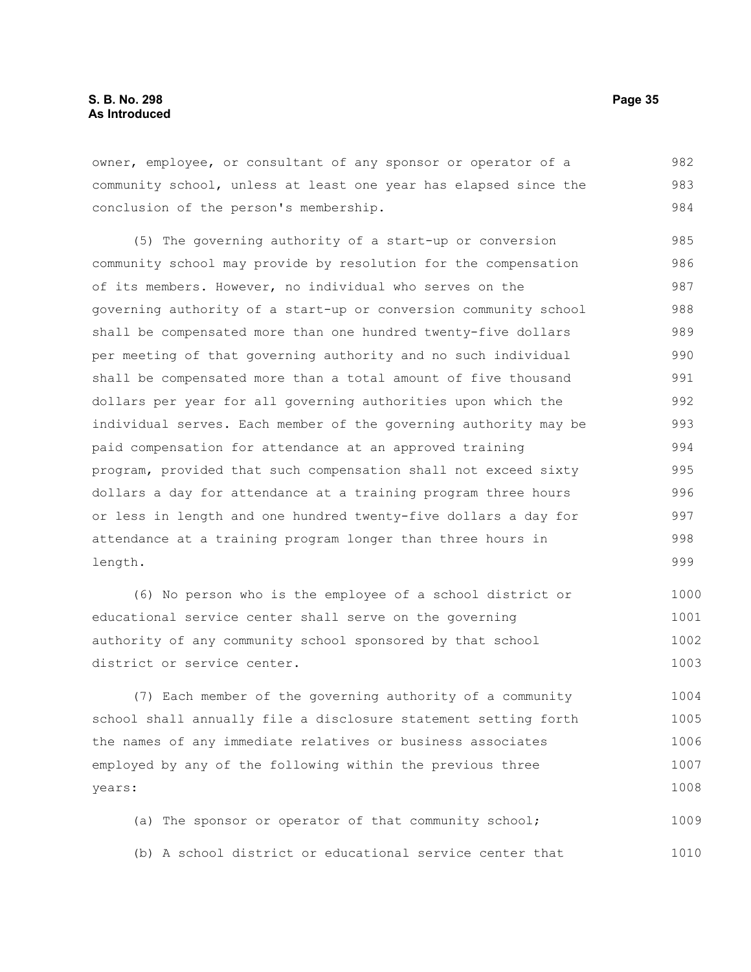owner, employee, or consultant of any sponsor or operator of a community school, unless at least one year has elapsed since the conclusion of the person's membership. 982 983 984

(5) The governing authority of a start-up or conversion community school may provide by resolution for the compensation of its members. However, no individual who serves on the governing authority of a start-up or conversion community school shall be compensated more than one hundred twenty-five dollars per meeting of that governing authority and no such individual shall be compensated more than a total amount of five thousand dollars per year for all governing authorities upon which the individual serves. Each member of the governing authority may be paid compensation for attendance at an approved training program, provided that such compensation shall not exceed sixty dollars a day for attendance at a training program three hours or less in length and one hundred twenty-five dollars a day for attendance at a training program longer than three hours in length. 985 986 987 988 989 990 991 992 993 994 995 996 997 998 999

(6) No person who is the employee of a school district or educational service center shall serve on the governing authority of any community school sponsored by that school district or service center. 1000 1001 1002 1003

(7) Each member of the governing authority of a community school shall annually file a disclosure statement setting forth the names of any immediate relatives or business associates employed by any of the following within the previous three years: 1004 1005 1006 1007 1008

(a) The sponsor or operator of that community school; (b) A school district or educational service center that 1009 1010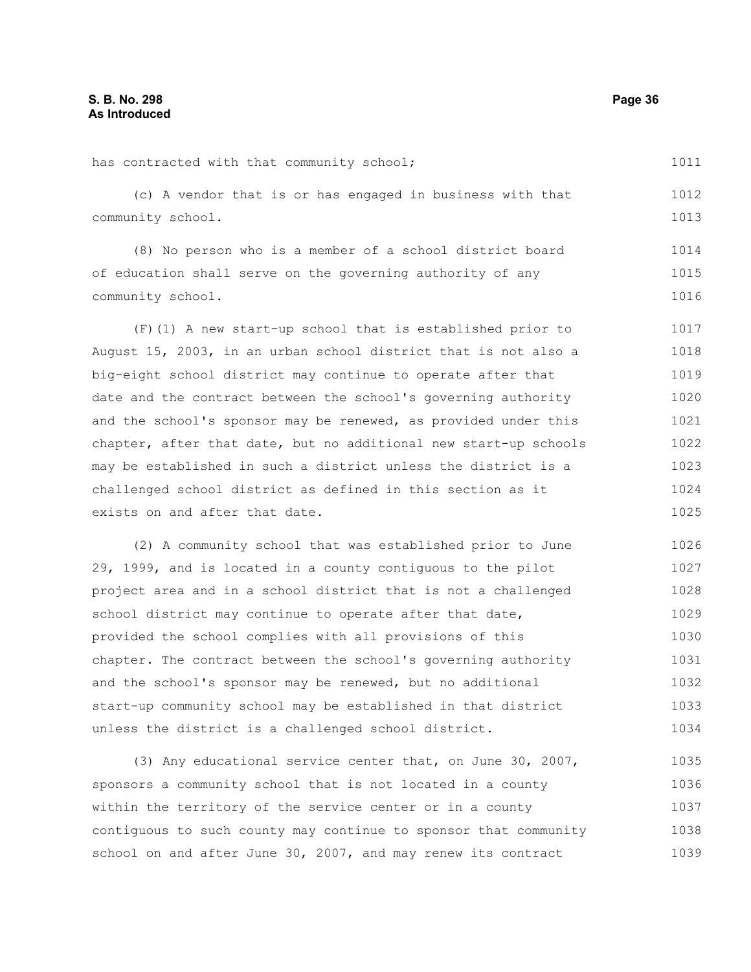has contracted with that community school; (c) A vendor that is or has engaged in business with that community school. (8) No person who is a member of a school district board of education shall serve on the governing authority of any community school. (F)(1) A new start-up school that is established prior to August 15, 2003, in an urban school district that is not also a big-eight school district may continue to operate after that date and the contract between the school's governing authority and the school's sponsor may be renewed, as provided under this chapter, after that date, but no additional new start-up schools may be established in such a district unless the district is a challenged school district as defined in this section as it exists on and after that date. (2) A community school that was established prior to June 29, 1999, and is located in a county contiguous to the pilot project area and in a school district that is not a challenged school district may continue to operate after that date, provided the school complies with all provisions of this chapter. The contract between the school's governing authority and the school's sponsor may be renewed, but no additional start-up community school may be established in that district 1011 1012 1013 1014 1015 1016 1017 1018 1019 1020 1021 1022 1023 1024 1025 1026 1027 1028 1029 1030 1031 1032 1033

(3) Any educational service center that, on June 30, 2007, sponsors a community school that is not located in a county within the territory of the service center or in a county contiguous to such county may continue to sponsor that community school on and after June 30, 2007, and may renew its contract 1035 1036 1037 1038 1039

unless the district is a challenged school district.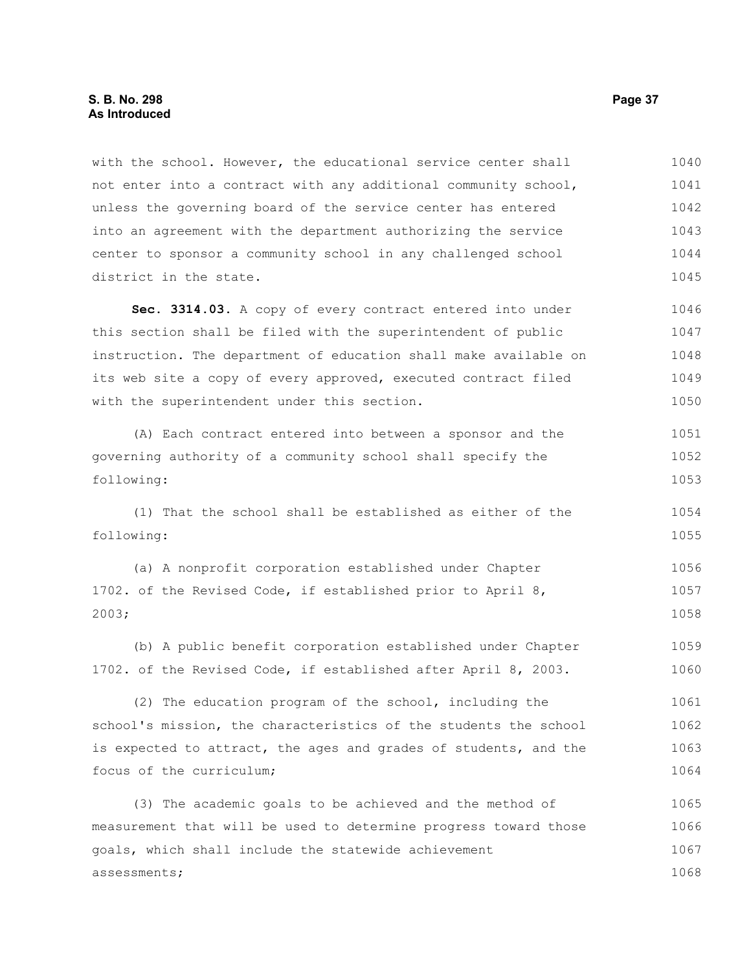with the school. However, the educational service center shall not enter into a contract with any additional community school, unless the governing board of the service center has entered into an agreement with the department authorizing the service center to sponsor a community school in any challenged school district in the state. 1040 1041 1042 1043 1044 1045

**Sec. 3314.03.** A copy of every contract entered into under this section shall be filed with the superintendent of public instruction. The department of education shall make available on its web site a copy of every approved, executed contract filed with the superintendent under this section. 1046 1047 1048 1049 1050

(A) Each contract entered into between a sponsor and the governing authority of a community school shall specify the following: 1051 1052 1053

(1) That the school shall be established as either of the following: 1054 1055

(a) A nonprofit corporation established under Chapter 1702. of the Revised Code, if established prior to April 8, 2003; 1056 1057 1058

(b) A public benefit corporation established under Chapter 1702. of the Revised Code, if established after April 8, 2003. 1059 1060

(2) The education program of the school, including the school's mission, the characteristics of the students the school is expected to attract, the ages and grades of students, and the focus of the curriculum; 1061 1062 1063 1064

(3) The academic goals to be achieved and the method of measurement that will be used to determine progress toward those goals, which shall include the statewide achievement assessments; 1065 1066 1067 1068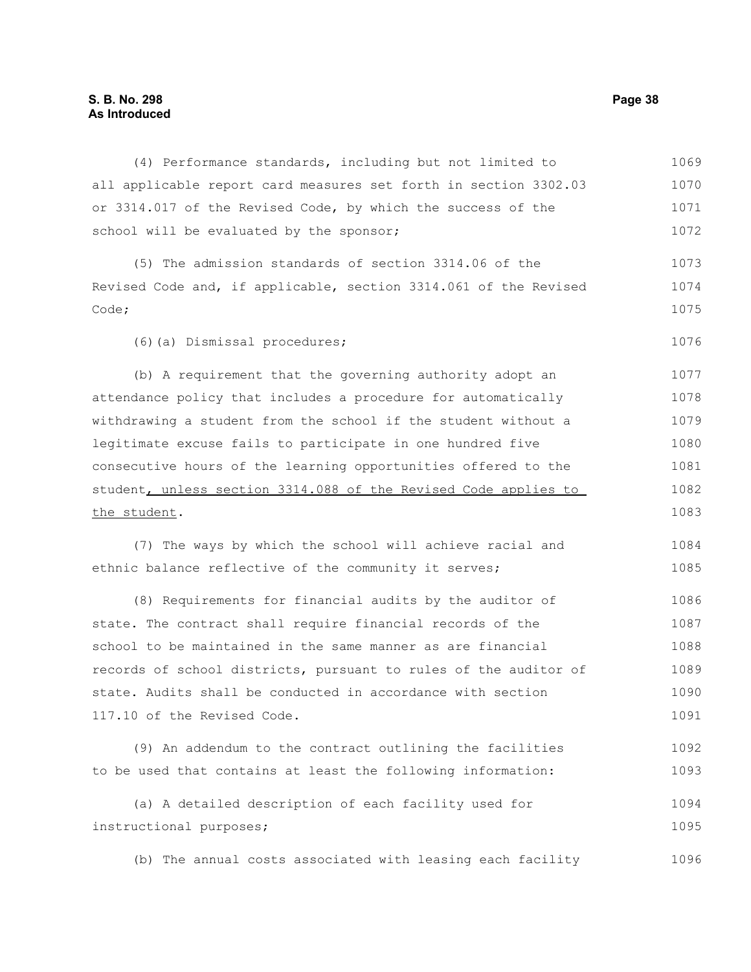# **S. B. No. 298 Page 38 As Introduced**

(4) Performance standards, including but not limited to all applicable report card measures set forth in section 3302.03 or 3314.017 of the Revised Code, by which the success of the school will be evaluated by the sponsor; (5) The admission standards of section 3314.06 of the Revised Code and, if applicable, section 3314.061 of the Revised Code; (6)(a) Dismissal procedures; (b) A requirement that the governing authority adopt an attendance policy that includes a procedure for automatically withdrawing a student from the school if the student without a legitimate excuse fails to participate in one hundred five consecutive hours of the learning opportunities offered to the student, unless section 3314.088 of the Revised Code applies to the student. (7) The ways by which the school will achieve racial and ethnic balance reflective of the community it serves; (8) Requirements for financial audits by the auditor of state. The contract shall require financial records of the school to be maintained in the same manner as are financial records of school districts, pursuant to rules of the auditor of state. Audits shall be conducted in accordance with section 117.10 of the Revised Code. (9) An addendum to the contract outlining the facilities to be used that contains at least the following information: (a) A detailed description of each facility used for instructional purposes; 1069 1070 1071 1072 1073 1074 1075 1076 1077 1078 1079 1080 1081 1082 1083 1084 1085 1086 1087 1088 1089 1090 1091 1092 1093 1094 1095

(b) The annual costs associated with leasing each facility 1096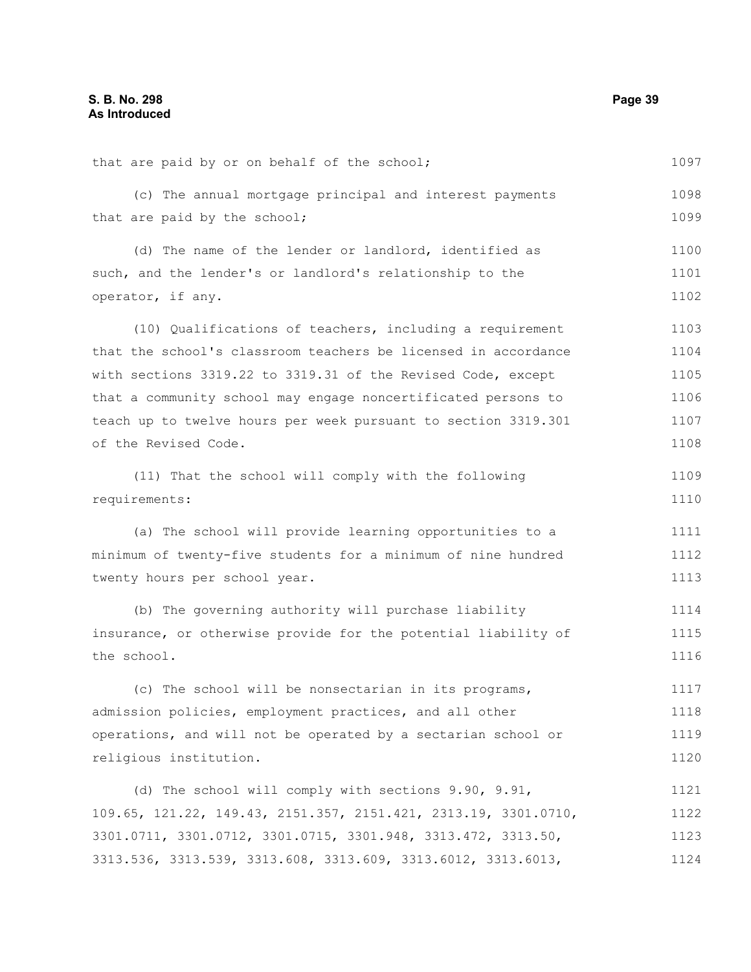that are paid by or on behalf of the school; (c) The annual mortgage principal and interest payments that are paid by the school; (d) The name of the lender or landlord, identified as such, and the lender's or landlord's relationship to the operator, if any. (10) Qualifications of teachers, including a requirement that the school's classroom teachers be licensed in accordance with sections 3319.22 to 3319.31 of the Revised Code, except that a community school may engage noncertificated persons to teach up to twelve hours per week pursuant to section 3319.301 of the Revised Code. (11) That the school will comply with the following requirements: (a) The school will provide learning opportunities to a minimum of twenty-five students for a minimum of nine hundred twenty hours per school year. (b) The governing authority will purchase liability insurance, or otherwise provide for the potential liability of the school. (c) The school will be nonsectarian in its programs, admission policies, employment practices, and all other operations, and will not be operated by a sectarian school or religious institution. (d) The school will comply with sections 9.90, 9.91, 109.65, 121.22, 149.43, 2151.357, 2151.421, 2313.19, 3301.0710, 3301.0711, 3301.0712, 3301.0715, 3301.948, 3313.472, 3313.50, 3313.536, 3313.539, 3313.608, 3313.609, 3313.6012, 3313.6013, 1097 1098 1099 1100 1101 1102 1103 1104 1105 1106 1107 1108 1109 1110 1111 1112 1113 1114 1115 1116 1117 1118 1119 1120 1121 1122 1123 1124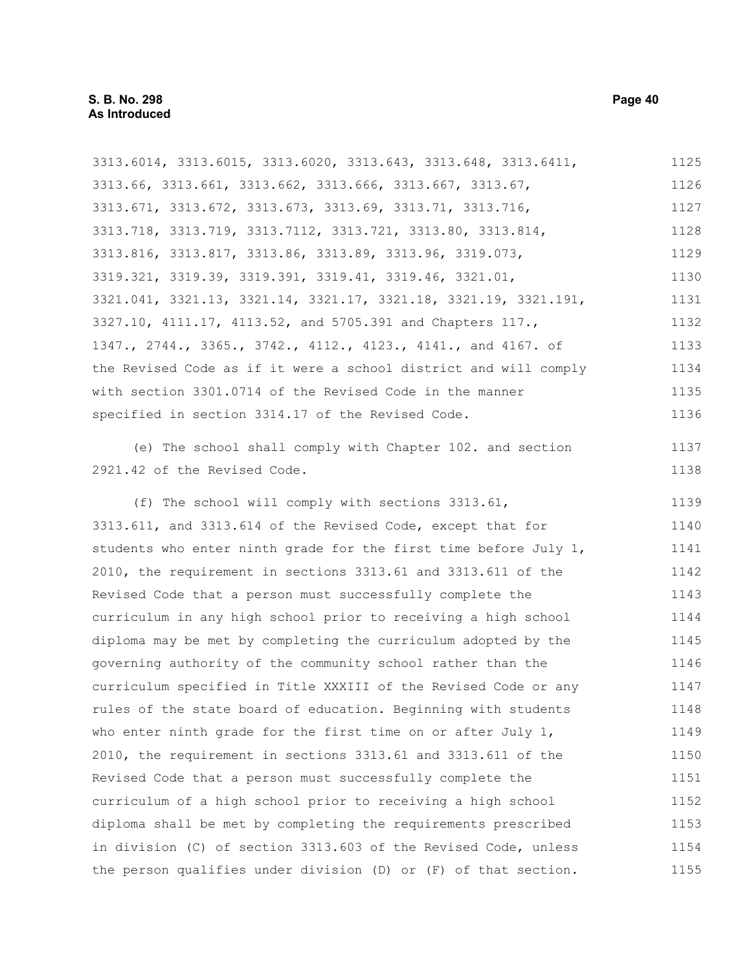3313.6014, 3313.6015, 3313.6020, 3313.643, 3313.648, 3313.6411, 3313.66, 3313.661, 3313.662, 3313.666, 3313.667, 3313.67, 3313.671, 3313.672, 3313.673, 3313.69, 3313.71, 3313.716, 3313.718, 3313.719, 3313.7112, 3313.721, 3313.80, 3313.814, 3313.816, 3313.817, 3313.86, 3313.89, 3313.96, 3319.073, 3319.321, 3319.39, 3319.391, 3319.41, 3319.46, 3321.01, 3321.041, 3321.13, 3321.14, 3321.17, 3321.18, 3321.19, 3321.191, 3327.10, 4111.17, 4113.52, and 5705.391 and Chapters 117., 1347., 2744., 3365., 3742., 4112., 4123., 4141., and 4167. of the Revised Code as if it were a school district and will comply with section 3301.0714 of the Revised Code in the manner specified in section 3314.17 of the Revised Code. (e) The school shall comply with Chapter 102. and section 2921.42 of the Revised Code. (f) The school will comply with sections 3313.61, 3313.611, and 3313.614 of the Revised Code, except that for students who enter ninth grade for the first time before July 1, 2010, the requirement in sections 3313.61 and 3313.611 of the Revised Code that a person must successfully complete the curriculum in any high school prior to receiving a high school diploma may be met by completing the curriculum adopted by the governing authority of the community school rather than the curriculum specified in Title XXXIII of the Revised Code or any rules of the state board of education. Beginning with students who enter ninth grade for the first time on or after July 1, 2010, the requirement in sections 3313.61 and 3313.611 of the 1125 1126 1127 1128 1129 1130 1131 1132 1133 1134 1135 1136 1137 1138 1139 1140 1141 1142 1143 1144 1145 1146 1147 1148 1149 1150

Revised Code that a person must successfully complete the curriculum of a high school prior to receiving a high school diploma shall be met by completing the requirements prescribed in division (C) of section 3313.603 of the Revised Code, unless the person qualifies under division (D) or (F) of that section. 1151 1152 1153 1154 1155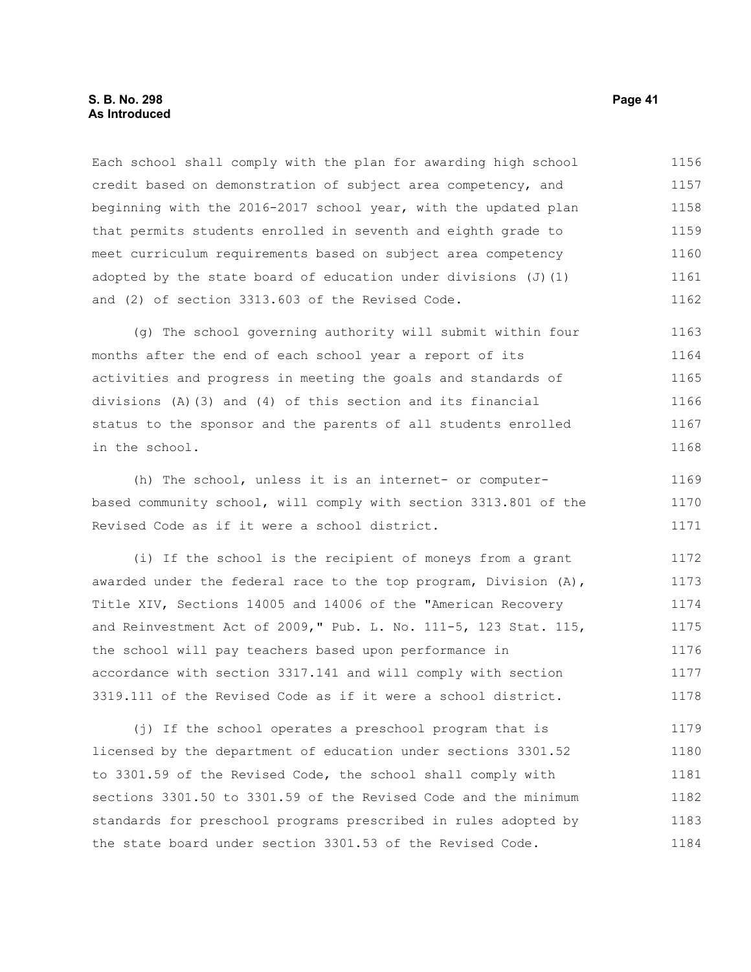Each school shall comply with the plan for awarding high school credit based on demonstration of subject area competency, and beginning with the 2016-2017 school year, with the updated plan that permits students enrolled in seventh and eighth grade to meet curriculum requirements based on subject area competency adopted by the state board of education under divisions (J)(1) and (2) of section 3313.603 of the Revised Code. 1156 1157 1158 1159 1160 1161 1162

(g) The school governing authority will submit within four months after the end of each school year a report of its activities and progress in meeting the goals and standards of divisions (A)(3) and (4) of this section and its financial status to the sponsor and the parents of all students enrolled in the school. 1163 1164 1165 1166 1167 1168

(h) The school, unless it is an internet- or computerbased community school, will comply with section 3313.801 of the Revised Code as if it were a school district. 1169 1170 1171

(i) If the school is the recipient of moneys from a grant awarded under the federal race to the top program, Division (A), Title XIV, Sections 14005 and 14006 of the "American Recovery and Reinvestment Act of 2009," Pub. L. No. 111-5, 123 Stat. 115, the school will pay teachers based upon performance in accordance with section 3317.141 and will comply with section 3319.111 of the Revised Code as if it were a school district. 1172 1173 1174 1175 1176 1177 1178

(j) If the school operates a preschool program that is licensed by the department of education under sections 3301.52 to 3301.59 of the Revised Code, the school shall comply with sections 3301.50 to 3301.59 of the Revised Code and the minimum standards for preschool programs prescribed in rules adopted by the state board under section 3301.53 of the Revised Code. 1179 1180 1181 1182 1183 1184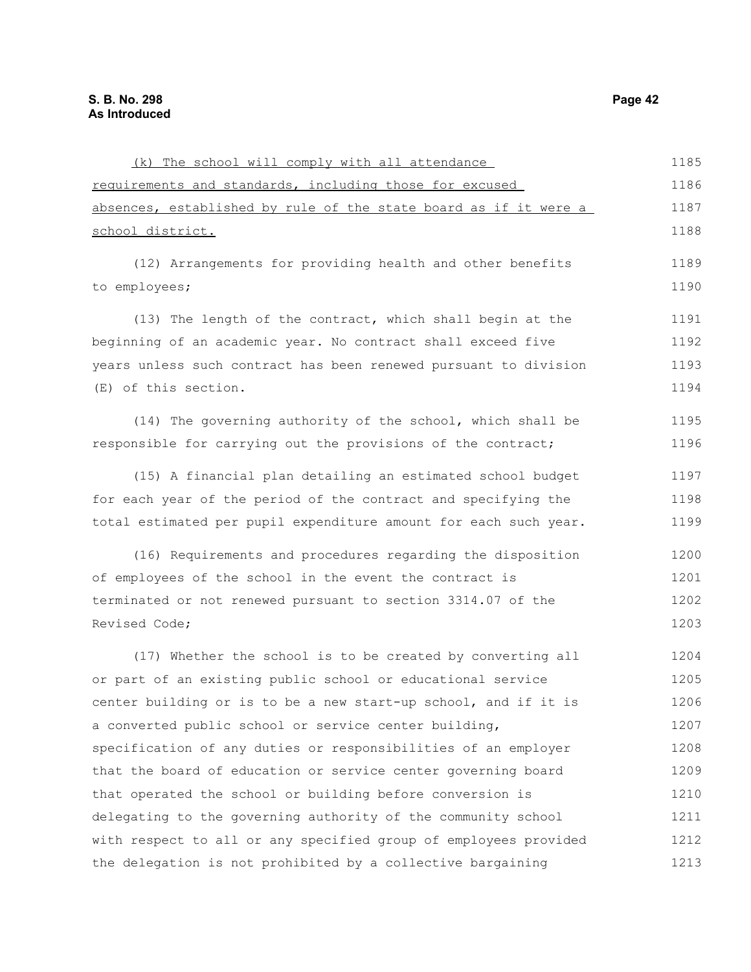| (k) The school will comply with all attendance                   | 1185 |
|------------------------------------------------------------------|------|
| requirements and standards, including those for excused          | 1186 |
| absences, established by rule of the state board as if it were a | 1187 |
| <u>school district.</u>                                          | 1188 |
| (12) Arrangements for providing health and other benefits        | 1189 |
| to employees;                                                    | 1190 |
| (13) The length of the contract, which shall begin at the        | 1191 |
| beginning of an academic year. No contract shall exceed five     | 1192 |
| years unless such contract has been renewed pursuant to division | 1193 |
| (E) of this section.                                             | 1194 |
| (14) The governing authority of the school, which shall be       | 1195 |
| responsible for carrying out the provisions of the contract;     | 1196 |
| (15) A financial plan detailing an estimated school budget       | 1197 |
| for each year of the period of the contract and specifying the   | 1198 |
| total estimated per pupil expenditure amount for each such year. | 1199 |
| (16) Requirements and procedures regarding the disposition       | 1200 |
| of employees of the school in the event the contract is          | 1201 |
| terminated or not renewed pursuant to section 3314.07 of the     | 1202 |
| Revised Code;                                                    | 1203 |
| (17) Whether the school is to be created by converting all       | 1204 |
| or part of an existing public school or educational service      | 1205 |
| center building or is to be a new start-up school, and if it is  | 1206 |
| a converted public school or service center building,            | 1207 |
| specification of any duties or responsibilities of an employer   | 1208 |
| that the board of education or service center governing board    | 1209 |
| that operated the school or building before conversion is        | 1210 |
| delegating to the governing authority of the community school    | 1211 |
| with respect to all or any specified group of employees provided | 1212 |
| the delegation is not prohibited by a collective bargaining      | 1213 |
|                                                                  |      |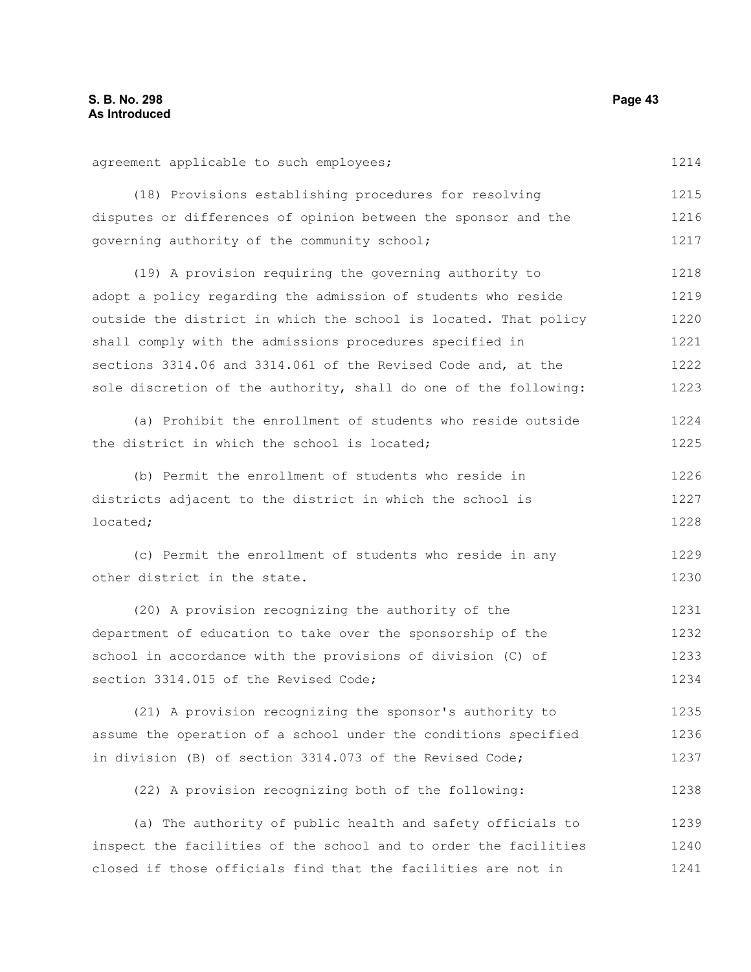agreement applicable to such employees; (18) Provisions establishing procedures for resolving disputes or differences of opinion between the sponsor and the governing authority of the community school; (19) A provision requiring the governing authority to adopt a policy regarding the admission of students who reside outside the district in which the school is located. That policy shall comply with the admissions procedures specified in sections 3314.06 and 3314.061 of the Revised Code and, at the sole discretion of the authority, shall do one of the following: (a) Prohibit the enrollment of students who reside outside the district in which the school is located; (b) Permit the enrollment of students who reside in districts adjacent to the district in which the school is located; (c) Permit the enrollment of students who reside in any other district in the state. (20) A provision recognizing the authority of the department of education to take over the sponsorship of the school in accordance with the provisions of division (C) of section 3314.015 of the Revised Code; (21) A provision recognizing the sponsor's authority to assume the operation of a school under the conditions specified in division (B) of section 3314.073 of the Revised Code; (22) A provision recognizing both of the following: (a) The authority of public health and safety officials to inspect the facilities of the school and to order the facilities closed if those officials find that the facilities are not in 1214 1215 1216 1217 1218 1219 1220 1221 1222 1223 1224 1225 1226 1227 1228 1229 1230 1231 1232 1233 1234 1235 1236 1237 1238 1239 1240 1241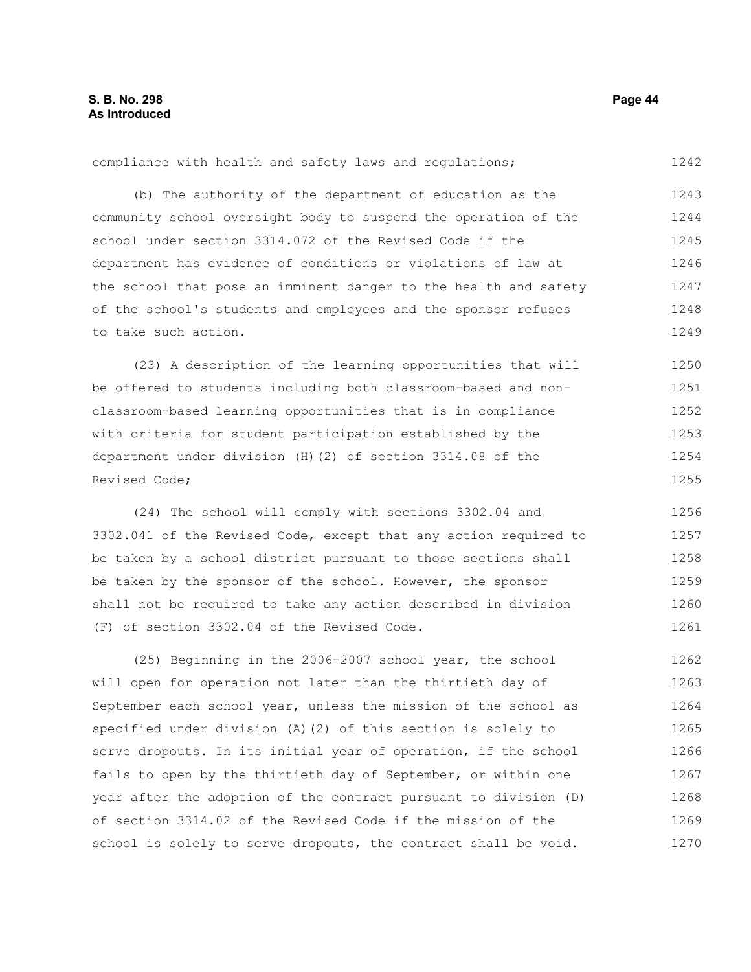#### compliance with health and safety laws and regulations; (b) The authority of the department of education as the community school oversight body to suspend the operation of the school under section 3314.072 of the Revised Code if the department has evidence of conditions or violations of law at the school that pose an imminent danger to the health and safety of the school's students and employees and the sponsor refuses to take such action. 1242 1243 1244 1245 1246 1247 1248 1249

(23) A description of the learning opportunities that will be offered to students including both classroom-based and nonclassroom-based learning opportunities that is in compliance with criteria for student participation established by the department under division (H)(2) of section 3314.08 of the Revised Code; 1250 1251 1252 1253 1254 1255

(24) The school will comply with sections 3302.04 and 3302.041 of the Revised Code, except that any action required to be taken by a school district pursuant to those sections shall be taken by the sponsor of the school. However, the sponsor shall not be required to take any action described in division (F) of section 3302.04 of the Revised Code. 1256 1257 1258 1259 1260 1261

(25) Beginning in the 2006-2007 school year, the school will open for operation not later than the thirtieth day of September each school year, unless the mission of the school as specified under division (A)(2) of this section is solely to serve dropouts. In its initial year of operation, if the school fails to open by the thirtieth day of September, or within one year after the adoption of the contract pursuant to division (D) of section 3314.02 of the Revised Code if the mission of the school is solely to serve dropouts, the contract shall be void. 1262 1263 1264 1265 1266 1267 1268 1269 1270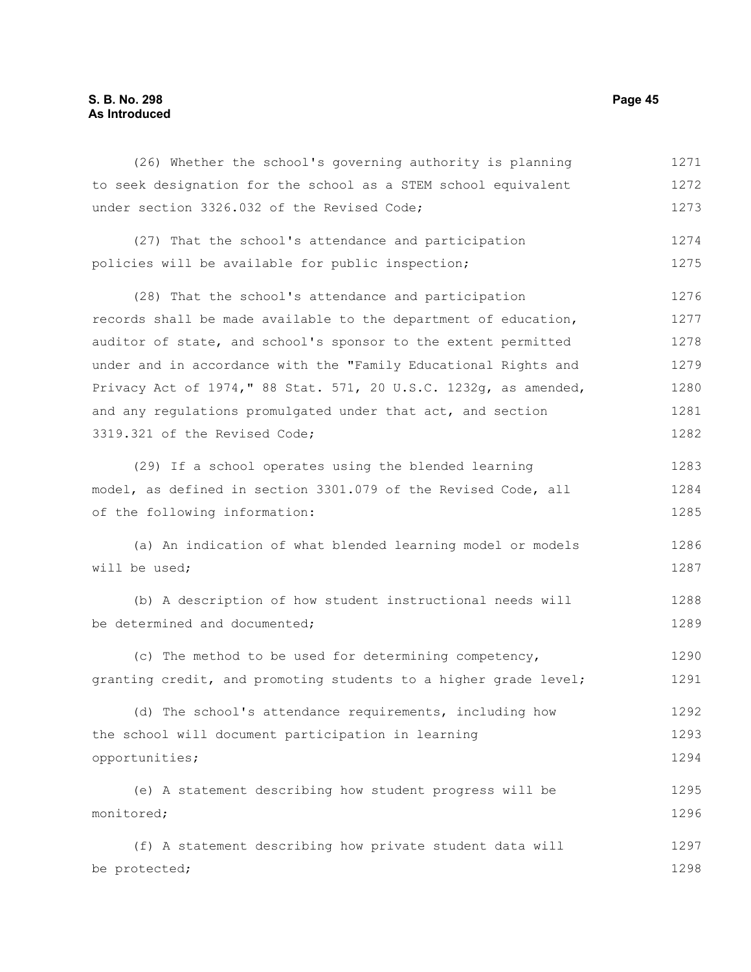# **S. B. No. 298 Page 45 As Introduced**

(26) Whether the school's governing authority is planning to seek designation for the school as a STEM school equivalent under section 3326.032 of the Revised Code; (27) That the school's attendance and participation policies will be available for public inspection; (28) That the school's attendance and participation records shall be made available to the department of education, auditor of state, and school's sponsor to the extent permitted under and in accordance with the "Family Educational Rights and Privacy Act of 1974," 88 Stat. 571, 20 U.S.C. 1232g, as amended, and any regulations promulgated under that act, and section 3319.321 of the Revised Code; (29) If a school operates using the blended learning model, as defined in section 3301.079 of the Revised Code, all of the following information: (a) An indication of what blended learning model or models will be used; (b) A description of how student instructional needs will be determined and documented; (c) The method to be used for determining competency, granting credit, and promoting students to a higher grade level; (d) The school's attendance requirements, including how the school will document participation in learning opportunities; (e) A statement describing how student progress will be monitored; (f) A statement describing how private student data will 1271 1272 1273 1274 1275 1276 1277 1278 1279 1280 1281 1282 1283 1284 1285 1286 1287 1288 1289 1290 1291 1292 1293 1294 1295 1296 1297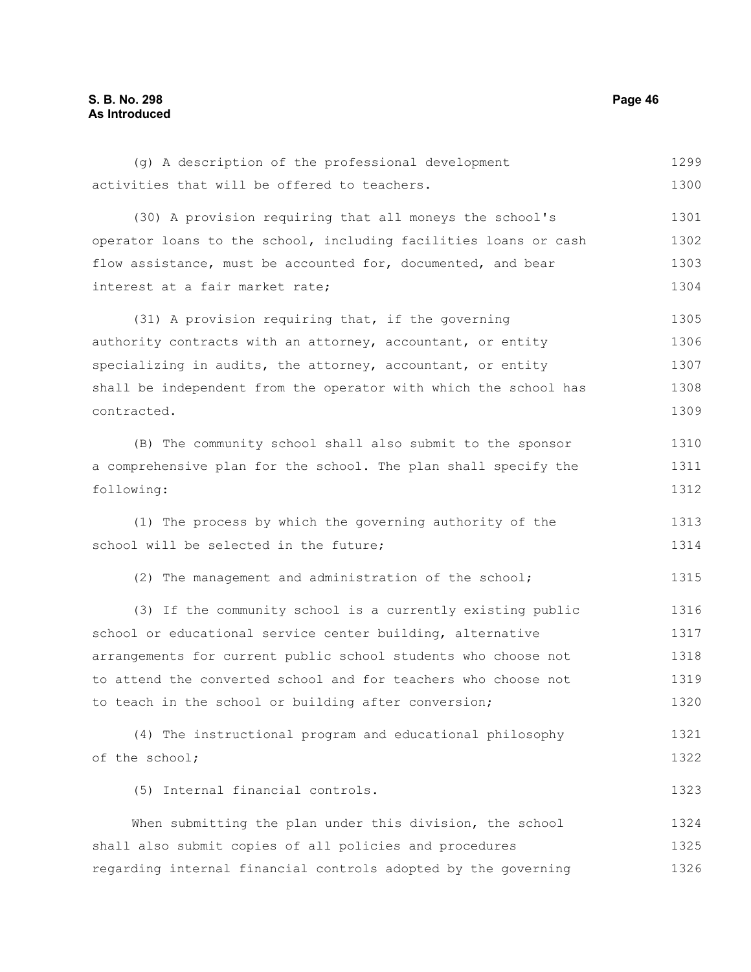(g) A description of the professional development activities that will be offered to teachers. (30) A provision requiring that all moneys the school's operator loans to the school, including facilities loans or cash flow assistance, must be accounted for, documented, and bear interest at a fair market rate; (31) A provision requiring that, if the governing authority contracts with an attorney, accountant, or entity specializing in audits, the attorney, accountant, or entity shall be independent from the operator with which the school has contracted. (B) The community school shall also submit to the sponsor a comprehensive plan for the school. The plan shall specify the following: (1) The process by which the governing authority of the school will be selected in the future; (2) The management and administration of the school; (3) If the community school is a currently existing public school or educational service center building, alternative arrangements for current public school students who choose not to attend the converted school and for teachers who choose not to teach in the school or building after conversion; (4) The instructional program and educational philosophy of the school; (5) Internal financial controls. When submitting the plan under this division, the school shall also submit copies of all policies and procedures regarding internal financial controls adopted by the governing 1299 1300 1301 1302 1303 1304 1305 1306 1307 1308 1309 1310 1311 1312 1313 1314 1315 1316 1317 1318 1319 1320 1321 1322 1323 1324 1325 1326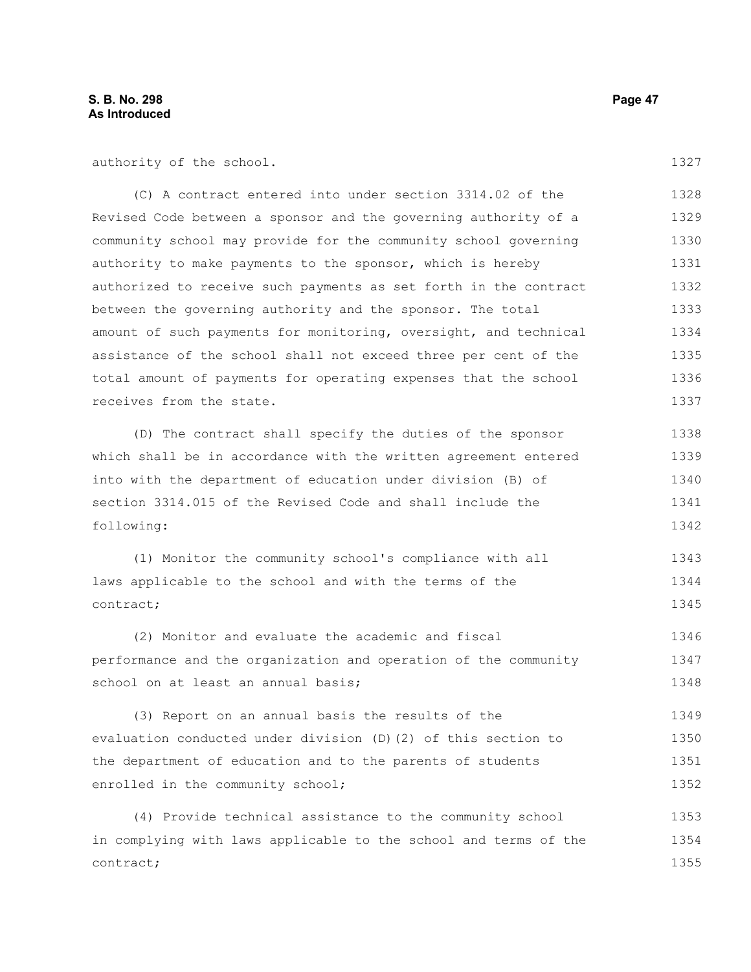authority of the school.

(C) A contract entered into under section 3314.02 of the Revised Code between a sponsor and the governing authority of a community school may provide for the community school governing authority to make payments to the sponsor, which is hereby authorized to receive such payments as set forth in the contract between the governing authority and the sponsor. The total amount of such payments for monitoring, oversight, and technical assistance of the school shall not exceed three per cent of the total amount of payments for operating expenses that the school receives from the state. 1328 1329 1330 1331 1332 1333 1334 1335 1336 1337

(D) The contract shall specify the duties of the sponsor which shall be in accordance with the written agreement entered into with the department of education under division (B) of section 3314.015 of the Revised Code and shall include the following: 1338 1339 1340 1341 1342

(1) Monitor the community school's compliance with all laws applicable to the school and with the terms of the contract; 1344 1345

(2) Monitor and evaluate the academic and fiscal performance and the organization and operation of the community school on at least an annual basis; 1346 1347 1348

(3) Report on an annual basis the results of the evaluation conducted under division (D)(2) of this section to the department of education and to the parents of students enrolled in the community school; 1349 1350 1351 1352

(4) Provide technical assistance to the community school in complying with laws applicable to the school and terms of the contract; 1353 1354 1355

1327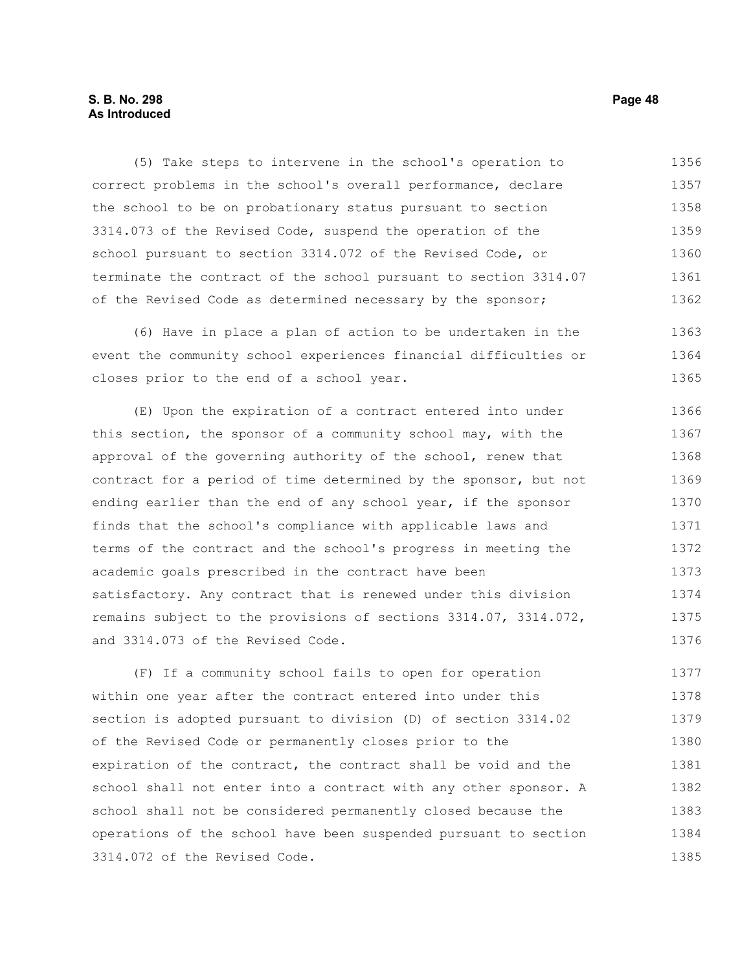# **S. B. No. 298 Page 48 As Introduced**

(5) Take steps to intervene in the school's operation to correct problems in the school's overall performance, declare the school to be on probationary status pursuant to section 3314.073 of the Revised Code, suspend the operation of the school pursuant to section 3314.072 of the Revised Code, or terminate the contract of the school pursuant to section 3314.07 of the Revised Code as determined necessary by the sponsor; 1356 1357 1358 1359 1360 1361 1362

(6) Have in place a plan of action to be undertaken in the event the community school experiences financial difficulties or closes prior to the end of a school year. 1363 1364 1365

(E) Upon the expiration of a contract entered into under this section, the sponsor of a community school may, with the approval of the governing authority of the school, renew that contract for a period of time determined by the sponsor, but not ending earlier than the end of any school year, if the sponsor finds that the school's compliance with applicable laws and terms of the contract and the school's progress in meeting the academic goals prescribed in the contract have been satisfactory. Any contract that is renewed under this division remains subject to the provisions of sections 3314.07, 3314.072, and 3314.073 of the Revised Code. 1366 1367 1368 1369 1370 1371 1372 1373 1374 1375 1376

(F) If a community school fails to open for operation within one year after the contract entered into under this section is adopted pursuant to division (D) of section 3314.02 of the Revised Code or permanently closes prior to the expiration of the contract, the contract shall be void and the school shall not enter into a contract with any other sponsor. A school shall not be considered permanently closed because the operations of the school have been suspended pursuant to section 3314.072 of the Revised Code. 1377 1378 1379 1380 1381 1382 1383 1384 1385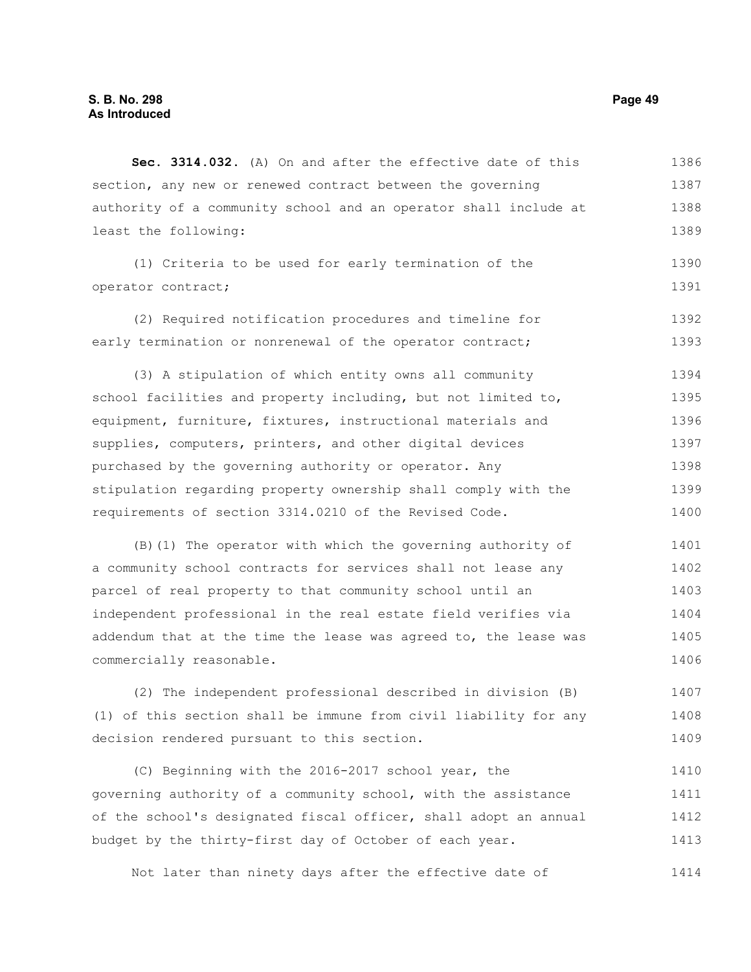**Sec. 3314.032.** (A) On and after the effective date of this section, any new or renewed contract between the governing authority of a community school and an operator shall include at least the following: (1) Criteria to be used for early termination of the operator contract; (2) Required notification procedures and timeline for early termination or nonrenewal of the operator contract; (3) A stipulation of which entity owns all community school facilities and property including, but not limited to, equipment, furniture, fixtures, instructional materials and supplies, computers, printers, and other digital devices purchased by the governing authority or operator. Any stipulation regarding property ownership shall comply with the requirements of section 3314.0210 of the Revised Code. (B)(1) The operator with which the governing authority of a community school contracts for services shall not lease any parcel of real property to that community school until an independent professional in the real estate field verifies via addendum that at the time the lease was agreed to, the lease was commercially reasonable. (2) The independent professional described in division (B) (1) of this section shall be immune from civil liability for any decision rendered pursuant to this section. (C) Beginning with the 2016-2017 school year, the governing authority of a community school, with the assistance 1386 1387 1388 1389 1390 1391 1392 1393 1394 1395 1396 1397 1398 1399 1400 1401 1402 1403 1404 1405 1406 1407 1408 1409 1410 1411

of the school's designated fiscal officer, shall adopt an annual budget by the thirty-first day of October of each year. 1412 1413

Not later than ninety days after the effective date of 1414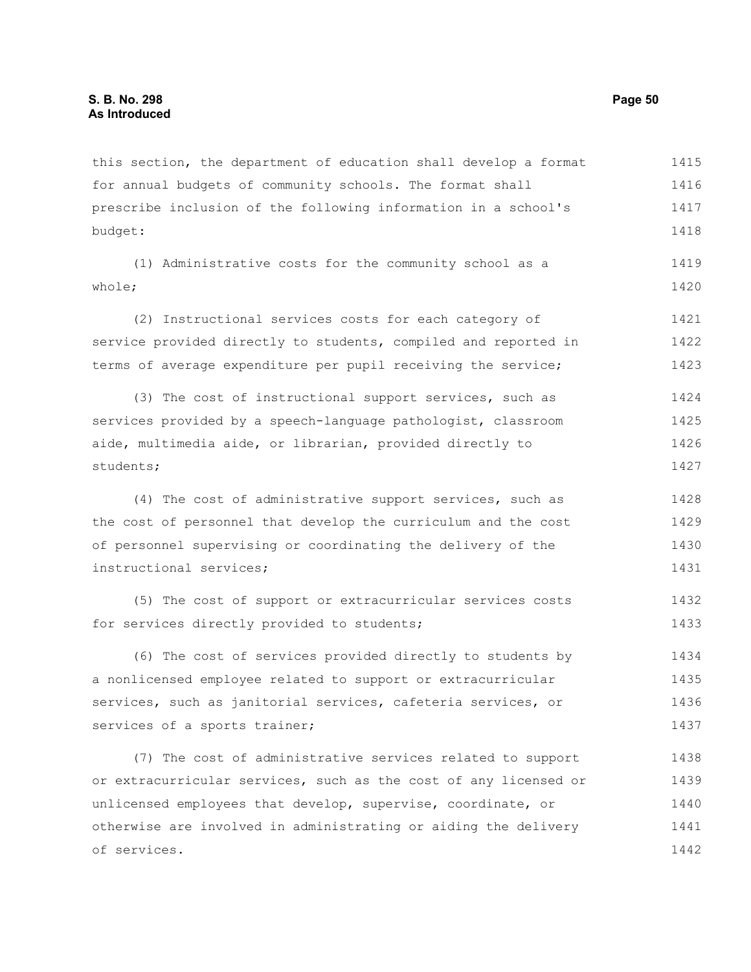this section, the department of education shall develop a format for annual budgets of community schools. The format shall prescribe inclusion of the following information in a school's budget: 1415 1416 1417 1418

(1) Administrative costs for the community school as a whole; 1419 1420

(2) Instructional services costs for each category of service provided directly to students, compiled and reported in terms of average expenditure per pupil receiving the service; 1421 1422 1423

(3) The cost of instructional support services, such as services provided by a speech-language pathologist, classroom aide, multimedia aide, or librarian, provided directly to students; 1424 1425 1426 1427

(4) The cost of administrative support services, such as the cost of personnel that develop the curriculum and the cost of personnel supervising or coordinating the delivery of the instructional services; 1428 1429 1430 1431

(5) The cost of support or extracurricular services costs for services directly provided to students; 1432 1433

(6) The cost of services provided directly to students by a nonlicensed employee related to support or extracurricular services, such as janitorial services, cafeteria services, or services of a sports trainer; 1434 1435 1436 1437

(7) The cost of administrative services related to support or extracurricular services, such as the cost of any licensed or unlicensed employees that develop, supervise, coordinate, or otherwise are involved in administrating or aiding the delivery of services. 1438 1439 1440 1441 1442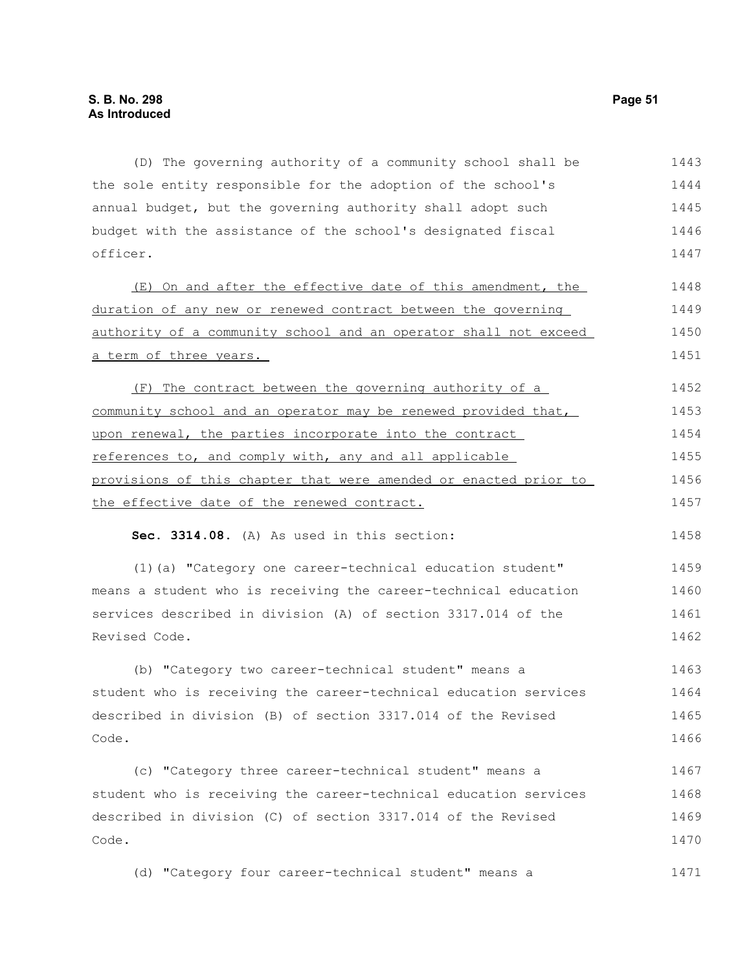(D) The governing authority of a community school shall be the sole entity responsible for the adoption of the school's annual budget, but the governing authority shall adopt such budget with the assistance of the school's designated fiscal officer. (E) On and after the effective date of this amendment, the duration of any new or renewed contract between the governing authority of a community school and an operator shall not exceed a term of three years. (F) The contract between the governing authority of a community school and an operator may be renewed provided that, upon renewal, the parties incorporate into the contract references to, and comply with, any and all applicable provisions of this chapter that were amended or enacted prior to the effective date of the renewed contract. **Sec. 3314.08.** (A) As used in this section: (1)(a) "Category one career-technical education student" means a student who is receiving the career-technical education services described in division (A) of section 3317.014 of the Revised Code. (b) "Category two career-technical student" means a 1443 1444 1445 1446 1447 1448 1449 1450 1451 1452 1453 1454 1455 1456 1457 1458 1459 1460 1461 1462 1463

student who is receiving the career-technical education services described in division (B) of section 3317.014 of the Revised Code. 1464 1465 1466

(c) "Category three career-technical student" means a student who is receiving the career-technical education services described in division (C) of section 3317.014 of the Revised Code. 1467 1468 1469 1470

(d) "Category four career-technical student" means a 1471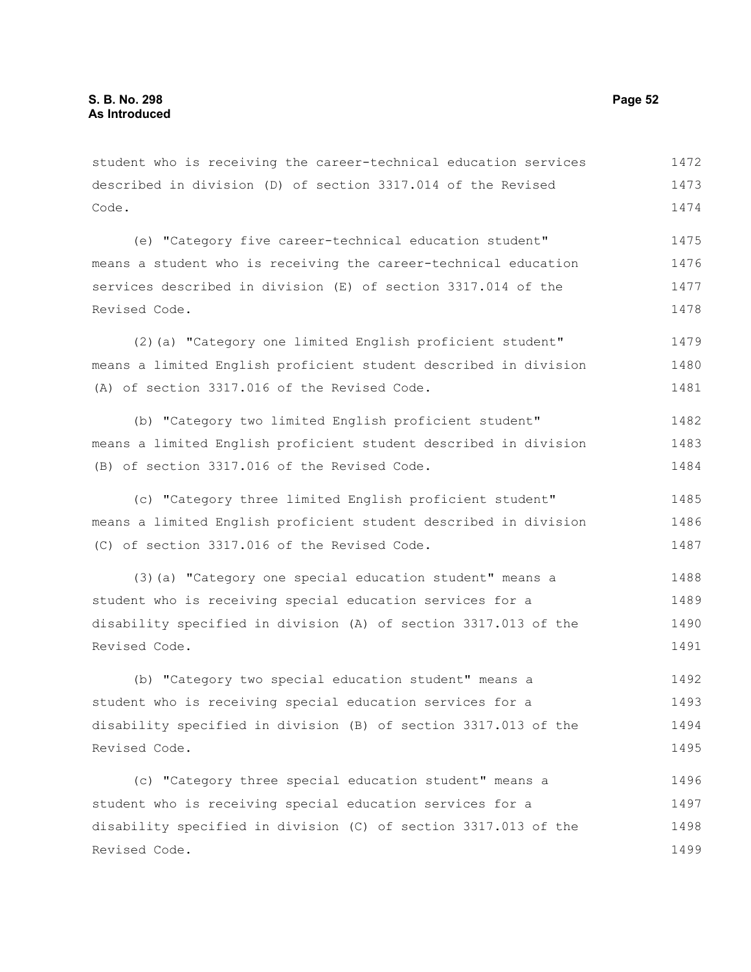Revised Code.

student who is receiving the career-technical education services described in division (D) of section 3317.014 of the Revised Code. (e) "Category five career-technical education student" means a student who is receiving the career-technical education services described in division (E) of section 3317.014 of the Revised Code. (2)(a) "Category one limited English proficient student" means a limited English proficient student described in division (A) of section 3317.016 of the Revised Code. (b) "Category two limited English proficient student" means a limited English proficient student described in division (B) of section 3317.016 of the Revised Code. (c) "Category three limited English proficient student" means a limited English proficient student described in division (C) of section 3317.016 of the Revised Code. (3)(a) "Category one special education student" means a student who is receiving special education services for a disability specified in division (A) of section 3317.013 of the Revised Code. (b) "Category two special education student" means a student who is receiving special education services for a disability specified in division (B) of section 3317.013 of the Revised Code. (c) "Category three special education student" means a student who is receiving special education services for a disability specified in division (C) of section 3317.013 of the 1472 1473 1474 1475 1476 1477 1478 1479 1480 1481 1482 1483 1484 1485 1486 1487 1488 1489 1490 1491 1492 1493 1494 1495 1496 1497 1498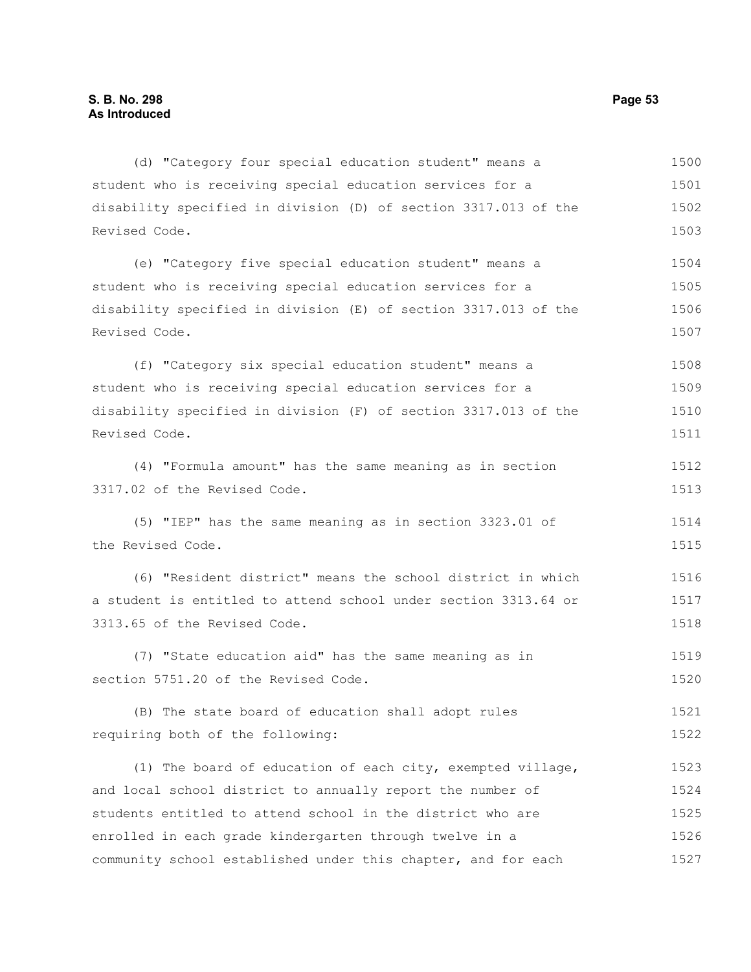| (d) "Category four special education student" means a           | 1500 |
|-----------------------------------------------------------------|------|
| student who is receiving special education services for a       | 1501 |
| disability specified in division (D) of section 3317.013 of the | 1502 |
| Revised Code.                                                   | 1503 |
| (e) "Category five special education student" means a           | 1504 |
| student who is receiving special education services for a       | 1505 |
| disability specified in division (E) of section 3317.013 of the | 1506 |
| Revised Code.                                                   | 1507 |
| (f) "Category six special education student" means a            | 1508 |
| student who is receiving special education services for a       | 1509 |
| disability specified in division (F) of section 3317.013 of the | 1510 |
| Revised Code.                                                   | 1511 |
| (4) "Formula amount" has the same meaning as in section         | 1512 |
| 3317.02 of the Revised Code.                                    | 1513 |
| (5) "IEP" has the same meaning as in section 3323.01 of         | 1514 |
| the Revised Code.                                               | 1515 |
| (6) "Resident district" means the school district in which      | 1516 |
| a student is entitled to attend school under section 3313.64 or | 1517 |
| 3313.65 of the Revised Code.                                    | 1518 |
| (7) "State education aid" has the same meaning as in            | 1519 |
| section 5751.20 of the Revised Code.                            | 1520 |
| (B) The state board of education shall adopt rules              | 1521 |
| requiring both of the following:                                | 1522 |
| (1) The board of education of each city, exempted village,      | 1523 |
| and local school district to annually report the number of      | 1524 |
| students entitled to attend school in the district who are      | 1525 |
| enrolled in each grade kindergarten through twelve in a         | 1526 |
| community school established under this chapter, and for each   | 1527 |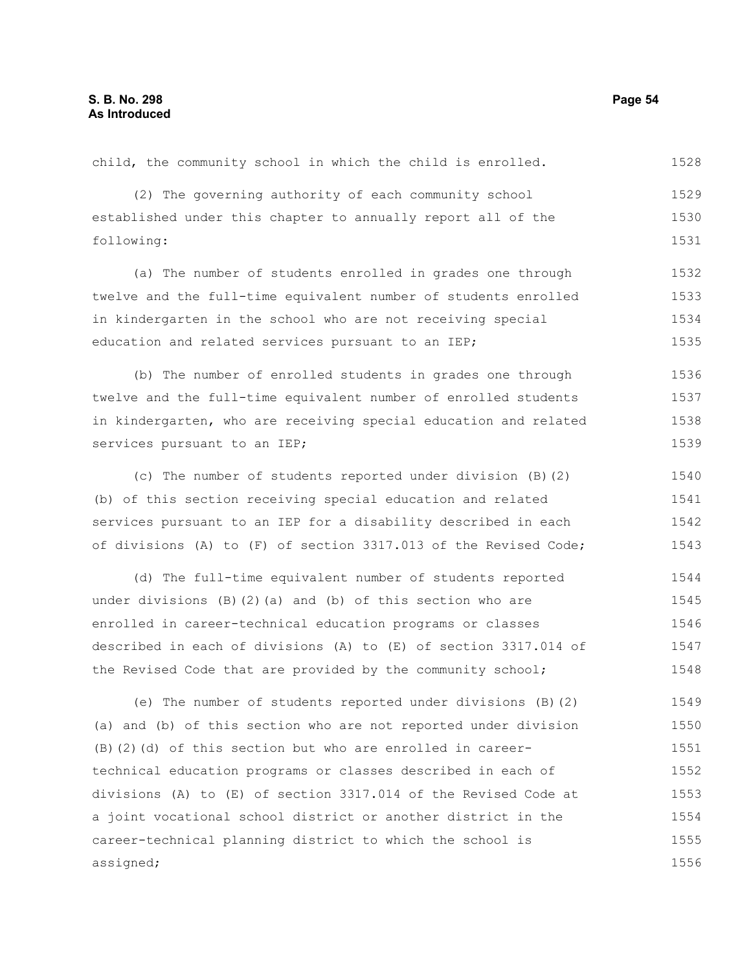assigned;

(2) The governing authority of each community school established under this chapter to annually report all of the following: (a) The number of students enrolled in grades one through twelve and the full-time equivalent number of students enrolled in kindergarten in the school who are not receiving special education and related services pursuant to an IEP; (b) The number of enrolled students in grades one through twelve and the full-time equivalent number of enrolled students in kindergarten, who are receiving special education and related services pursuant to an IEP; (c) The number of students reported under division (B)(2) (b) of this section receiving special education and related services pursuant to an IEP for a disability described in each of divisions (A) to (F) of section 3317.013 of the Revised Code; (d) The full-time equivalent number of students reported under divisions (B)(2)(a) and (b) of this section who are enrolled in career-technical education programs or classes described in each of divisions (A) to (E) of section 3317.014 of the Revised Code that are provided by the community school; (e) The number of students reported under divisions (B)(2) (a) and (b) of this section who are not reported under division (B)(2)(d) of this section but who are enrolled in careertechnical education programs or classes described in each of divisions (A) to (E) of section 3317.014 of the Revised Code at a joint vocational school district or another district in the 1529 1530 1531 1532 1533 1534 1535 1536 1537 1538 1539 1540 1541 1542 1543 1544 1545 1546 1547 1548 1549 1550 1551 1552 1553 1554

child, the community school in which the child is enrolled.

career-technical planning district to which the school is

1528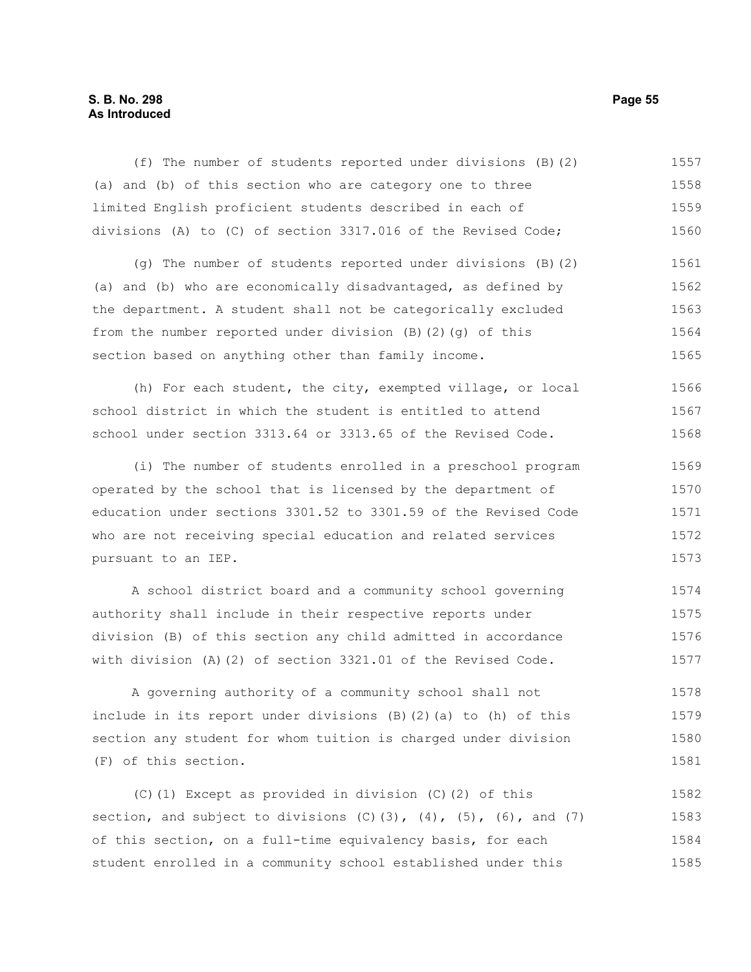# **S. B. No. 298 Page 55 As Introduced**

(f) The number of students reported under divisions (B)(2) (a) and (b) of this section who are category one to three limited English proficient students described in each of divisions (A) to (C) of section 3317.016 of the Revised Code; (g) The number of students reported under divisions (B)(2) (a) and (b) who are economically disadvantaged, as defined by the department. A student shall not be categorically excluded from the number reported under division (B)(2)(g) of this section based on anything other than family income. (h) For each student, the city, exempted village, or local school district in which the student is entitled to attend school under section 3313.64 or 3313.65 of the Revised Code. (i) The number of students enrolled in a preschool program operated by the school that is licensed by the department of education under sections 3301.52 to 3301.59 of the Revised Code who are not receiving special education and related services pursuant to an IEP. A school district board and a community school governing authority shall include in their respective reports under division (B) of this section any child admitted in accordance 1557 1558 1559 1560 1561 1562 1563 1564 1565 1566 1567 1568 1569 1570 1571 1572 1573 1574 1575 1576

A governing authority of a community school shall not include in its report under divisions (B)(2)(a) to (h) of this section any student for whom tuition is charged under division (F) of this section. 1578 1579 1580 1581

with division (A)(2) of section 3321.01 of the Revised Code.

(C)(1) Except as provided in division (C)(2) of this section, and subject to divisions  $(C)(3)$ ,  $(4)$ ,  $(5)$ ,  $(6)$ , and  $(7)$ of this section, on a full-time equivalency basis, for each student enrolled in a community school established under this 1582 1583 1584 1585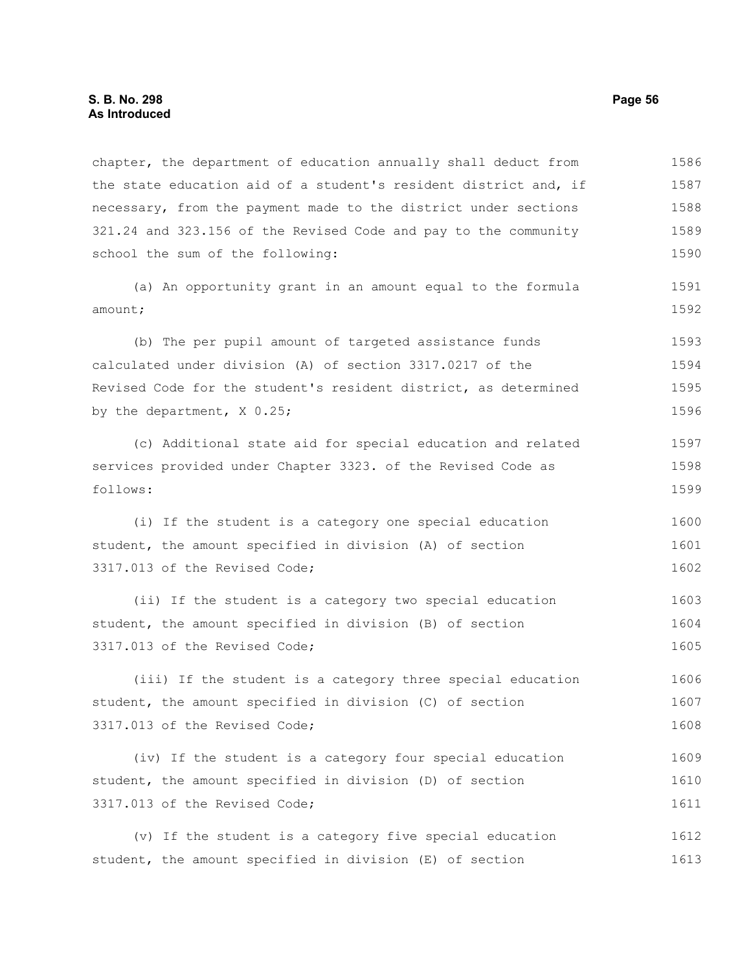chapter, the department of education annually shall deduct from the state education aid of a student's resident district and, if necessary, from the payment made to the district under sections 321.24 and 323.156 of the Revised Code and pay to the community school the sum of the following: 1586 1587 1588 1589 1590

(a) An opportunity grant in an amount equal to the formula amount;

(b) The per pupil amount of targeted assistance funds calculated under division (A) of section 3317.0217 of the Revised Code for the student's resident district, as determined by the department, X 0.25; 1593 1594 1595 1596

(c) Additional state aid for special education and related services provided under Chapter 3323. of the Revised Code as follows: 1597 1598 1599

(i) If the student is a category one special education student, the amount specified in division (A) of section 3317.013 of the Revised Code; 1600 1601 1602

(ii) If the student is a category two special education student, the amount specified in division (B) of section 3317.013 of the Revised Code; 1603 1604 1605

(iii) If the student is a category three special education student, the amount specified in division (C) of section 3317.013 of the Revised Code; 1606 1607 1608

(iv) If the student is a category four special education student, the amount specified in division (D) of section 3317.013 of the Revised Code; 1609 1610 1611

(v) If the student is a category five special education student, the amount specified in division (E) of section 1612 1613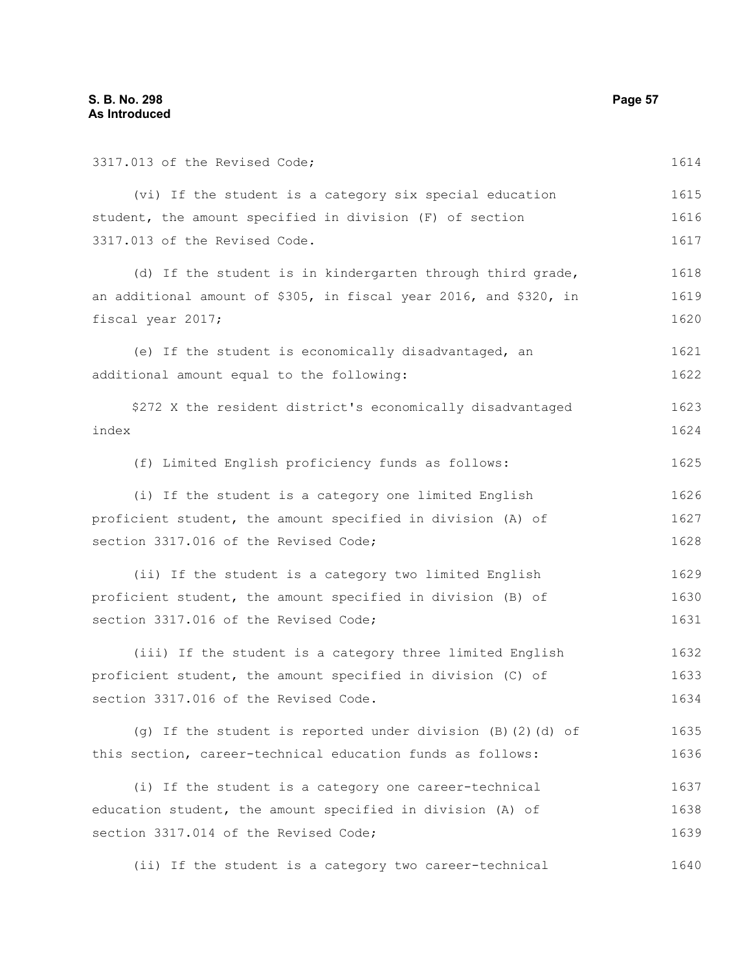3317.013 of the Revised Code; (vi) If the student is a category six special education student, the amount specified in division (F) of section 3317.013 of the Revised Code. (d) If the student is in kindergarten through third grade, an additional amount of \$305, in fiscal year 2016, and \$320, in fiscal year 2017; (e) If the student is economically disadvantaged, an additional amount equal to the following: \$272 X the resident district's economically disadvantaged index (f) Limited English proficiency funds as follows: (i) If the student is a category one limited English proficient student, the amount specified in division (A) of section 3317.016 of the Revised Code; (ii) If the student is a category two limited English proficient student, the amount specified in division (B) of section 3317.016 of the Revised Code; (iii) If the student is a category three limited English proficient student, the amount specified in division (C) of section 3317.016 of the Revised Code. (g) If the student is reported under division (B)(2)(d) of this section, career-technical education funds as follows: (i) If the student is a category one career-technical education student, the amount specified in division (A) of section 3317.014 of the Revised Code; (ii) If the student is a category two career-technical 1614 1615 1616 1617 1618 1619 1620 1621 1622 1623 1624 1625 1626 1627 1628 1629 1630 1631 1632 1633 1634 1635 1636 1637 1638 1639 1640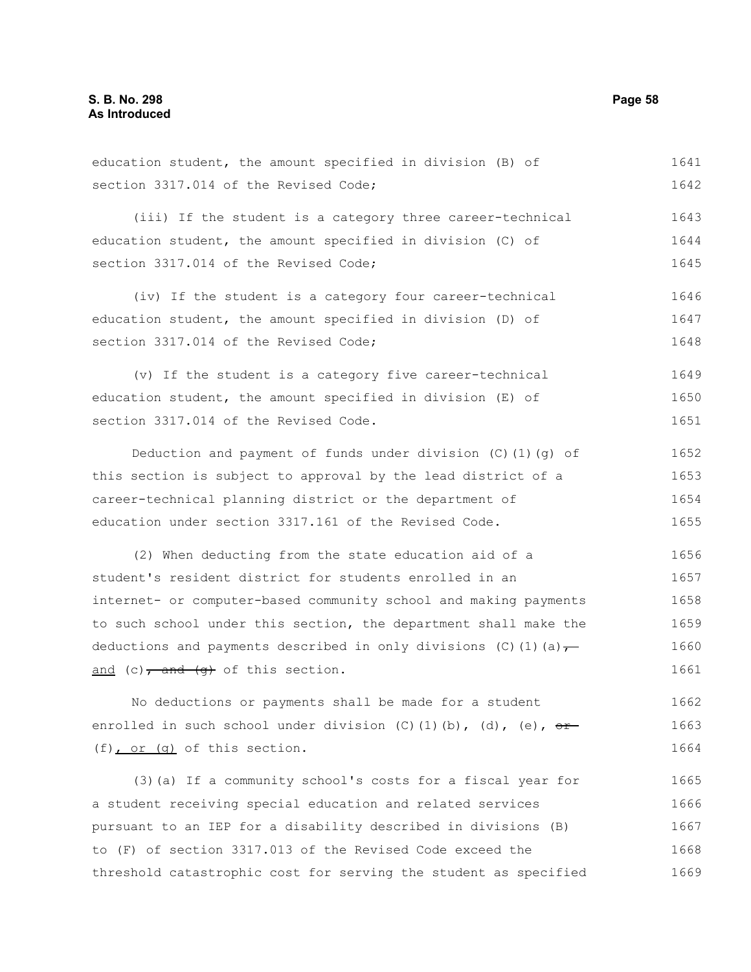section 3317.014 of the Revised Code; (iii) If the student is a category three career-technical education student, the amount specified in division (C) of section 3317.014 of the Revised Code; (iv) If the student is a category four career-technical education student, the amount specified in division (D) of section 3317.014 of the Revised Code; (v) If the student is a category five career-technical education student, the amount specified in division (E) of section 3317.014 of the Revised Code. Deduction and payment of funds under division  $(C)$  (1)(q) of this section is subject to approval by the lead district of a career-technical planning district or the department of education under section 3317.161 of the Revised Code. (2) When deducting from the state education aid of a student's resident district for students enrolled in an internet- or computer-based community school and making payments to such school under this section, the department shall make the deductions and payments described in only divisions (C)(1)(a) $\tau$ and (c), and  $(g)$  of this section. No deductions or payments shall be made for a student 1642 1643 1644 1645 1646 1647 1648 1649 1650 1651 1652 1653 1654 1655 1656 1657 1658 1659 1660 1661 1662

education student, the amount specified in division (B) of

enrolled in such school under division (C)(1)(b), (d), (e),  $\theta$ (f), or (g) of this section. 1663 1664

(3)(a) If a community school's costs for a fiscal year for a student receiving special education and related services pursuant to an IEP for a disability described in divisions (B) to (F) of section 3317.013 of the Revised Code exceed the threshold catastrophic cost for serving the student as specified 1665 1666 1667 1668 1669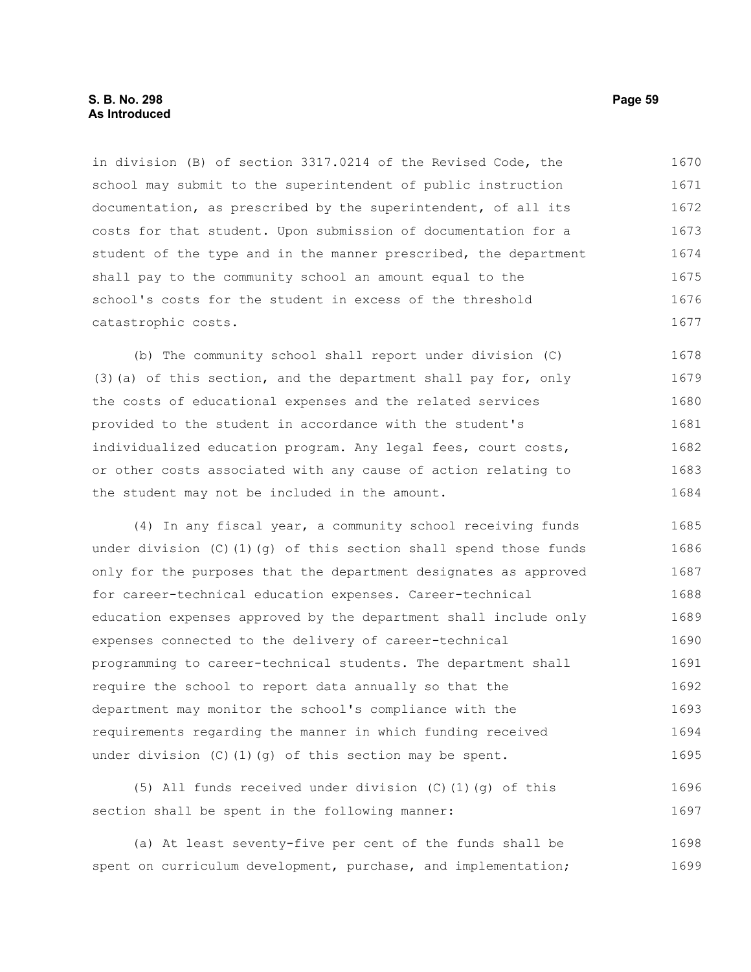in division (B) of section 3317.0214 of the Revised Code, the school may submit to the superintendent of public instruction documentation, as prescribed by the superintendent, of all its costs for that student. Upon submission of documentation for a student of the type and in the manner prescribed, the department shall pay to the community school an amount equal to the school's costs for the student in excess of the threshold catastrophic costs. 1670 1671 1672 1673 1674 1675 1676 1677

(b) The community school shall report under division (C) (3)(a) of this section, and the department shall pay for, only the costs of educational expenses and the related services provided to the student in accordance with the student's individualized education program. Any legal fees, court costs, or other costs associated with any cause of action relating to the student may not be included in the amount. 1678 1679 1680 1681 1682 1683 1684

(4) In any fiscal year, a community school receiving funds under division (C)(1)(q) of this section shall spend those funds only for the purposes that the department designates as approved for career-technical education expenses. Career-technical education expenses approved by the department shall include only expenses connected to the delivery of career-technical programming to career-technical students. The department shall require the school to report data annually so that the department may monitor the school's compliance with the requirements regarding the manner in which funding received under division (C)(1)(g) of this section may be spent. 1685 1686 1687 1688 1689 1690 1691 1692 1693 1694 1695

(5) All funds received under division (C)(1)(g) of this section shall be spent in the following manner: 1696 1697

(a) At least seventy-five per cent of the funds shall be spent on curriculum development, purchase, and implementation; 1698 1699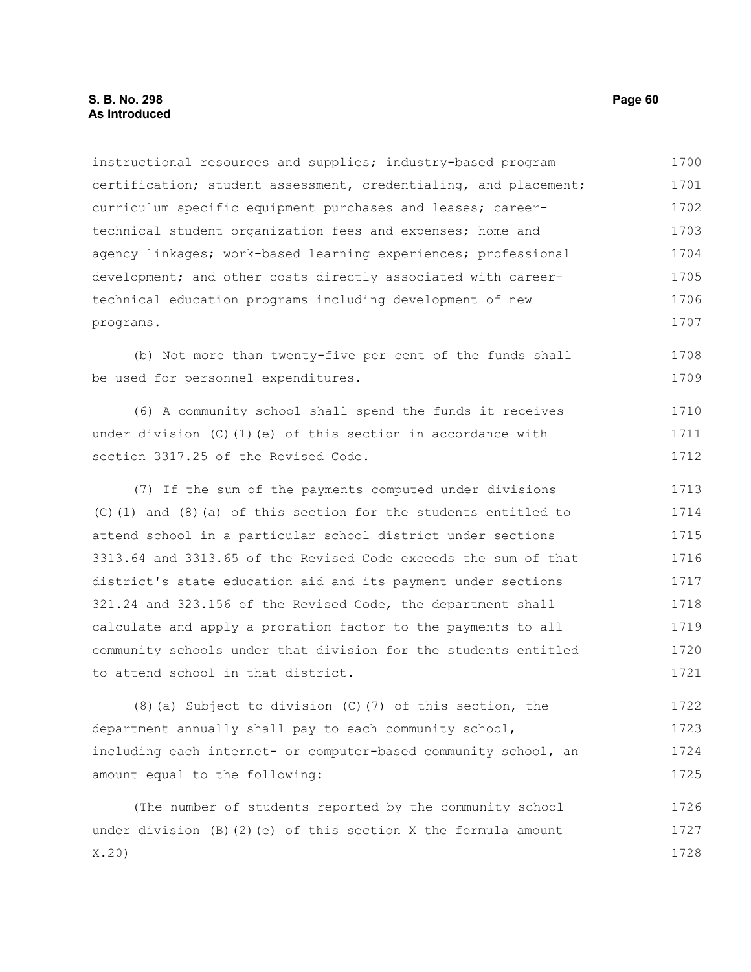instructional resources and supplies; industry-based program certification; student assessment, credentialing, and placement; curriculum specific equipment purchases and leases; careertechnical student organization fees and expenses; home and agency linkages; work-based learning experiences; professional development; and other costs directly associated with careertechnical education programs including development of new programs. 1700 1701 1702 1703 1704 1705 1706 1707

(b) Not more than twenty-five per cent of the funds shall be used for personnel expenditures. 1708 1709

(6) A community school shall spend the funds it receives under division  $(C)$  (1)(e) of this section in accordance with section 3317.25 of the Revised Code. 1710 1711 1712

(7) If the sum of the payments computed under divisions (C)(1) and (8)(a) of this section for the students entitled to attend school in a particular school district under sections 3313.64 and 3313.65 of the Revised Code exceeds the sum of that district's state education aid and its payment under sections 321.24 and 323.156 of the Revised Code, the department shall calculate and apply a proration factor to the payments to all community schools under that division for the students entitled to attend school in that district. 1713 1714 1715 1716 1717 1718 1719 1720 1721

(8)(a) Subject to division (C)(7) of this section, the department annually shall pay to each community school, including each internet- or computer-based community school, an amount equal to the following: 1722 1723 1724 1725

(The number of students reported by the community school under division (B)(2)(e) of this section X the formula amount X.20) 1726 1727 1728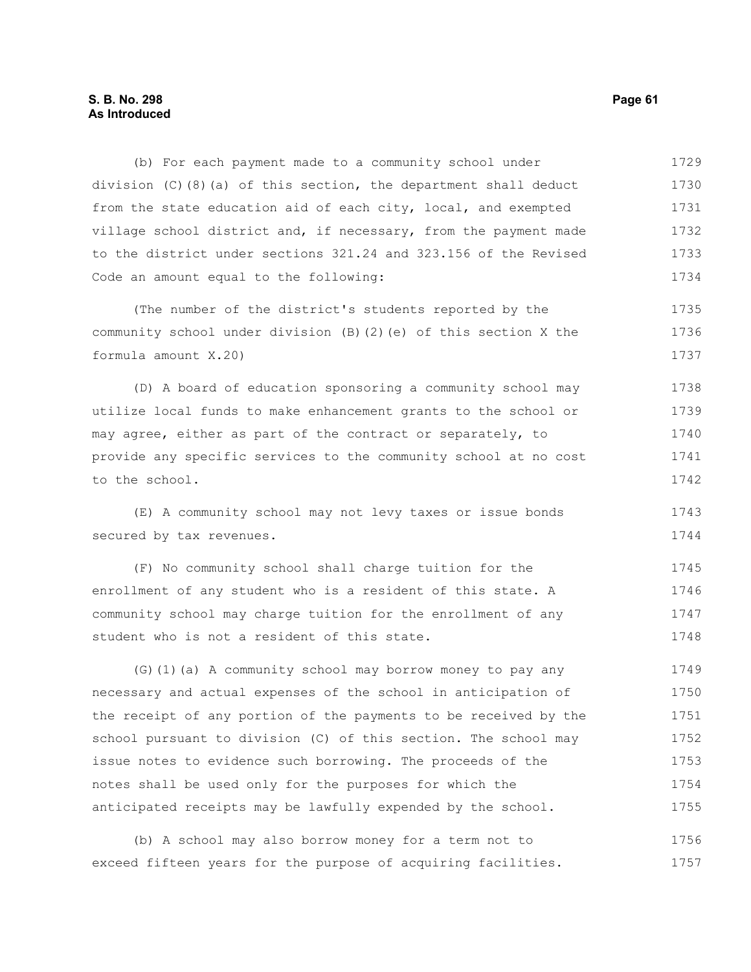# **S. B. No. 298 Page 61 As Introduced**

(b) For each payment made to a community school under division (C)(8)(a) of this section, the department shall deduct from the state education aid of each city, local, and exempted village school district and, if necessary, from the payment made to the district under sections 321.24 and 323.156 of the Revised Code an amount equal to the following: 1729 1730 1731 1732 1733 1734

(The number of the district's students reported by the community school under division (B)(2)(e) of this section X the formula amount X.20) 1735 1736 1737

(D) A board of education sponsoring a community school may utilize local funds to make enhancement grants to the school or may agree, either as part of the contract or separately, to provide any specific services to the community school at no cost to the school. 1738 1739 1740 1741 1742

(E) A community school may not levy taxes or issue bonds secured by tax revenues. 1743 1744

(F) No community school shall charge tuition for the enrollment of any student who is a resident of this state. A community school may charge tuition for the enrollment of any student who is not a resident of this state. 1745 1746 1747 1748

(G)(1)(a) A community school may borrow money to pay any necessary and actual expenses of the school in anticipation of the receipt of any portion of the payments to be received by the school pursuant to division (C) of this section. The school may issue notes to evidence such borrowing. The proceeds of the notes shall be used only for the purposes for which the anticipated receipts may be lawfully expended by the school. 1749 1750 1751 1752 1753 1754 1755

(b) A school may also borrow money for a term not to exceed fifteen years for the purpose of acquiring facilities. 1756 1757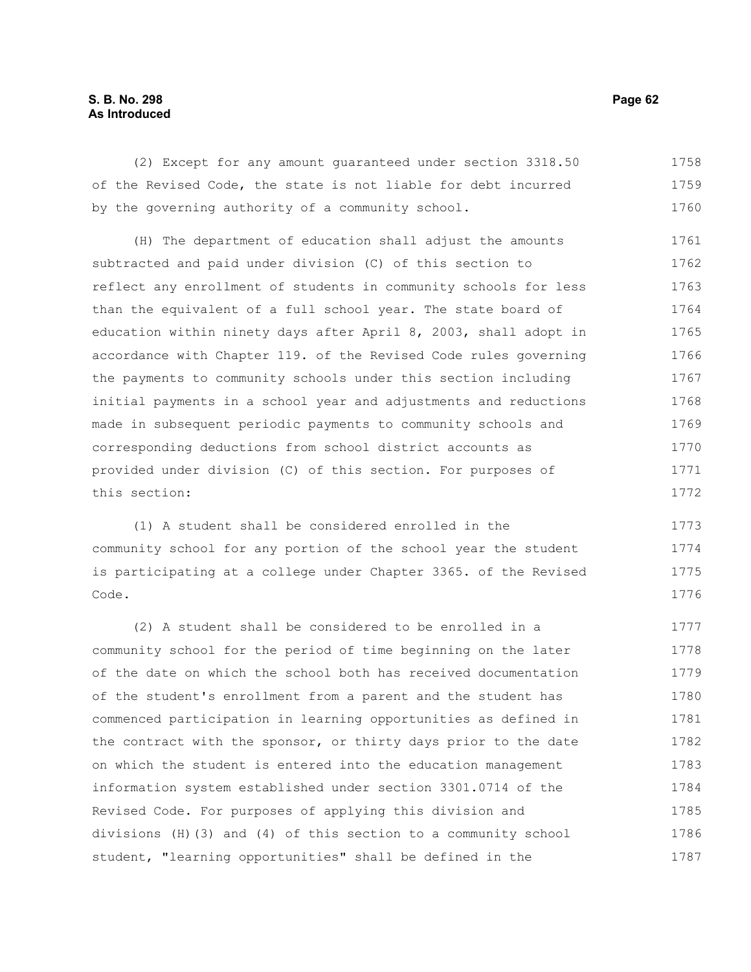# **S. B. No. 298 Page 62 As Introduced**

(2) Except for any amount guaranteed under section 3318.50 of the Revised Code, the state is not liable for debt incurred by the governing authority of a community school. 1758 1759 1760

(H) The department of education shall adjust the amounts subtracted and paid under division (C) of this section to reflect any enrollment of students in community schools for less than the equivalent of a full school year. The state board of education within ninety days after April 8, 2003, shall adopt in accordance with Chapter 119. of the Revised Code rules governing the payments to community schools under this section including initial payments in a school year and adjustments and reductions made in subsequent periodic payments to community schools and corresponding deductions from school district accounts as provided under division (C) of this section. For purposes of this section: 1761 1762 1763 1764 1765 1766 1767 1768 1769 1770 1771 1772

(1) A student shall be considered enrolled in the community school for any portion of the school year the student is participating at a college under Chapter 3365. of the Revised Code. 1773 1774 1775 1776

(2) A student shall be considered to be enrolled in a community school for the period of time beginning on the later of the date on which the school both has received documentation of the student's enrollment from a parent and the student has commenced participation in learning opportunities as defined in the contract with the sponsor, or thirty days prior to the date on which the student is entered into the education management information system established under section 3301.0714 of the Revised Code. For purposes of applying this division and divisions (H)(3) and (4) of this section to a community school student, "learning opportunities" shall be defined in the 1777 1778 1779 1780 1781 1782 1783 1784 1785 1786 1787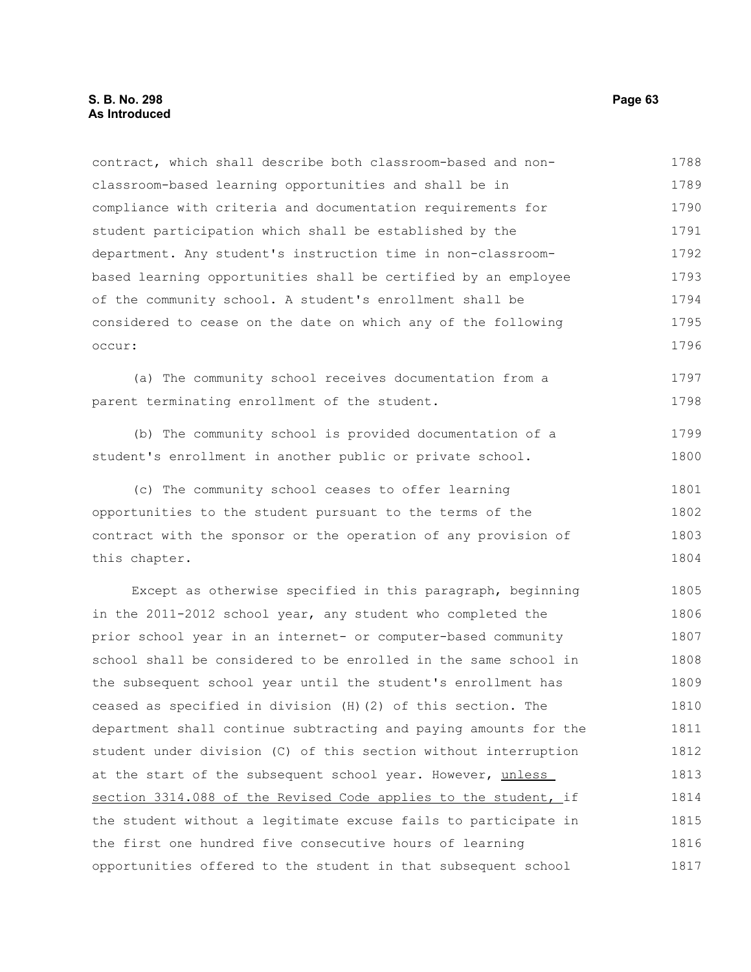contract, which shall describe both classroom-based and nonclassroom-based learning opportunities and shall be in compliance with criteria and documentation requirements for student participation which shall be established by the department. Any student's instruction time in non-classroombased learning opportunities shall be certified by an employee of the community school. A student's enrollment shall be considered to cease on the date on which any of the following occur: 1788 1789 1790 1791 1792 1793 1794 1795 1796

(a) The community school receives documentation from a parent terminating enrollment of the student. 1797 1798

(b) The community school is provided documentation of a student's enrollment in another public or private school. 1799 1800

(c) The community school ceases to offer learning opportunities to the student pursuant to the terms of the contract with the sponsor or the operation of any provision of this chapter. 1801 1802 1803 1804

Except as otherwise specified in this paragraph, beginning in the 2011-2012 school year, any student who completed the prior school year in an internet- or computer-based community school shall be considered to be enrolled in the same school in the subsequent school year until the student's enrollment has ceased as specified in division (H)(2) of this section. The department shall continue subtracting and paying amounts for the student under division (C) of this section without interruption at the start of the subsequent school year. However, unless section 3314.088 of the Revised Code applies to the student, if the student without a legitimate excuse fails to participate in the first one hundred five consecutive hours of learning opportunities offered to the student in that subsequent school 1805 1806 1807 1808 1809 1810 1811 1812 1813 1814 1815 1816 1817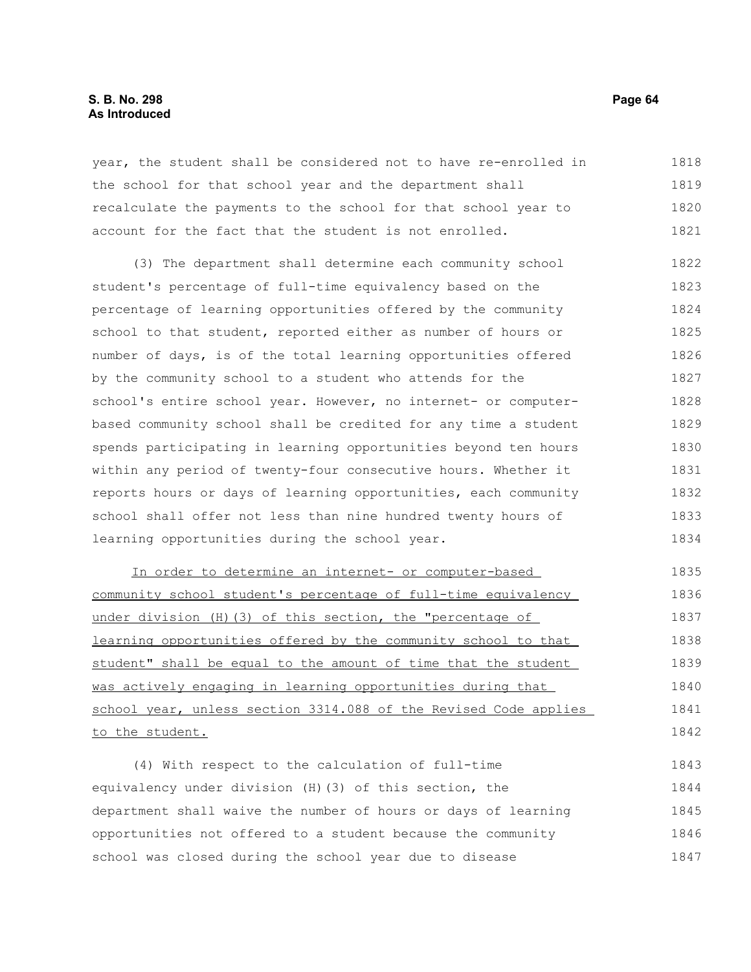# **S. B. No. 298 Page 64 As Introduced**

year, the student shall be considered not to have re-enrolled in the school for that school year and the department shall recalculate the payments to the school for that school year to account for the fact that the student is not enrolled. 1818 1819 1820 1821

(3) The department shall determine each community school student's percentage of full-time equivalency based on the percentage of learning opportunities offered by the community school to that student, reported either as number of hours or number of days, is of the total learning opportunities offered by the community school to a student who attends for the school's entire school year. However, no internet- or computerbased community school shall be credited for any time a student spends participating in learning opportunities beyond ten hours within any period of twenty-four consecutive hours. Whether it reports hours or days of learning opportunities, each community school shall offer not less than nine hundred twenty hours of learning opportunities during the school year. 1822 1823 1824 1825 1826 1827 1828 1829 1830 1831 1832 1833 1834

In order to determine an internet- or computer-based community school student's percentage of full-time equivalency under division (H)(3) of this section, the "percentage of learning opportunities offered by the community school to that student" shall be equal to the amount of time that the student was actively engaging in learning opportunities during that school year, unless section 3314.088 of the Revised Code applies to the student. 1835 1836 1837 1838 1839 1840 1841 1842

(4) With respect to the calculation of full-time equivalency under division (H)(3) of this section, the department shall waive the number of hours or days of learning opportunities not offered to a student because the community school was closed during the school year due to disease 1843 1844 1845 1846 1847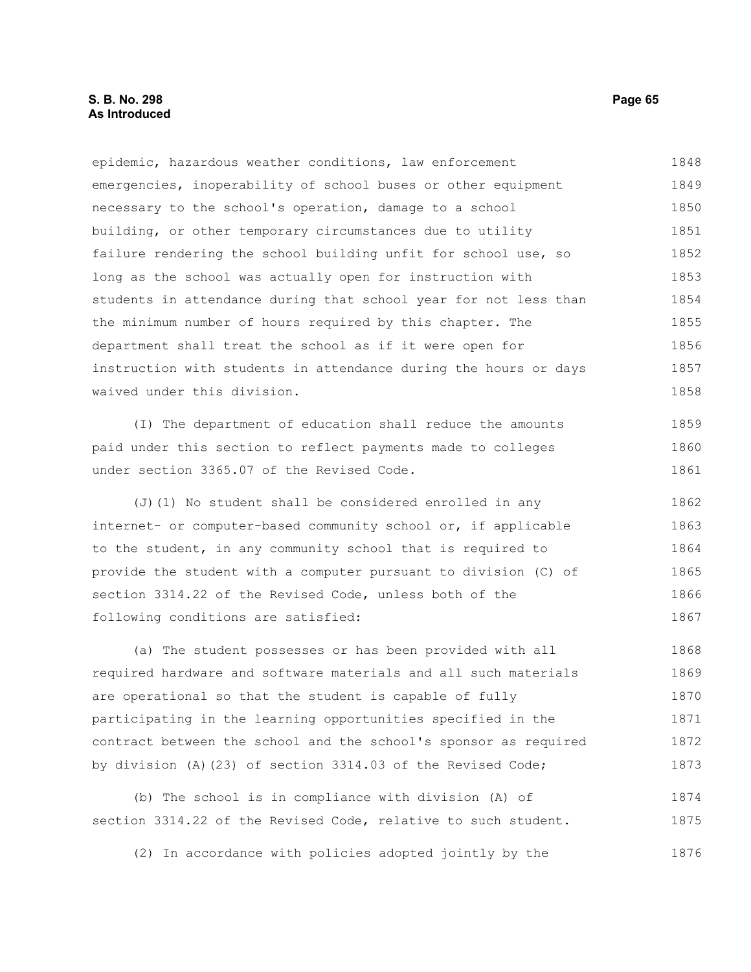## **S. B. No. 298 Page 65 As Introduced**

epidemic, hazardous weather conditions, law enforcement emergencies, inoperability of school buses or other equipment necessary to the school's operation, damage to a school building, or other temporary circumstances due to utility failure rendering the school building unfit for school use, so long as the school was actually open for instruction with students in attendance during that school year for not less than the minimum number of hours required by this chapter. The department shall treat the school as if it were open for instruction with students in attendance during the hours or days waived under this division. 1848 1849 1850 1851 1852 1853 1854 1855 1856 1857 1858

(I) The department of education shall reduce the amounts paid under this section to reflect payments made to colleges under section 3365.07 of the Revised Code. 1859 1860 1861

(J)(1) No student shall be considered enrolled in any internet- or computer-based community school or, if applicable to the student, in any community school that is required to provide the student with a computer pursuant to division (C) of section 3314.22 of the Revised Code, unless both of the following conditions are satisfied: 1862 1863 1864 1865 1866 1867

(a) The student possesses or has been provided with all required hardware and software materials and all such materials are operational so that the student is capable of fully participating in the learning opportunities specified in the contract between the school and the school's sponsor as required by division (A)(23) of section 3314.03 of the Revised Code; 1868 1869 1870 1871 1872 1873

(b) The school is in compliance with division (A) of section 3314.22 of the Revised Code, relative to such student. 1874 1875

(2) In accordance with policies adopted jointly by the 1876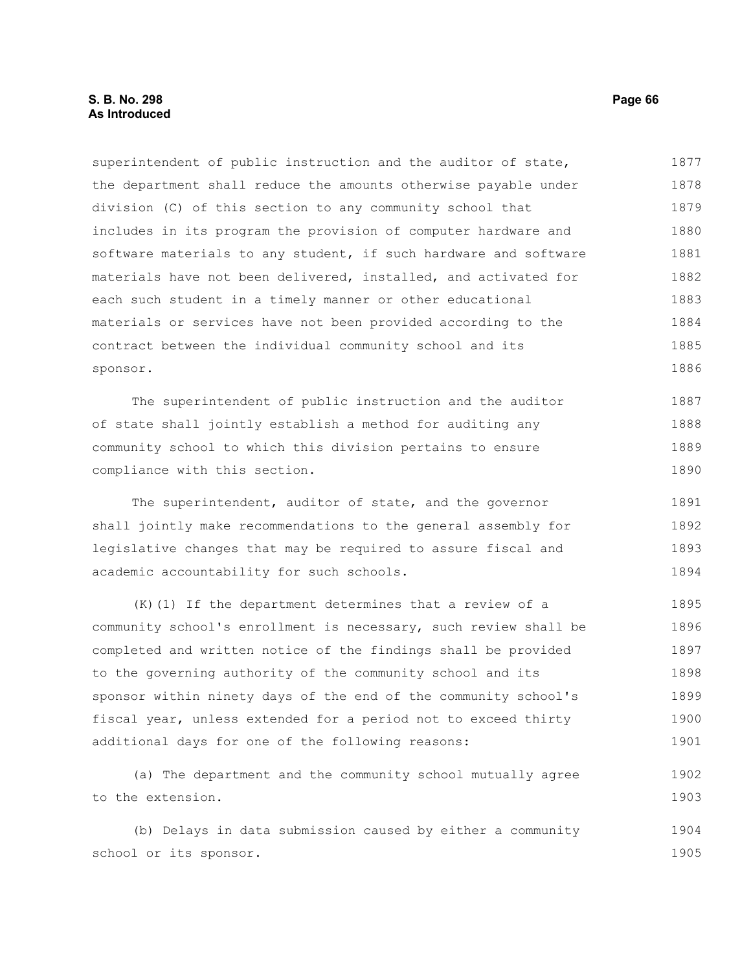# **S. B. No. 298 Page 66 As Introduced**

superintendent of public instruction and the auditor of state, the department shall reduce the amounts otherwise payable under division (C) of this section to any community school that includes in its program the provision of computer hardware and software materials to any student, if such hardware and software materials have not been delivered, installed, and activated for each such student in a timely manner or other educational materials or services have not been provided according to the contract between the individual community school and its sponsor. 1877 1878 1879 1880 1881 1882 1883 1884 1885 1886

The superintendent of public instruction and the auditor of state shall jointly establish a method for auditing any community school to which this division pertains to ensure compliance with this section. 1887 1888 1889 1890

The superintendent, auditor of state, and the governor shall jointly make recommendations to the general assembly for legislative changes that may be required to assure fiscal and academic accountability for such schools. 1891 1892 1893 1894

(K)(1) If the department determines that a review of a community school's enrollment is necessary, such review shall be completed and written notice of the findings shall be provided to the governing authority of the community school and its sponsor within ninety days of the end of the community school's fiscal year, unless extended for a period not to exceed thirty additional days for one of the following reasons: 1895 1896 1897 1898 1899 1900 1901

(a) The department and the community school mutually agree to the extension. 1902 1903

(b) Delays in data submission caused by either a community school or its sponsor. 1904 1905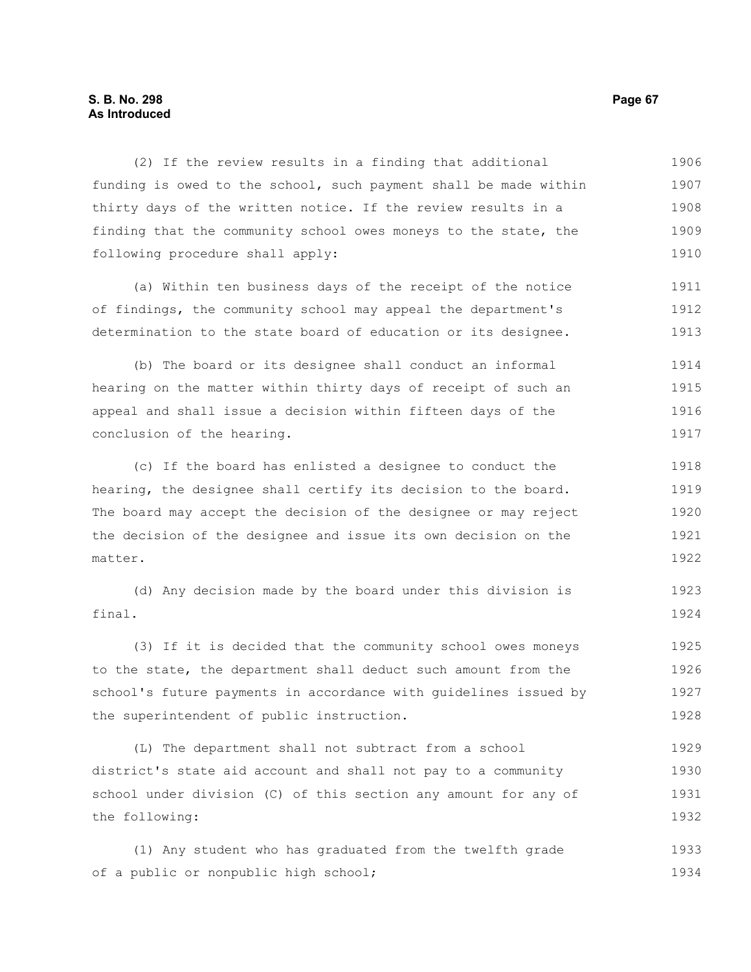## **S. B. No. 298 Page 67 As Introduced**

(2) If the review results in a finding that additional funding is owed to the school, such payment shall be made within thirty days of the written notice. If the review results in a finding that the community school owes moneys to the state, the following procedure shall apply: 1906 1907 1908 1909 1910

(a) Within ten business days of the receipt of the notice of findings, the community school may appeal the department's determination to the state board of education or its designee. 1911 1912 1913

(b) The board or its designee shall conduct an informal hearing on the matter within thirty days of receipt of such an appeal and shall issue a decision within fifteen days of the conclusion of the hearing. 1914 1915 1916 1917

(c) If the board has enlisted a designee to conduct the hearing, the designee shall certify its decision to the board. The board may accept the decision of the designee or may reject the decision of the designee and issue its own decision on the matter. 1918 1919 1920 1921 1922

(d) Any decision made by the board under this division is final. 1923 1924

(3) If it is decided that the community school owes moneys to the state, the department shall deduct such amount from the school's future payments in accordance with guidelines issued by the superintendent of public instruction. 1925 1926 1927 1928

(L) The department shall not subtract from a school district's state aid account and shall not pay to a community school under division (C) of this section any amount for any of the following: 1929 1930 1931 1932

(1) Any student who has graduated from the twelfth grade of a public or nonpublic high school; 1933 1934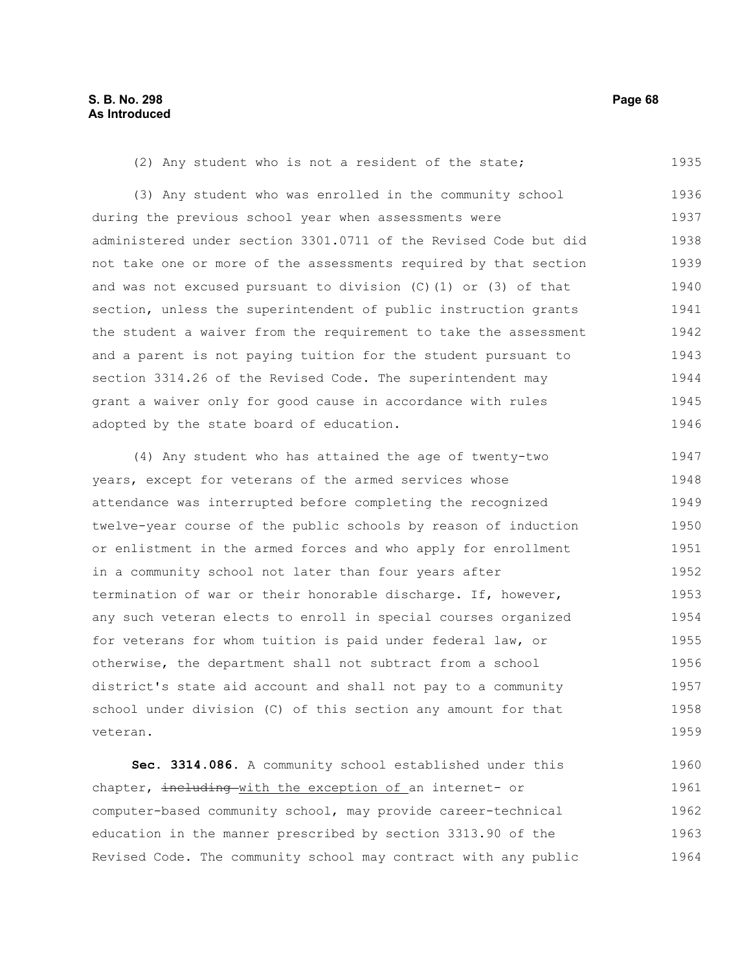| (2) Any student who is not a resident of the state;               | 1935 |
|-------------------------------------------------------------------|------|
| (3) Any student who was enrolled in the community school          | 1936 |
| during the previous school year when assessments were             | 1937 |
| administered under section 3301.0711 of the Revised Code but did  | 1938 |
| not take one or more of the assessments required by that section  | 1939 |
| and was not excused pursuant to division $(C)$ (1) or (3) of that | 1940 |
| section, unless the superintendent of public instruction grants   | 1941 |
| the student a waiver from the requirement to take the assessment  | 1942 |
| and a parent is not paying tuition for the student pursuant to    | 1943 |
| section 3314.26 of the Revised Code. The superintendent may       | 1944 |
| grant a waiver only for good cause in accordance with rules       | 1945 |
| adopted by the state board of education.                          | 1946 |
| (4) Any student who has attained the age of twenty-two            | 1947 |
| years, except for veterans of the armed services whose            | 1948 |
| attendance was interrupted before completing the recognized       | 1949 |
| twelve-year course of the public schools by reason of induction   | 1950 |
| or enlistment in the armed forces and who apply for enrollment    | 1951 |
| in a community school not later than four years after             | 1952 |
| termination of war or their honorable discharge. If, however,     | 1953 |
| any such veteran elects to enroll in special courses organized    | 1954 |
| for veterans for whom tuition is paid under federal law, or       | 1955 |
| otherwise, the department shall not subtract from a school        | 1956 |
|                                                                   |      |
| district's state aid account and shall not pay to a community     | 1957 |
| school under division (C) of this section any amount for that     | 1958 |
| veteran.                                                          | 1959 |
| Sec. 3314.086. A community school established under this          | 1960 |
| chapter, including with the exception of an internet- or          | 1961 |
| computer-based community school, may provide career-technical     | 1962 |

education in the manner prescribed by section 3313.90 of the Revised Code. The community school may contract with any public 1963 1964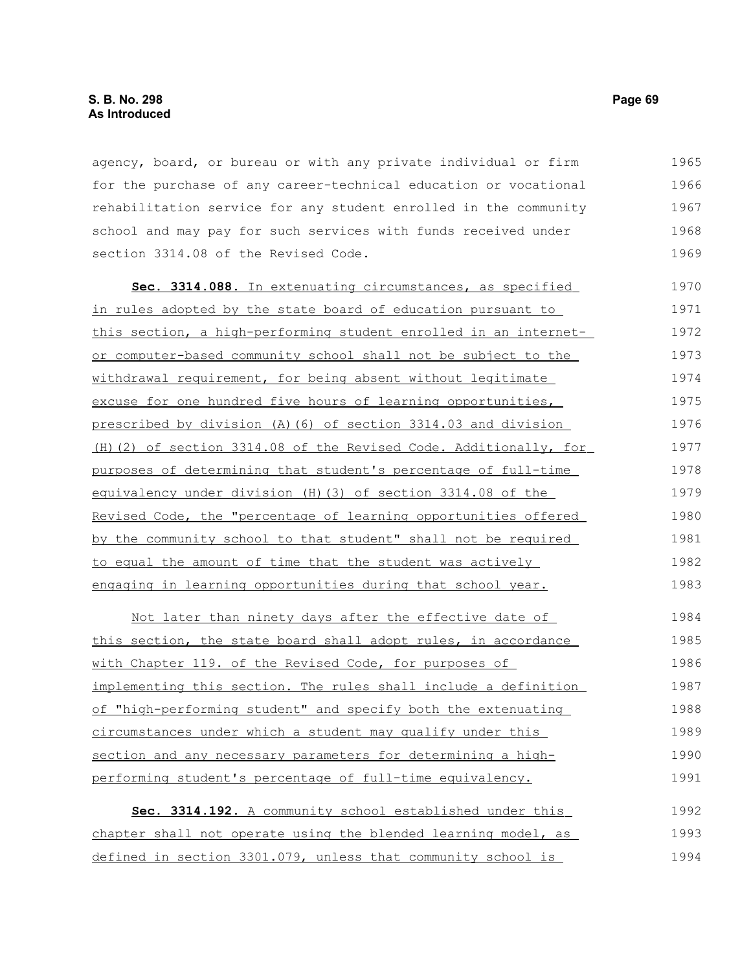agency, board, or bureau or with any private individual or firm for the purchase of any career-technical education or vocational rehabilitation service for any student enrolled in the community school and may pay for such services with funds received under section 3314.08 of the Revised Code. 1965 1966 1967 1968 1969

 **Sec. 3314.088.** In extenuating circumstances, as specified in rules adopted by the state board of education pursuant to this section, a high-performing student enrolled in an internetor computer-based community school shall not be subject to the withdrawal requirement, for being absent without legitimate excuse for one hundred five hours of learning opportunities, prescribed by division (A)(6) of section 3314.03 and division (H)(2) of section 3314.08 of the Revised Code. Additionally, for purposes of determining that student's percentage of full-time equivalency under division (H)(3) of section 3314.08 of the Revised Code, the "percentage of learning opportunities offered by the community school to that student" shall not be required to equal the amount of time that the student was actively engaging in learning opportunities during that school year. 1970 1971 1972 1973 1974 1975 1976 1977 1978 1979 1980 1981 1982 1983

Not later than ninety days after the effective date of this section, the state board shall adopt rules, in accordance with Chapter 119. of the Revised Code, for purposes of implementing this section. The rules shall include a definition of "high-performing student" and specify both the extenuating circumstances under which a student may qualify under this section and any necessary parameters for determining a highperforming student's percentage of full-time equivalency. 1984 1985 1986 1987 1988 1989 1990 1991

| Sec. 3314.192. A community school established under this       | 1992 |
|----------------------------------------------------------------|------|
| chapter shall not operate using the blended learning model, as | 1993 |
| defined in section 3301.079, unless that community school is   | 1994 |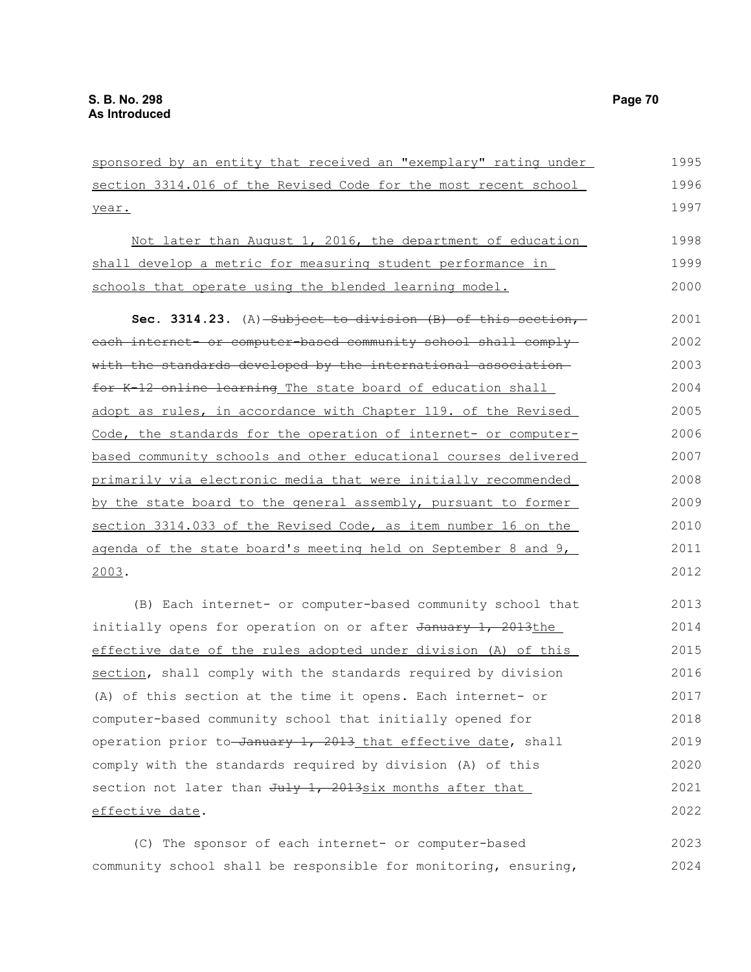sponsored by an entity that received an "exemplary" rating under section 3314.016 of the Revised Code for the most recent school year. 1995 1996 1997

Not later than August 1, 2016, the department of education shall develop a metric for measuring student performance in schools that operate using the blended learning model. 1998 1999 2000

Sec. 3314.23. (A) Subject to division (B) of this section, each internet- or computer-based community school shall complywith the standards developed by the international association for K-12 online learning The state board of education shall adopt as rules, in accordance with Chapter 119. of the Revised Code, the standards for the operation of internet- or computerbased community schools and other educational courses delivered primarily via electronic media that were initially recommended by the state board to the general assembly, pursuant to former section 3314.033 of the Revised Code, as item number 16 on the agenda of the state board's meeting held on September 8 and 9, 2003. 2001 2002 2003 2004 2005 2006 2007 2008 2009 2010 2011 2012

(B) Each internet- or computer-based community school that initially opens for operation on or after January 1, 2013the effective date of the rules adopted under division (A) of this section, shall comply with the standards required by division (A) of this section at the time it opens. Each internet- or computer-based community school that initially opened for operation prior to-January 1, 2013 that effective date, shall comply with the standards required by division (A) of this section not later than July 1, 2013six months after that effective date. 2013 2014 2015 2016 2017 2018 2019 2020 2021 2022

(C) The sponsor of each internet- or computer-based community school shall be responsible for monitoring, ensuring, 2023 2024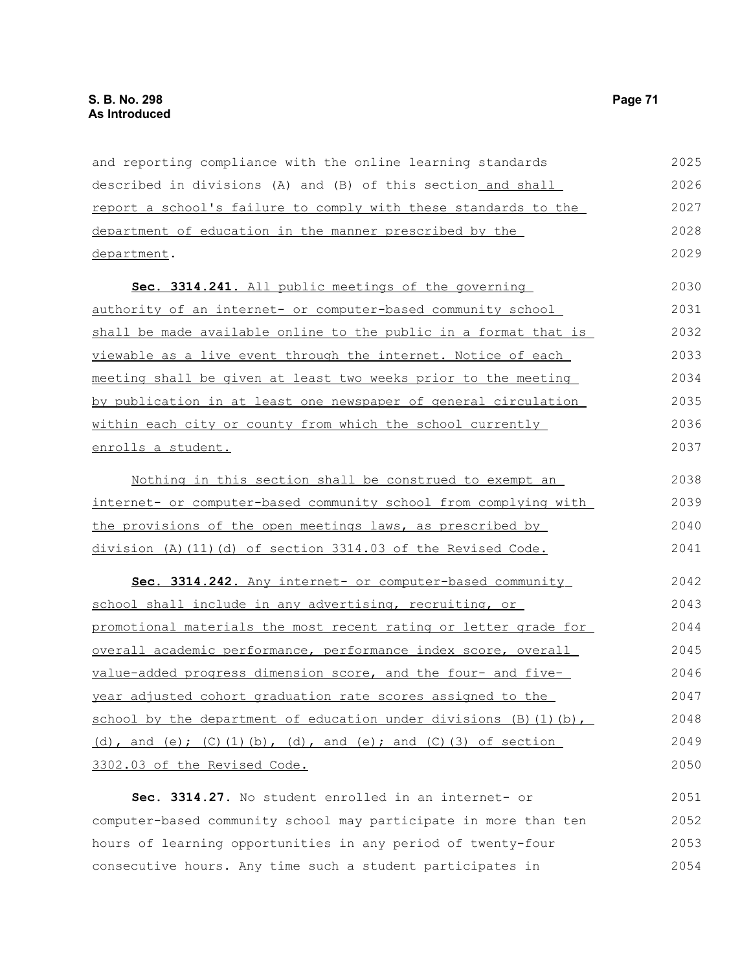and reporting compliance with the online learning standards described in divisions (A) and (B) of this section and shall report a school's failure to comply with these standards to the department of education in the manner prescribed by the department. 2025 2026 2027 2028 2029

 **Sec. 3314.241.** All public meetings of the governing authority of an internet- or computer-based community school shall be made available online to the public in a format that is viewable as a live event through the internet. Notice of each meeting shall be given at least two weeks prior to the meeting by publication in at least one newspaper of general circulation within each city or county from which the school currently enrolls a student. 2030 2031 2032 2033 2034 2035 2036 2037

| Nothing in this section shall be construed to exempt an             | 2038 |
|---------------------------------------------------------------------|------|
| internet- or computer-based community school from complying with    | 2039 |
| the provisions of the open meetings laws, as prescribed by          | 2040 |
| division $(A)$ $(11)$ $(d)$ of section 3314.03 of the Revised Code. | 2041 |

 **Sec. 3314.242.** Any internet- or computer-based community school shall include in any advertising, recruiting, or promotional materials the most recent rating or letter grade for overall academic performance, performance index score, overall value-added progress dimension score, and the four- and fiveyear adjusted cohort graduation rate scores assigned to the school by the department of education under divisions (B)(1)(b), (d), and (e);  $(C)$  (1)(b), (d), and (e); and  $(C)$  (3) of section 3302.03 of the Revised Code. 2042 2043 2044 2045 2046 2047 2048 2049 2050

Sec. 3314.27. No student enrolled in an internet- or computer-based community school may participate in more than ten hours of learning opportunities in any period of twenty-four consecutive hours. Any time such a student participates in 2051 2052 2053 2054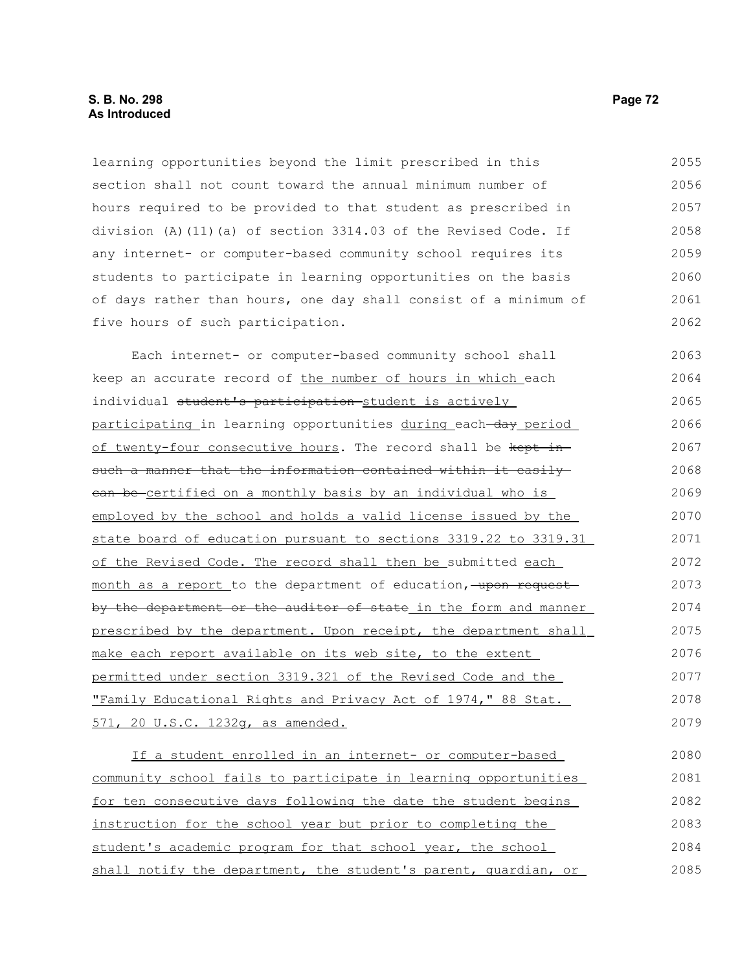learning opportunities beyond the limit prescribed in this section shall not count toward the annual minimum number of hours required to be provided to that student as prescribed in division (A)(11)(a) of section 3314.03 of the Revised Code. If any internet- or computer-based community school requires its students to participate in learning opportunities on the basis of days rather than hours, one day shall consist of a minimum of five hours of such participation. 2055 2056 2057 2058 2059 2060 2061 2062

Each internet- or computer-based community school shall keep an accurate record of the number of hours in which each individual student's participation student is actively participating in learning opportunities during each-day period of twenty-four consecutive hours. The record shall be kept insuch a manner that the information contained within it easily can be certified on a monthly basis by an individual who is employed by the school and holds a valid license issued by the state board of education pursuant to sections 3319.22 to 3319.31 of the Revised Code. The record shall then be submitted each month as a report to the department of education, upon request by the department or the auditor of state in the form and manner prescribed by the department. Upon receipt, the department shall make each report available on its web site, to the extent permitted under section 3319.321 of the Revised Code and the "Family Educational Rights and Privacy Act of 1974," 88 Stat. 571, 20 U.S.C. 1232g, as amended. 2063 2064 2065 2066 2067 2068 2069 2070 2071 2072 2073 2074 2075 2076 2077 2078 2079

If a student enrolled in an internet- or computer-based community school fails to participate in learning opportunities for ten consecutive days following the date the student begins instruction for the school year but prior to completing the student's academic program for that school year, the school shall notify the department, the student's parent, guardian, or 2080 2081 2082 2083 2084 2085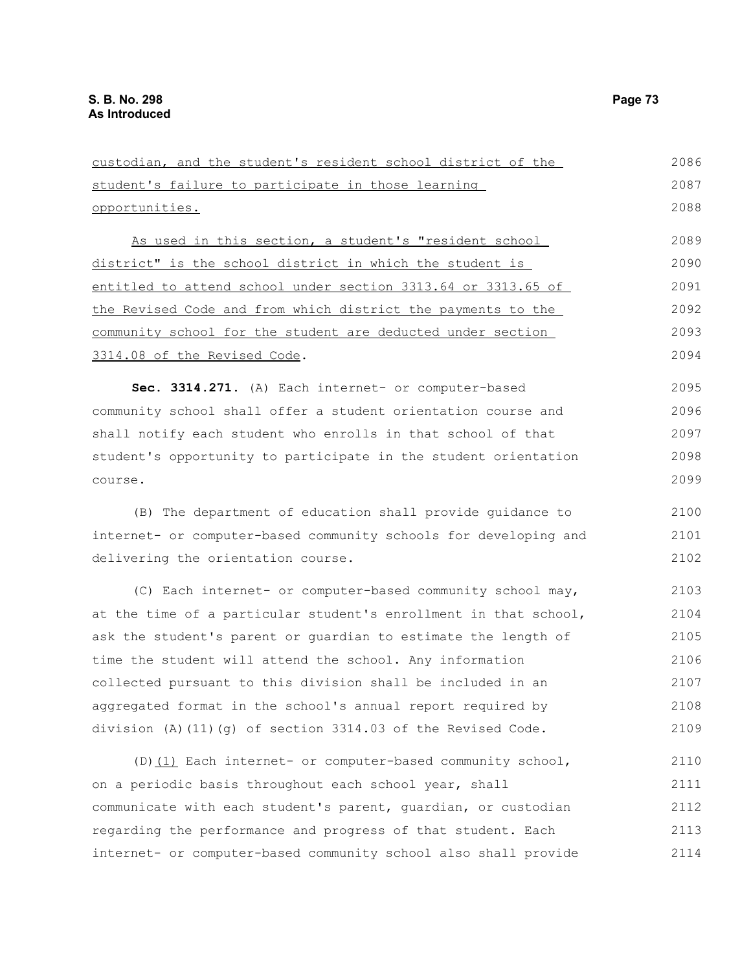student's failure to participate in those learning opportunities. As used in this section, a student's "resident school district" is the school district in which the student is entitled to attend school under section 3313.64 or 3313.65 of the Revised Code and from which district the payments to the community school for the student are deducted under section 3314.08 of the Revised Code. Sec. 3314.271. (A) Each internet- or computer-based community school shall offer a student orientation course and shall notify each student who enrolls in that school of that student's opportunity to participate in the student orientation course. (B) The department of education shall provide guidance to internet- or computer-based community schools for developing and delivering the orientation course. (C) Each internet- or computer-based community school may, at the time of a particular student's enrollment in that school, ask the student's parent or guardian to estimate the length of time the student will attend the school. Any information collected pursuant to this division shall be included in an aggregated format in the school's annual report required by division (A)(11)(g) of section 3314.03 of the Revised Code. (D)(1) Each internet- or computer-based community school, on a periodic basis throughout each school year, shall communicate with each student's parent, guardian, or custodian regarding the performance and progress of that student. Each internet- or computer-based community school also shall provide 2087 2088 2089 2090 2091 2092 2093 2094 2095 2096 2097 2098 2099 2100 2101 2102 2103 2104 2105 2106 2107 2108 2109 2110 2111 2112 2113 2114

custodian, and the student's resident school district of the

2086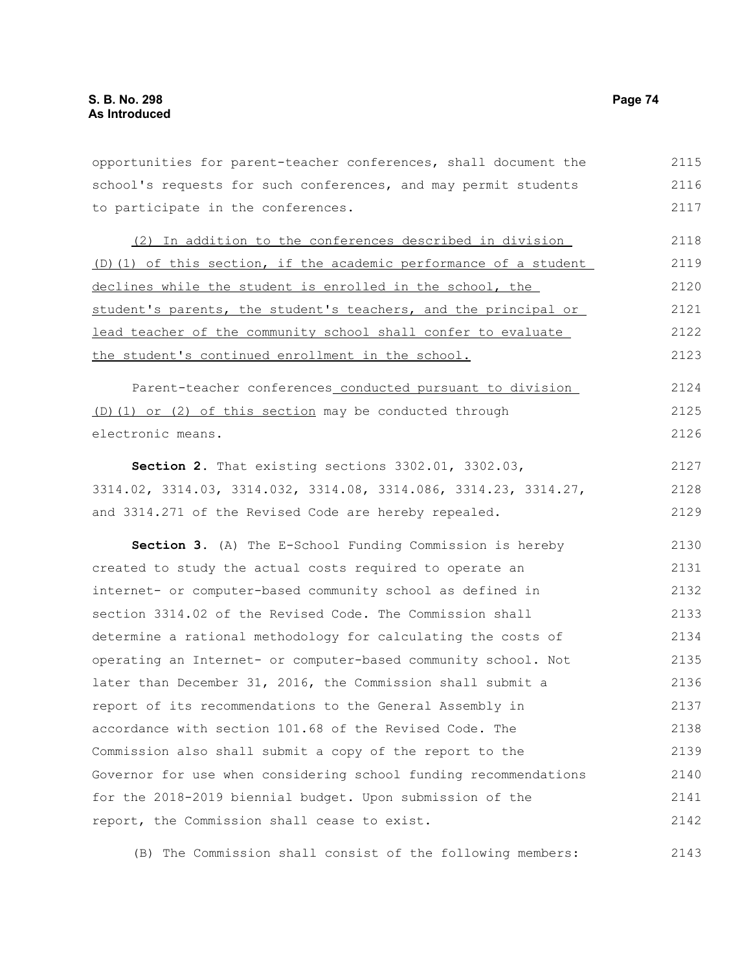opportunities for parent-teacher conferences, shall document the school's requests for such conferences, and may permit students to participate in the conferences. (2) In addition to the conferences described in division (D)(1) of this section, if the academic performance of a student declines while the student is enrolled in the school, the student's parents, the student's teachers, and the principal or lead teacher of the community school shall confer to evaluate the student's continued enrollment in the school. Parent-teacher conferences conducted pursuant to division (D)(1) or (2) of this section may be conducted through electronic means. **Section 2.** That existing sections 3302.01, 3302.03, 3314.02, 3314.03, 3314.032, 3314.08, 3314.086, 3314.23, 3314.27, and 3314.271 of the Revised Code are hereby repealed. **Section 3.** (A) The E-School Funding Commission is hereby created to study the actual costs required to operate an internet- or computer-based community school as defined in section 3314.02 of the Revised Code. The Commission shall determine a rational methodology for calculating the costs of operating an Internet- or computer-based community school. Not later than December 31, 2016, the Commission shall submit a report of its recommendations to the General Assembly in accordance with section 101.68 of the Revised Code. The Commission also shall submit a copy of the report to the Governor for use when considering school funding recommendations for the 2018-2019 biennial budget. Upon submission of the report, the Commission shall cease to exist. 2115 2116 2117 2118 2119 2120 2121 2122 2123 2124 2125 2126 2127 2128 2129 2130 2131 2132 2133 2134 2135 2136 2137 2138 2139 2140 2141 2142

(B) The Commission shall consist of the following members: 2143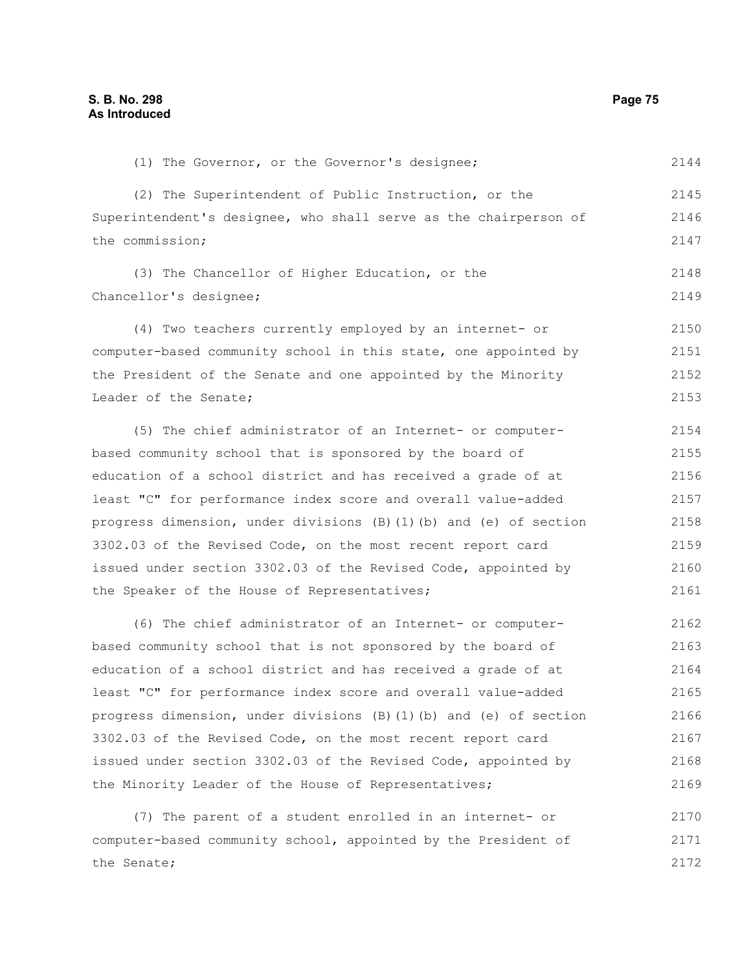(1) The Governor, or the Governor's designee; 2144

(2) The Superintendent of Public Instruction, or the Superintendent's designee, who shall serve as the chairperson of the commission; 2145 2146 2147

(3) The Chancellor of Higher Education, or the Chancellor's designee; 2148 2149

(4) Two teachers currently employed by an internet- or computer-based community school in this state, one appointed by the President of the Senate and one appointed by the Minority Leader of the Senate; 2150 2151 2152 2153

(5) The chief administrator of an Internet- or computerbased community school that is sponsored by the board of education of a school district and has received a grade of at least "C" for performance index score and overall value-added progress dimension, under divisions (B)(1)(b) and (e) of section 3302.03 of the Revised Code, on the most recent report card issued under section 3302.03 of the Revised Code, appointed by the Speaker of the House of Representatives; 2154 2155 2156 2157 2158 2159 2160 2161

(6) The chief administrator of an Internet- or computerbased community school that is not sponsored by the board of education of a school district and has received a grade of at least "C" for performance index score and overall value-added progress dimension, under divisions (B)(1)(b) and (e) of section 3302.03 of the Revised Code, on the most recent report card issued under section 3302.03 of the Revised Code, appointed by the Minority Leader of the House of Representatives; 2162 2163 2164 2165 2166 2167 2168 2169

(7) The parent of a student enrolled in an internet- or computer-based community school, appointed by the President of the Senate; 2170 2171 2172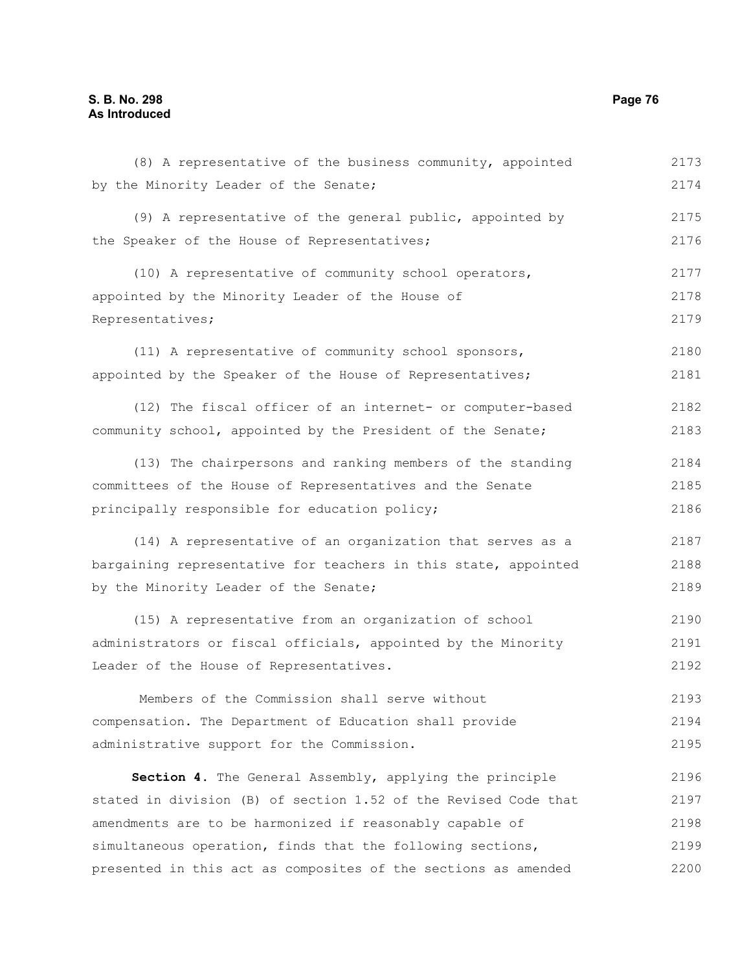## **S. B. No. 298 Page 76 As Introduced**

| (8) A representative of the business community, appointed       | 2173 |
|-----------------------------------------------------------------|------|
| by the Minority Leader of the Senate;                           | 2174 |
| (9) A representative of the general public, appointed by        | 2175 |
| the Speaker of the House of Representatives;                    | 2176 |
| (10) A representative of community school operators,            | 2177 |
| appointed by the Minority Leader of the House of                | 2178 |
| Representatives;                                                | 2179 |
| (11) A representative of community school sponsors,             | 2180 |
| appointed by the Speaker of the House of Representatives;       | 2181 |
| (12) The fiscal officer of an internet- or computer-based       | 2182 |
| community school, appointed by the President of the Senate;     | 2183 |
| (13) The chairpersons and ranking members of the standing       | 2184 |
| committees of the House of Representatives and the Senate       | 2185 |
| principally responsible for education policy;                   | 2186 |
| (14) A representative of an organization that serves as a       | 2187 |
| bargaining representative for teachers in this state, appointed | 2188 |
| by the Minority Leader of the Senate;                           | 2189 |
| (15) A representative from an organization of school            | 2190 |
| administrators or fiscal officials, appointed by the Minority   | 2191 |
| Leader of the House of Representatives.                         | 2192 |
| Members of the Commission shall serve without                   | 2193 |
| compensation. The Department of Education shall provide         | 2194 |
| administrative support for the Commission.                      | 2195 |
| Section 4. The General Assembly, applying the principle         | 2196 |
| stated in division (B) of section 1.52 of the Revised Code that | 2197 |
| amendments are to be harmonized if reasonably capable of        | 2198 |
| simultaneous operation, finds that the following sections,      | 2199 |
| presented in this act as composites of the sections as amended  | 2200 |